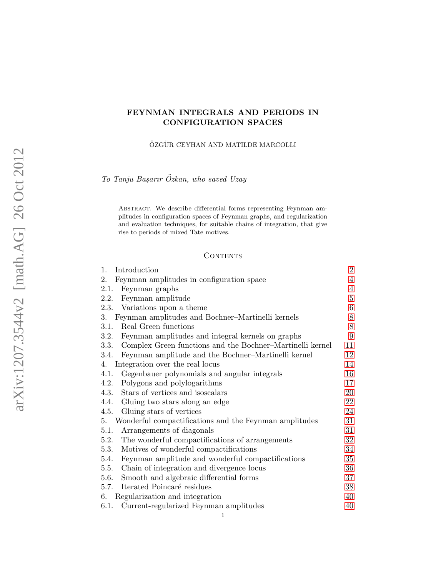# FEYNMAN INTEGRALS AND PERIODS IN CONFIGURATION SPACES

ÖZGÜR CEYHAN AND MATILDE MARCOLLI

To Tanju Başarır Özkan, who saved Uzay

Abstract. We describe differential forms representing Feynman amplitudes in configuration spaces of Feynman graphs, and regularization and evaluation techniques, for suitable chains of integration, that give rise to periods of mixed Tate motives.

## **CONTENTS**

| Introduction<br>1.                                                | $\overline{2}$ |
|-------------------------------------------------------------------|----------------|
| 2.<br>Feynman amplitudes in configuration space                   | $\overline{4}$ |
| 2.1.<br>Feynman graphs                                            | $\overline{4}$ |
| 2.2. Feynman amplitude                                            | $\overline{5}$ |
| 2.3. Variations upon a theme                                      | $\,6$          |
| Feynman amplitudes and Bochner-Martinelli kernels<br>3.           | $8\,$          |
| Real Green functions<br>3.1.                                      | 8              |
| Feynman amplitudes and integral kernels on graphs<br>3.2.         | 9              |
| Complex Green functions and the Bochner-Martinelli kernel<br>3.3. | 11             |
| Feynman amplitude and the Bochner-Martinelli kernel<br>3.4.       | 12             |
| Integration over the real locus<br>4.                             | 14             |
| Gegenbauer polynomials and angular integrals<br>4.1.              | 16             |
| 4.2.<br>Polygons and polylogarithms                               | 17             |
| Stars of vertices and isoscalars<br>4.3.                          | 20             |
| 4.4. Gluing two stars along an edge                               | 22             |
| Gluing stars of vertices<br>4.5.                                  | 24             |
| Wonderful compactifications and the Feynman amplitudes<br>5.      | 31             |
| Arrangements of diagonals<br>5.1.                                 | 31             |
| The wonderful compactifications of arrangements<br>5.2.           | 32             |
| Motives of wonderful compactifications<br>5.3.                    | 34             |
| Feynman amplitude and wonderful compactifications<br>5.4.         | 35             |
| Chain of integration and divergence locus<br>5.5.                 | 36             |
| 5.6.<br>Smooth and algebraic differential forms                   | 37             |
| Iterated Poincaré residues<br>5.7.                                | 38             |
| Regularization and integration<br>6.                              | 40             |
| Current-regularized Feynman amplitudes<br>6.1.                    | 40             |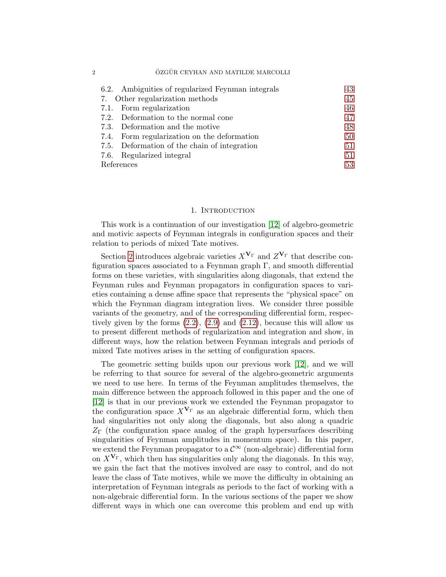| 6.2. Ambiguities of regularized Feynman integrals | 43 |  |
|---------------------------------------------------|----|--|
| 7. Other regularization methods                   | 45 |  |
| 7.1. Form regularization                          | 46 |  |
| 7.2. Deformation to the normal cone               | 47 |  |
| 7.3. Deformation and the motive                   | 48 |  |
| 7.4. Form regularization on the deformation       | 50 |  |
| 7.5. Deformation of the chain of integration      | 51 |  |
| 7.6. Regularized integral                         | 51 |  |
| References                                        |    |  |

#### 1. Introduction

<span id="page-1-0"></span>This work is a continuation of our investigation [\[12\]](#page-52-1) of algebro-geometric and motivic aspects of Feynman integrals in configuration spaces and their relation to periods of mixed Tate motives.

Section [2](#page-3-0) introduces algebraic varieties  $X^{\mathbf{V}_{\Gamma}}$  and  $Z^{\mathbf{V}_{\Gamma}}$  that describe configuration spaces associated to a Feynman graph  $\Gamma$ , and smooth differential forms on these varieties, with singularities along diagonals, that extend the Feynman rules and Feynman propagators in configuration spaces to varieties containing a dense affine space that represents the "physical space" on which the Feynman diagram integration lives. We consider three possible variants of the geometry, and of the corresponding differential form, respectively given by the forms [\(2.2\)](#page-4-1), [\(2.9\)](#page-6-0) and [\(2.12\)](#page-6-1), because this will allow us to present different methods of regularization and integration and show, in different ways, how the relation between Feynman integrals and periods of mixed Tate motives arises in the setting of configuration spaces.

The geometric setting builds upon our previous work [\[12\]](#page-52-1), and we will be referring to that source for several of the algebro-geometric arguments we need to use here. In terms of the Feynman amplitudes themselves, the main difference between the approach followed in this paper and the one of [\[12\]](#page-52-1) is that in our previous work we extended the Feynman propagator to the configuration space  $X^{\mathbf{V}_{\Gamma}}$  as an algebraic differential form, which then had singularities not only along the diagonals, but also along a quadric  $Z_{\Gamma}$  (the configuration space analog of the graph hypersurfaces describing singularities of Feynman amplitudes in momentum space). In this paper, we extend the Feynman propagator to a  $\mathcal{C}^{\infty}$  (non-algebraic) differential form on  $X^{\mathbf{V}_{\Gamma}}$ , which then has singularities only along the diagonals. In this way, we gain the fact that the motives involved are easy to control, and do not leave the class of Tate motives, while we move the difficulty in obtaining an interpretation of Feynman integrals as periods to the fact of working with a non-algebraic differential form. In the various sections of the paper we show different ways in which one can overcome this problem and end up with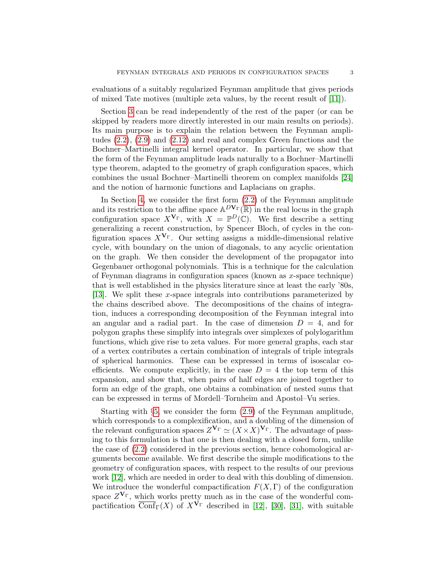evaluations of a suitably regularized Feynman amplitude that gives periods of mixed Tate motives (multiple zeta values, by the recent result of [\[11\]](#page-52-2)).

Section [3](#page-7-0) can be read independently of the rest of the paper (or can be skipped by readers more directly interested in our main results on periods). Its main purpose is to explain the relation between the Feynman amplitudes [\(2.2\)](#page-4-1), [\(2.9\)](#page-6-0) and [\(2.12\)](#page-6-1) and real and complex Green functions and the Bochner–Martinelli integral kernel operator. In particular, we show that the form of the Feynman amplitude leads naturally to a Bochner–Martinelli type theorem, adapted to the geometry of graph configuration spaces, which combines the usual Bochner–Martinelli theorem on complex manifolds [\[24\]](#page-52-3) and the notion of harmonic functions and Laplacians on graphs.

In Section [4,](#page-13-0) we consider the first form [\(2.2\)](#page-4-1) of the Feynman amplitude and its restriction to the affine space  $\mathbb{A}^{D\mathbf{V}_{\Gamma}}(\mathbb{R})$  in the real locus in the graph configuration space  $X^{\mathbf{V}_{\Gamma}}$ , with  $X = \mathbb{P}^D(\mathbb{C})$ . We first describe a setting generalizing a recent construction, by Spencer Bloch, of cycles in the configuration spaces  $X^{\mathbf{V}_{\Gamma}}$ . Our setting assigns a middle-dimensional relative cycle, with boundary on the union of diagonals, to any acyclic orientation on the graph. We then consider the development of the propagator into Gegenbauer orthogonal polynomials. This is a technique for the calculation of Feynman diagrams in configuration spaces (known as  $x$ -space technique) that is well established in the physics literature since at least the early '80s, [\[13\]](#page-52-4). We split these x-space integrals into contributions parameterized by the chains described above. The decompositions of the chains of integration, induces a corresponding decomposition of the Feynman integral into an angular and a radial part. In the case of dimension  $D = 4$ , and for polygon graphs these simplify into integrals over simplexes of polylogarithm functions, which give rise to zeta values. For more general graphs, each star of a vertex contributes a certain combination of integrals of triple integrals of spherical harmonics. These can be expressed in terms of isoscalar coefficients. We compute explicitly, in the case  $D = 4$  the top term of this expansion, and show that, when pairs of half edges are joined together to form an edge of the graph, one obtains a combination of nested sums that can be expressed in terms of Mordell–Tornheim and Apostol–Vu series.

Starting with §[5,](#page-30-0) we consider the form [\(2.9\)](#page-6-0) of the Feynman amplitude, which corresponds to a complexification, and a doubling of the dimension of the relevant configuration spaces  $Z^{\mathbf{V}_{\Gamma}} \simeq (X \times X)^{\mathbf{V}_{\Gamma}}$ . The advantage of passing to this formulation is that one is then dealing with a closed form, unlike the case of [\(2.2\)](#page-4-1) considered in the previous section, hence cohomological arguments become available. We first describe the simple modifications to the geometry of configuration spaces, with respect to the results of our previous work [\[12\]](#page-52-1), which are needed in order to deal with this doubling of dimension. We introduce the wonderful compactification  $F(X, \Gamma)$  of the configuration space  $Z^{\mathbf{V}_{\Gamma}}$ , which works pretty much as in the case of the wonderful compactification  $\overline{\text{Conf}}_{\Gamma}(X)$  of  $X^{\tilde{V}_{\Gamma}}$  described in [\[12\]](#page-52-1), [\[30\]](#page-53-0), [\[31\]](#page-53-1), with suitable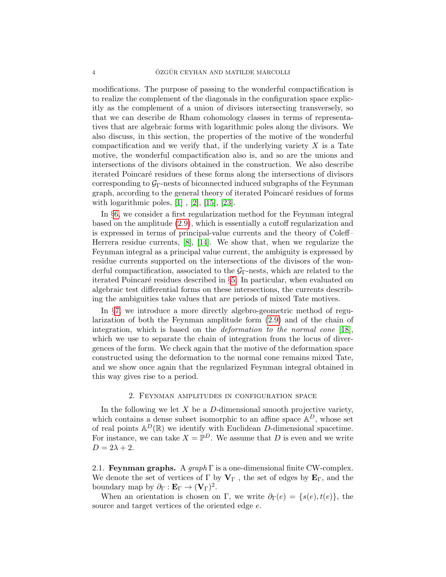modifications. The purpose of passing to the wonderful compactification is to realize the complement of the diagonals in the configuration space explicitly as the complement of a union of divisors intersecting transversely, so that we can describe de Rham cohomology classes in terms of representatives that are algebraic forms with logarithmic poles along the divisors. We also discuss, in this section, the properties of the motive of the wonderful compactification and we verify that, if the underlying variety  $X$  is a Tate motive, the wonderful compactification also is, and so are the unions and intersections of the divisors obtained in the construction. We also describe iterated Poincar´e residues of these forms along the intersections of divisors corresponding to  $\mathcal{G}_{\Gamma}$ -nests of biconnected induced subgraphs of the Feynman graph, according to the general theory of iterated Poincaré residues of forms with logarithmic poles,  $[1]$ ,  $[2]$ ,  $[15]$ ,  $[23]$ .

In §[6,](#page-39-0) we consider a first regularization method for the Feynman integral based on the amplitude [\(2.9\)](#page-6-0), which is essentially a cutoff regularization and is expressed in terms of principal-value currents and the theory of Coleff– Herrera residue currents, [\[8\]](#page-52-9), [\[14\]](#page-52-10). We show that, when we regularize the Feynman integral as a principal value current, the ambiguity is expressed by residue currents supported on the intersections of the divisors of the wonderful compactification, associated to the  $G<sub>Γ</sub>$ -nests, which are related to the iterated Poincaré residues described in §[5.](#page-30-0) In particular, when evaluated on algebraic test differential forms on these intersections, the currents describing the ambiguities take values that are periods of mixed Tate motives.

In §[7,](#page-44-0) we introduce a more directly algebro-geometric method of regularization of both the Feynman amplitude form [\(2.9\)](#page-6-0) and of the chain of integration, which is based on the deformation to the normal cone [\[18\]](#page-52-11), which we use to separate the chain of integration from the locus of divergences of the form. We check again that the motive of the deformation space constructed using the deformation to the normal cone remains mixed Tate, and we show once again that the regularized Feynman integral obtained in this way gives rise to a period.

### 2. Feynman amplitudes in configuration space

<span id="page-3-0"></span>In the following we let  $X$  be a  $D$ -dimensional smooth projective variety, which contains a dense subset isomorphic to an affine space  $A<sup>D</sup>$ , whose set of real points  $\mathbb{A}^D(\mathbb{R})$  we identify with Euclidean D-dimensional spacetime. For instance, we can take  $X = \mathbb{P}^D$ . We assume that D is even and we write  $D = 2\lambda + 2.$ 

<span id="page-3-1"></span>2.1. Feynman graphs. A  $graph \Gamma$  is a one-dimensional finite CW-complex. We denote the set of vertices of  $\Gamma$  by  $V_{\Gamma}$ , the set of edges by  $E_{\Gamma}$ , and the boundary map by  $\partial_{\Gamma} : \mathbf{E}_{\Gamma} \to (\mathbf{V}_{\Gamma})^2$ .

When an orientation is chosen on Γ, we write  $\partial_{\Gamma}(e) = \{s(e), t(e)\}\$ , the source and target vertices of the oriented edge e.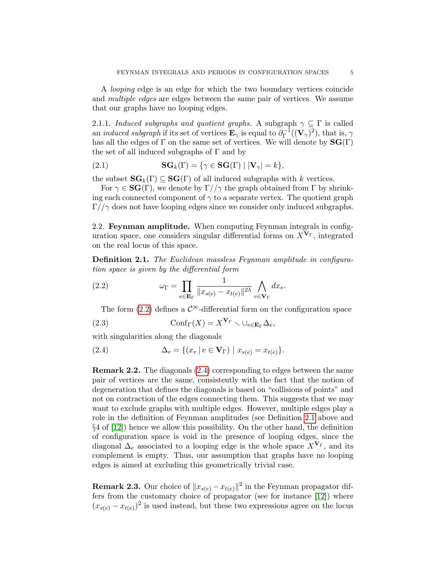A looping edge is an edge for which the two boundary vertices coincide and multiple edges are edges between the same pair of vertices. We assume that our graphs have no looping edges.

2.1.1. Induced subgraphs and quotient graphs. A subgraph  $\gamma \subseteq \Gamma$  is called an *induced subgraph* if its set of vertices  $\mathbf{E}_{\gamma}$  is equal to  $\partial_{\Gamma}^{-1}$  $\mathcal{L}^{-1}_\Gamma((\mathbf{V}_\gamma)^2),$  that is,  $\gamma$ has all the edges of  $\Gamma$  on the same set of vertices. We will denote by  $\mathbf{SG}(\Gamma)$ the set of all induced subgraphs of  $\Gamma$  and by

(2.1) 
$$
\mathbf{SG}_k(\Gamma) = \{ \gamma \in \mathbf{SG}(\Gamma) \mid |\mathbf{V}_{\gamma}| = k \},
$$

the subset  $\mathbf{SG}_k(\Gamma) \subseteq \mathbf{SG}(\Gamma)$  of all induced subgraphs with k vertices.

For  $\gamma \in \mathbf{SG}(\Gamma)$ , we denote by  $\Gamma//\gamma$  the graph obtained from  $\Gamma$  by shrinking each connected component of  $\gamma$  to a separate vertex. The quotient graph  $\Gamma/\gamma$  does not have looping edges since we consider only induced subgraphs.

<span id="page-4-0"></span>2.2. Feynman amplitude. When computing Feynman integrals in configuration space, one considers singular differential forms on  $X^{\mathbf{V}_{\Gamma}}$ , integrated on the real locus of this space.

<span id="page-4-3"></span>Definition 2.1. The Euclidean massless Feynman amplitude in configuration space is given by the differential form

(2.2) 
$$
\omega_{\Gamma} = \prod_{e \in \mathbf{E}_{\Gamma}} \frac{1}{\|x_{s(e)} - x_{t(e)}\|^{2\lambda}} \bigwedge_{v \in \mathbf{V}_{\Gamma}} dx_v.
$$

<span id="page-4-4"></span><span id="page-4-1"></span>The form [\(2.2\)](#page-4-1) defines a  $\mathcal{C}^{\infty}$ -differential form on the configuration space

(2.3) 
$$
\operatorname{Conf}_{\Gamma}(X) = X^{\mathbf{V}_{\Gamma}} \setminus \cup_{e \in \mathbf{E}_{\Gamma}} \Delta_e,
$$

with singularities along the diagonals

<span id="page-4-2"></span>(2.4) 
$$
\Delta_e = \{ (x_v | v \in V_\Gamma) | x_{s(e)} = x_{t(e)} \}.
$$

Remark 2.2. The diagonals [\(2.4\)](#page-4-2) corresponding to edges between the same pair of vertices are the same, consistently with the fact that the notion of degeneration that defines the diagonals is based on "collisions of points" and not on contraction of the edges connecting them. This suggests that we may want to exclude graphs with multiple edges. However, multiple edges play a role in the definition of Feynman amplitudes (see Definition [2.1](#page-4-3) above and §4 of [\[12\]](#page-52-1)) hence we allow this possibility. On the other hand, the definition of configuration space is void in the presence of looping edges, since the diagonal  $\Delta_e$  associated to a looping edge is the whole space  $X^{\mathbf{V}_{\Gamma}}$ , and its complement is empty. Thus, our assumption that graphs have no looping edges is aimed at excluding this geometrically trivial case.

**Remark 2.3.** Our choice of  $||x_{s(e)} - x_{t(e)}||^2$  in the Feynman propagator differs from the customary choice of propagator (see for instance [\[12\]](#page-52-1)) where  $(x_{s(e)} - x_{t(e)})^2$  is used instead, but these two expressions agree on the locus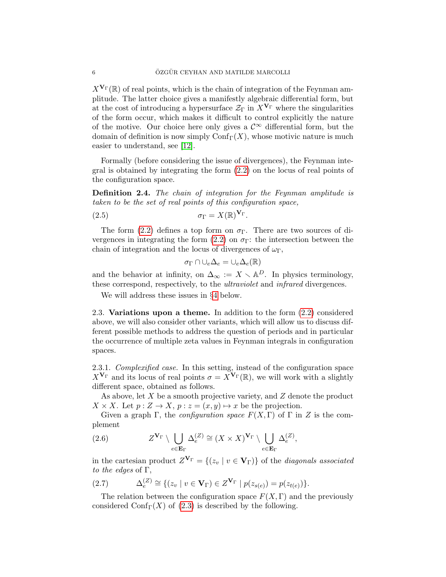$X^{\mathbf{V}_{\Gamma}}(\mathbb{R})$  of real points, which is the chain of integration of the Feynman amplitude. The latter choice gives a manifestly algebraic differential form, but at the cost of introducing a hypersurface  $\mathcal{Z}_{\Gamma}$  in  $X^{\mathbf{V}_{\Gamma}}$  where the singularities of the form occur, which makes it difficult to control explicitly the nature of the motive. Our choice here only gives a  $\mathcal{C}^{\infty}$  differential form, but the domain of definition is now simply  $\mathrm{Conf}_{\Gamma}(X)$ , whose motivic nature is much easier to understand, see [\[12\]](#page-52-1).

Formally (before considering the issue of divergences), the Feynman integral is obtained by integrating the form [\(2.2\)](#page-4-1) on the locus of real points of the configuration space.

Definition 2.4. The chain of integration for the Feynman amplitude is taken to be the set of real points of this configuration space,

$$
\sigma_{\Gamma} = X(\mathbb{R})^{\mathbf{V}_{\Gamma}}.
$$

The form [\(2.2\)](#page-4-1) defines a top form on  $\sigma_{\Gamma}$ . There are two sources of di-vergences in integrating the form [\(2.2\)](#page-4-1) on  $\sigma_{\Gamma}$ : the intersection between the chain of integration and the locus of divergences of  $\omega_{\Gamma}$ ,

<span id="page-5-2"></span>
$$
\sigma_{\Gamma} \cap \cup_e \Delta_e = \cup_e \Delta_e(\mathbb{R})
$$

and the behavior at infinity, on  $\Delta_{\infty} := X \setminus \mathbb{A}^D$ . In physics terminology, these correspond, respectively, to the ultraviolet and infrared divergences.

We will address these issues in §[4](#page-13-0) below.

<span id="page-5-0"></span>2.3. Variations upon a theme. In addition to the form [\(2.2\)](#page-4-1) considered above, we will also consider other variants, which will allow us to discuss different possible methods to address the question of periods and in particular the occurrence of multiple zeta values in Feynman integrals in configuration spaces.

2.3.1. Complexified case. In this setting, instead of the configuration space  $X^{\mathbf{V}_{\Gamma}}$  and its locus of real points  $\sigma = \tilde{X}^{\mathbf{V}_{\Gamma}}(\mathbb{R})$ , we will work with a slightly different space, obtained as follows.

As above, let X be a smooth projective variety, and Z denote the product  $X \times X$ . Let  $p: Z \to X$ ,  $p: z = (x, y) \mapsto x$  be the projection.

Given a graph Γ, the *configuration space*  $F(X, \Gamma)$  of Γ in Z is the complement

(2.6) 
$$
Z^{\mathbf{V}_{\Gamma}} \setminus \bigcup_{e \in \mathbf{E}_{\Gamma}} \Delta_e^{(Z)} \cong (X \times X)^{\mathbf{V}_{\Gamma}} \setminus \bigcup_{e \in \mathbf{E}_{\Gamma}} \Delta_e^{(Z)},
$$

in the cartesian product  $Z^{\mathbf{V}_{\Gamma}} = \{(z_v \mid v \in \mathbf{V}_{\Gamma})\}$  of the *diagonals associated* to the edges of  $\Gamma$ ,

<span id="page-5-1"></span>(2.7) 
$$
\Delta_e^{(Z)} \cong \{(z_v \mid v \in \mathbf{V}_{\Gamma}) \in Z^{\mathbf{V}_{\Gamma}} \mid p(z_{s(e)}) = p(z_{t(e)})\}.
$$

The relation between the configuration space  $F(X, \Gamma)$  and the previously considered Conf $\Gamma(X)$  of [\(2.3\)](#page-4-4) is described by the following.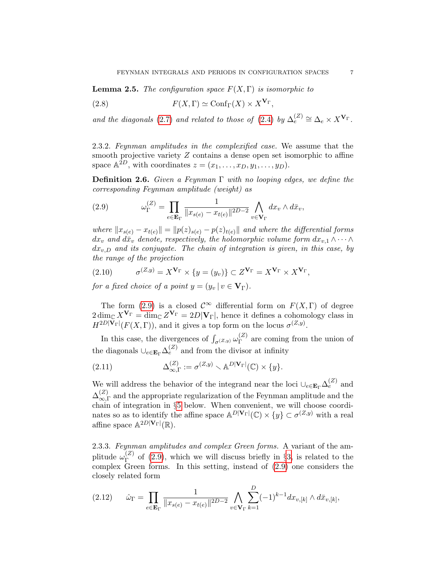**Lemma 2.5.** The configuration space  $F(X, \Gamma)$  is isomorphic to

(2.8) 
$$
F(X,\Gamma) \simeq \text{Conf}_{\Gamma}(X) \times X^{\mathbf{V}_{\Gamma}},
$$

and the diagonals [\(2.7\)](#page-5-1) and related to those of [\(2.4\)](#page-4-2) by  $\Delta_e^{(Z)} \cong \Delta_e \times X^{\mathbf{V}_{\Gamma}}$ .

<span id="page-6-3"></span>2.3.2. Feynman amplitudes in the complexified case. We assume that the smooth projective variety  $Z$  contains a dense open set isomorphic to affine space  $\mathbb{A}^{\bar{2}D}$ , with coordinates  $z = (x_1, \ldots, x_D, y_1, \ldots, y_D)$ .

<span id="page-6-4"></span>**Definition 2.6.** Given a Feynman  $\Gamma$  with no looping edges, we define the corresponding Feynman amplitude (weight) as

<span id="page-6-0"></span>(2.9) 
$$
\omega_{\Gamma}^{(Z)} = \prod_{e \in \mathbf{E}_{\Gamma}} \frac{1}{\|x_{s(e)} - x_{t(e)}\|^{2D-2}} \bigwedge_{v \in \mathbf{V}_{\Gamma}} dx_v \wedge d\bar{x}_v,
$$

where  $||x_{s(e)} - x_{t(e)}|| = ||p(z)_{s(e)} - p(z)_{t(e)}||$  and where the differential forms  $dx_v$  and  $d\bar{x}_v$  denote, respectively, the holomorphic volume form  $dx_{v,1} \wedge \cdots \wedge dx_v$  $dx_{v,D}$  and its conjugate. The chain of integration is given, in this case, by the range of the projection

<span id="page-6-5"></span>(2.10) 
$$
\sigma^{(Z,y)} = X^{\mathbf{V}_{\Gamma}} \times \{y = (y_v)\} \subset Z^{\mathbf{V}_{\Gamma}} = X^{\mathbf{V}_{\Gamma}} \times X^{\mathbf{V}_{\Gamma}},
$$

for a fixed choice of a point  $y = (y_v | v \in V_\Gamma)$ .

The form [\(2.9\)](#page-6-0) is a closed  $\mathcal{C}^{\infty}$  differential form on  $F(X,\Gamma)$  of degree  $2\dim_{\mathbb{C}} X^{\mathbf{V}_{\Gamma}} = \dim_{\mathbb{C}} Z^{\mathbf{V}_{\Gamma}} = 2D|\mathbf{V}_{\Gamma}|$ , hence it defines a cohomology class in  $H^{2D|\mathbf{V}_{\Gamma}|}(F(X,\Gamma)),$  and it gives a top form on the locus  $\sigma^{(Z,y)}$ .

In this case, the divergences of  $\int_{\sigma^{(Z,y)}} \omega_{\Gamma}^{(Z)}$  $T<sup>(2)</sup>$  are coming from the union of the diagonals  $\cup_{e \in \mathbf{E}_{\Gamma}} \Delta_e^{(Z)}$  and from the divisor at infinity

(2.11) 
$$
\Delta_{\infty,\Gamma}^{(Z)} := \sigma^{(Z,y)} \smallsetminus \mathbb{A}^{D|\mathbf{V}_{\Gamma}|}(\mathbb{C}) \times \{y\}.
$$

We will address the behavior of the integrand near the loci  $\cup_{e \in \mathbf{E}_{\Gamma}} \Delta_e^{(Z)}$  and  $\Delta_{\infty}^{(Z)}$  $\frac{z}{z}$  and the appropriate regularization of the Feynman amplitude and the chain of integration in §[5](#page-30-0) below. When convenient, we will choose coordinates so as to identify the affine space  $\mathbb{A}^{D|\mathbf{V}_{\Gamma}|}(\mathbb{C}) \times \{y\} \subset \sigma^{(Z,y)}$  with a real affine space  $\mathbb{A}^{2D|\mathbf{V}_{\Gamma}|}(\mathbb{R})$ .

<span id="page-6-2"></span>2.3.3. Feynman amplitudes and complex Green forms. A variant of the amplitude  $\omega_{\Gamma}^{(Z)}$  $\Gamma$ <sup>(2)</sup> of [\(2.9\)](#page-6-0), which we will discuss briefly in §[3,](#page-7-0) is related to the complex Green forms. In this setting, instead of [\(2.9\)](#page-6-0) one considers the closely related form

<span id="page-6-1"></span>
$$
(2.12) \qquad \hat{\omega}_{\Gamma} = \prod_{e \in \mathbf{E}_{\Gamma}} \frac{1}{\|x_{s(e)} - x_{t(e)}\|^{2D-2}} \bigwedge_{v \in \mathbf{V}_{\Gamma}} \sum_{k=1}^{D} (-1)^{k-1} dx_{v,[k]} \wedge d\bar{x}_{v,[k]},
$$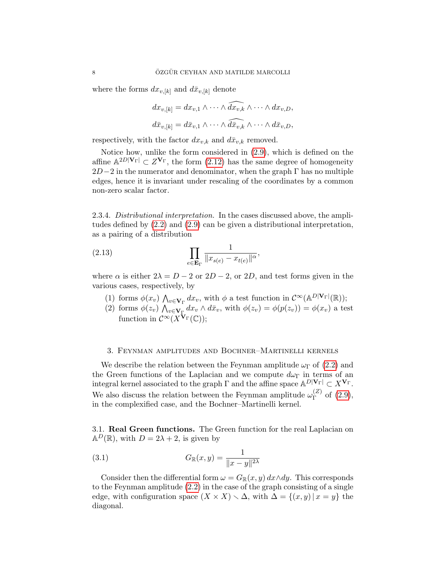where the forms  $dx_{v,[k]}$  and  $d\bar{x}_{v,[k]}$  denote

$$
dx_{v,[k]} = dx_{v,1} \wedge \cdots \wedge \widehat{dx_{v,k}} \wedge \cdots \wedge dx_{v,D},
$$
  

$$
d\bar{x}_{v,[k]} = d\bar{x}_{v,1} \wedge \cdots \wedge \widehat{dx_{v,k}} \wedge \cdots \wedge d\bar{x}_{v,D},
$$

respectively, with the factor  $dx_{v,k}$  and  $d\bar{x}_{v,k}$  removed.

Notice how, unlike the form considered in [\(2.9\)](#page-6-0), which is defined on the affine  $\mathbb{A}^{2D|\mathbf{V}_{\Gamma}|} \subset Z^{\mathbf{V}_{\Gamma}}$ , the form  $(2.12)$  has the same degree of homogeneity  $2D-2$  in the numerator and denominator, when the graph  $\Gamma$  has no multiple edges, hence it is invariant under rescaling of the coordinates by a common non-zero scalar factor.

<span id="page-7-2"></span>2.3.4. Distributional interpretation. In the cases discussed above, the amplitudes defined by [\(2.2\)](#page-4-1) and [\(2.9\)](#page-6-0) can be given a distributional interpretation, as a pairing of a distribution

$$
(2.13)\qquad \qquad \prod_{e \in \mathbf{E}_{\Gamma}} \frac{1}{\|x_{s(e)} - x_{t(e)}\|^{\alpha}}
$$

where  $\alpha$  is either  $2\lambda = D - 2$  or  $2D - 2$ , or  $2D$ , and test forms given in the various cases, respectively, by

- (1) forms  $\phi(x_v) \bigwedge_{v \in \mathbf{V}_{\Gamma}} dx_v$ , with  $\phi$  a test function in  $\mathcal{C}^{\infty}(\mathbb{A}^{D|\mathbf{V}_{\Gamma}|}(\mathbb{R}))$ ;  $v \in V_\Gamma$
- (2) forms  $\phi(z_v) \bigwedge_{v \in \mathbf{V}_{\Gamma}} dx_v \wedge d\bar{x}_v$ , with  $\phi(z_v) = \phi(p(z_v)) = \phi(x_v)$  a test function in  $\mathcal{C}^{\infty}(X^{\mathbf{\dot{V}}_{\Gamma}}(\mathbb{C}))$ ;

,

### <span id="page-7-0"></span>3. Feynman amplitudes and Bochner–Martinelli kernels

We describe the relation between the Feynman amplitude  $\omega_{\Gamma}$  of [\(2.2\)](#page-4-1) and the Green functions of the Laplacian and we compute  $d\omega_{\Gamma}$  in terms of an integral kernel associated to the graph  $\Gamma$  and the affine space  $\mathbb{A}^{D|\mathbf{V}_{\Gamma}|} \subset X^{\mathbf{V}_{\Gamma}}$ . We also discuss the relation between the Feynman amplitude  $\omega_{\Gamma}^{(Z)}$  $_{\Gamma}^{(2)}$  of  $(2.9)$ , in the complexified case, and the Bochner–Martinelli kernel.

<span id="page-7-1"></span>3.1. Real Green functions. The Green function for the real Laplacian on  $\mathbb{A}^D(\mathbb{R})$ , with  $D = 2\lambda + 2$ , is given by

(3.1) 
$$
G_{\mathbb{R}}(x,y) = \frac{1}{\|x-y\|^{2\lambda}}
$$

Consider then the differential form  $\omega = G_{\mathbb{R}}(x, y) dx \wedge dy$ . This corresponds to the Feynman amplitude [\(2.2\)](#page-4-1) in the case of the graph consisting of a single edge, with configuration space  $(X \times X) \setminus \Delta$ , with  $\Delta = \{(x, y) | x = y\}$  the diagonal.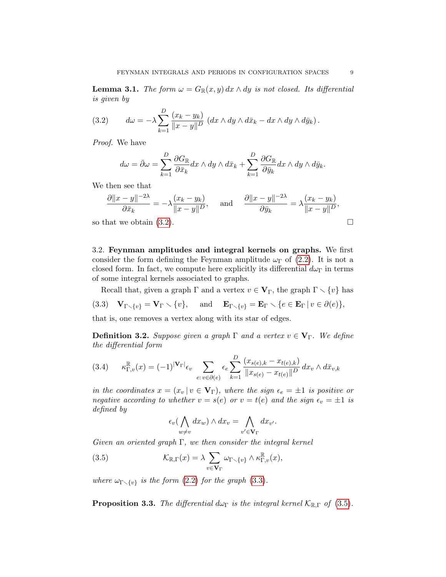**Lemma 3.1.** The form  $\omega = G_{\mathbb{R}}(x, y) dx \wedge dy$  is not closed. Its differential is given by

<span id="page-8-1"></span>(3.2) 
$$
d\omega = -\lambda \sum_{k=1}^{D} \frac{(x_k - y_k)}{\|x - y\|^D} \left( dx \wedge dy \wedge d\bar{x}_k - dx \wedge dy \wedge d\bar{y}_k \right).
$$

Proof. We have

$$
d\omega = \bar{\partial}\omega = \sum_{k=1}^{D} \frac{\partial G_{\mathbb{R}}}{\partial \bar{x}_k} dx \wedge dy \wedge d\bar{x}_k + \sum_{k=1}^{D} \frac{\partial G_{\mathbb{R}}}{\partial \bar{y}_k} dx \wedge dy \wedge d\bar{y}_k.
$$

We then see that

$$
\frac{\partial ||x - y||^{-2\lambda}}{\partial \bar{x}_k} = -\lambda \frac{(x_k - y_k)}{||x - y||^D}, \quad \text{and} \quad \frac{\partial ||x - y||^{-2\lambda}}{\partial \bar{y}_k} = \lambda \frac{(x_k - y_k)}{||x - y||^D},
$$

so that we obtain  $(3.2)$ .

<span id="page-8-0"></span>3.2. Feynman amplitudes and integral kernels on graphs. We first consider the form defining the Feynman amplitude  $\omega_{\Gamma}$  of [\(2.2\)](#page-4-1). It is not a closed form. In fact, we compute here explicitly its differential  $d\omega_{\Gamma}$  in terms of some integral kernels associated to graphs.

<span id="page-8-2"></span>Recall that, given a graph  $\Gamma$  and a vertex  $v \in V_{\Gamma}$ , the graph  $\Gamma \setminus \{v\}$  has (3.3)  $\mathbf{V}_{\Gamma \setminus \{v\}} = \mathbf{V}_{\Gamma} \setminus \{v\}, \text{ and } \mathbf{E}_{\Gamma \setminus \{v\}} = \mathbf{E}_{\Gamma} \setminus \{e \in \mathbf{E}_{\Gamma} \mid v \in \partial(e)\},$ that is, one removes a vertex along with its star of edges.

**Definition 3.2.** Suppose given a graph  $\Gamma$  and a vertex  $v \in V_{\Gamma}$ . We define the differential form

$$
(3.4) \qquad \kappa_{\Gamma,v}^{\mathbb{R}}(x) = (-1)^{|\mathbf{V}_{\Gamma}|} \epsilon_v \sum_{e:\,v \in \partial(e)} \epsilon_e \sum_{k=1}^D \frac{(x_{s(e),k} - x_{t(e),k})}{\|x_{s(e)} - x_{t(e)}\|^D} dx_v \wedge d\bar{x}_{v,k}
$$

in the coordinates  $x = (x_v | v \in V_\Gamma)$ , where the sign  $\epsilon_e = \pm 1$  is positive or negative according to whether  $v = s(e)$  or  $v = t(e)$  and the sign  $\epsilon_v = \pm 1$  is defined by

<span id="page-8-3"></span>
$$
\epsilon_v \big(\bigwedge_{w \neq v} dx_w\big) \wedge dx_v = \bigwedge_{v' \in \mathbf{V}_{\Gamma}} dx_{v'}.
$$

Given an oriented graph  $\Gamma$ , we then consider the integral kernel

(3.5) 
$$
\mathcal{K}_{\mathbb{R},\Gamma}(x) = \lambda \sum_{v \in \mathbf{V}_{\Gamma}} \omega_{\Gamma \setminus \{v\}} \wedge \kappa_{\Gamma,v}^{\mathbb{R}}(x),
$$

where  $\omega_{\Gamma \setminus \{v\}}$  is the form [\(2.2\)](#page-4-1) for the graph [\(3.3\)](#page-8-2).

<span id="page-8-4"></span>**Proposition 3.3.** The differential d $\omega_{\Gamma}$  is the integral kernel  $\mathcal{K}_{\mathbb{R},\Gamma}$  of [\(3.5\)](#page-8-3).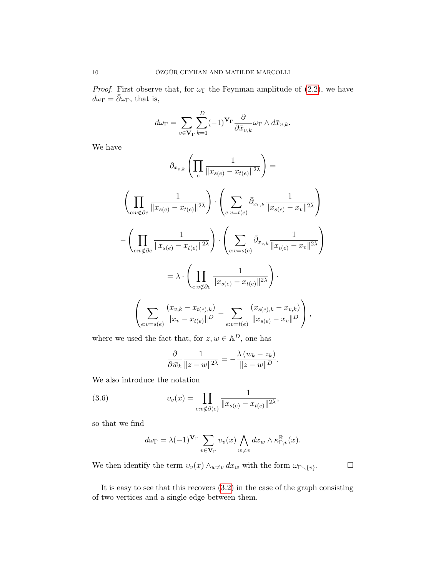*Proof.* First observe that, for  $\omega_{\Gamma}$  the Feynman amplitude of [\(2.2\)](#page-4-1), we have  $d\omega_{\Gamma} = \bar{\partial}\omega_{\Gamma}$ , that is,

$$
d\omega_{\Gamma} = \sum_{v \in \mathbf{V}_{\Gamma}} \sum_{k=1}^{D} (-1)^{\mathbf{V}_{\Gamma}} \frac{\partial}{\partial \bar{x}_{v,k}} \omega_{\Gamma} \wedge d\bar{x}_{v,k}.
$$

We have

$$
\partial_{\bar{x}_{v,k}} \left( \prod_{e} \frac{1}{\|x_{s(e)} - x_{t(e)}\|^{2\lambda}} \right) =
$$
\n
$$
\left( \prod_{e:v \notin \partial e} \frac{1}{\|x_{s(e)} - x_{t(e)}\|^{2\lambda}} \right) \cdot \left( \sum_{e:v = t(e)} \bar{\partial}_{x_{v,k}} \frac{1}{\|x_{s(e)} - x_v\|^{2\lambda}} \right)
$$
\n
$$
- \left( \prod_{e:v \notin \partial e} \frac{1}{\|x_{s(e)} - x_{t(e)}\|^{2\lambda}} \right) \cdot \left( \sum_{e:v = s(e)} \bar{\partial}_{x_{v,k}} \frac{1}{\|x_{t(e)} - x_v\|^{2\lambda}} \right)
$$
\n
$$
= \lambda \cdot \left( \prod_{e:v \notin \partial e} \frac{1}{\|x_{s(e)} - x_{t(e)}\|^{2\lambda}} \right) \cdot \left( \sum_{e:v = s(e)} \frac{(x_{s(e),k} - x_{v,k})}{\|x_{s(e)} - x_v\|^{D}} \right),
$$

where we used the fact that, for  $z, w \in \mathbb{A}^D$ , one has

$$
\frac{\partial}{\partial \bar{w}_k} \frac{1}{\|z - w\|^{2\lambda}} = -\frac{\lambda (w_k - z_k)}{\|z - w\|^{D}}.
$$

We also introduce the notation

(3.6) 
$$
v_v(x) = \prod_{e: v \notin \partial(e)} \frac{1}{\|x_{s(e)} - x_{t(e)}\|^{2\lambda}},
$$

so that we find

$$
d\omega_{\Gamma} = \lambda (-1)^{\mathbf{V}_{\Gamma}} \sum_{v \in \mathbf{V}_{\Gamma}} v_v(x) \bigwedge_{w \neq v} dx_w \wedge \kappa_{\Gamma,v}^{\mathbb{R}}(x).
$$

We then identify the term  $v_v(x) \wedge_{w \neq v} dx_w$  with the form  $\omega_{\Gamma \smallsetminus \{v\}}$ .

 $\Box$ 

It is easy to see that this recovers [\(3.2\)](#page-8-1) in the case of the graph consisting of two vertices and a single edge between them.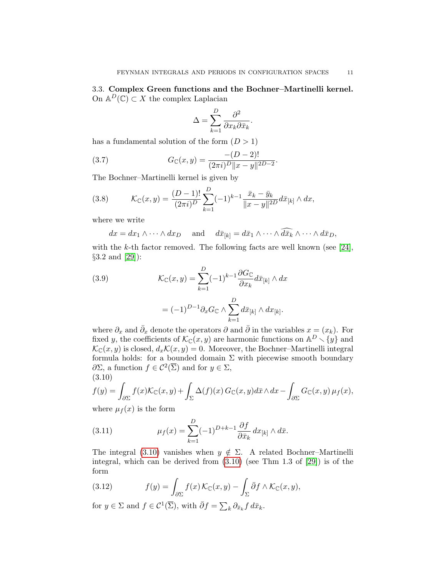<span id="page-10-0"></span>3.3. Complex Green functions and the Bochner–Martinelli kernel. On  $\mathbb{A}^D(\mathbb{C}) \subset X$  the complex Laplacian

$$
\Delta = \sum_{k=1}^{D} \frac{\partial^2}{\partial x_k \partial \bar{x}_k}.
$$

has a fundamental solution of the form  $(D > 1)$ 

(3.7) 
$$
G_{\mathbb{C}}(x,y) = \frac{-(D-2)!}{(2\pi i)^D ||x-y||^{2D-2}}.
$$

The Bochner–Martinelli kernel is given by

(3.8) 
$$
\mathcal{K}_{\mathbb{C}}(x,y) = \frac{(D-1)!}{(2\pi i)^D} \sum_{k=1}^D (-1)^{k-1} \frac{\bar{x}_k - \bar{y}_k}{\|x-y\|^{2D}} d\bar{x}_{[k]} \wedge dx,
$$

where we write

$$
dx = dx_1 \wedge \cdots \wedge dx_D
$$
 and  $d\bar{x}_{[k]} = d\bar{x}_1 \wedge \cdots \wedge d\bar{x}_k \wedge \cdots \wedge d\bar{x}_D$ ,

with the k-th factor removed. The following facts are well known (see [\[24\]](#page-52-3),  $§3.2$  and  $[29]$ :

(3.9) 
$$
\mathcal{K}_{\mathbb{C}}(x, y) = \sum_{k=1}^{D} (-1)^{k-1} \frac{\partial G_{\mathbb{C}}}{\partial x_k} d\bar{x}_{[k]} \wedge dx
$$

$$
= (-1)^{D-1} \partial_x G_{\mathbb{C}} \wedge \sum_{k=1}^{D} d\bar{x}_{[k]} \wedge dx_{[k]}.
$$

where  $\partial_x$  and  $\bar{\partial}_x$  denote the operators  $\partial$  and  $\bar{\partial}$  in the variables  $x = (x_k)$ . For fixed y, the coefficients of  $\mathcal{K}_{\mathbb{C}}(x, y)$  are harmonic functions on  $\mathbb{A}^D \setminus \{y\}$  and  $\mathcal{K}_{\mathbb{C}}(x, y)$  is closed,  $d_x\mathcal{K}(x, y) = 0$ . Moreover, the Bochner–Martinelli integral formula holds: for a bounded domain  $\Sigma$  with piecewise smooth boundary ∂Σ, a function  $f \in C^2(\overline{\Sigma})$  and for  $y \in \Sigma$ , (3.10)

<span id="page-10-1"></span>
$$
f(y) = \int_{\partial \Sigma} f(x) \mathcal{K}_{\mathbb{C}}(x, y) + \int_{\Sigma} \Delta(f)(x) G_{\mathbb{C}}(x, y) d\bar{x} \wedge dx - \int_{\partial \Sigma} G_{\mathbb{C}}(x, y) \mu_f(x),
$$

where  $\mu_f(x)$  is the form

(3.11) 
$$
\mu_f(x) = \sum_{k=1}^D (-1)^{D+k-1} \frac{\partial f}{\partial \bar{x}_k} dx_{[k]} \wedge d\bar{x}.
$$

The integral [\(3.10\)](#page-10-1) vanishes when  $y \notin \Sigma$ . A related Bochner–Martinelli integral, which can be derived from [\(3.10\)](#page-10-1) (see Thm 1.3 of [\[29\]](#page-53-2)) is of the form

<span id="page-10-2"></span>(3.12) 
$$
f(y) = \int_{\partial \Sigma} f(x) \mathcal{K}_{\mathbb{C}}(x, y) - \int_{\Sigma} \bar{\partial} f \wedge \mathcal{K}_{\mathbb{C}}(x, y),
$$

for  $y \in \Sigma$  and  $f \in \mathcal{C}^1(\overline{\Sigma})$ , with  $\overline{\partial} f = \sum_k \partial_{\overline{x}_k} f \, d\overline{x}_k$ .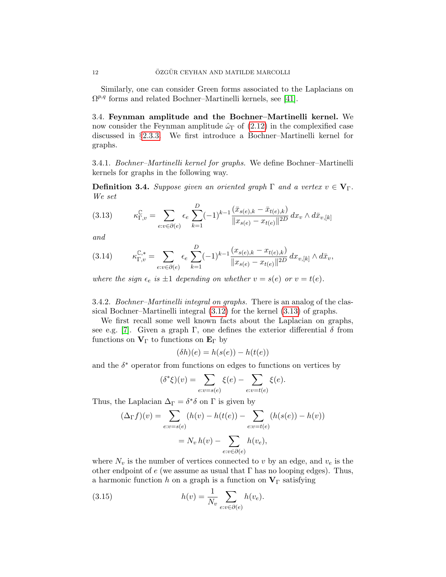Similarly, one can consider Green forms associated to the Laplacians on  $\Omega^{p,q}$  forms and related Bochner–Martinelli kernels, see [\[41\]](#page-53-3).

<span id="page-11-0"></span>3.4. Feynman amplitude and the Bochner–Martinelli kernel. We now consider the Feynman amplitude  $\hat{\omega}_{\Gamma}$  of [\(2.12\)](#page-6-1) in the complexified case discussed in §[2.3.3.](#page-6-2) We first introduce a Bochner–Martinelli kernel for graphs.

3.4.1. Bochner–Martinelli kernel for graphs. We define Bochner–Martinelli kernels for graphs in the following way.

**Definition 3.4.** Suppose given an oriented graph  $\Gamma$  and a vertex  $v \in V_{\Gamma}$ . We set

<span id="page-11-1"></span>
$$
(3.13) \qquad \kappa_{\Gamma,v}^{\mathbb{C}} = \sum_{e:v \in \partial(e)} \epsilon_e \sum_{k=1}^{D} (-1)^{k-1} \frac{(\bar{x}_{s(e),k} - \bar{x}_{t(e),k})}{\|x_{s(e)} - x_{t(e)}\|^{2D}} dx_v \wedge d\bar{x}_{v,[k]}
$$

and

$$
(3.14) \qquad \kappa_{\Gamma,v}^{\mathbb{C},*} = \sum_{e:v \in \partial(e)} \epsilon_e \sum_{k=1}^D (-1)^{k-1} \frac{(x_{s(e),k} - x_{t(e),k})}{\|x_{s(e)} - x_{t(e)}\|^{2D}} dx_{v,[k]} \wedge d\bar{x}_v,
$$

where the sign  $\epsilon_e$  is  $\pm 1$  depending on whether  $v = s(e)$  or  $v = t(e)$ .

3.4.2. Bochner–Martinelli integral on graphs. There is an analog of the classical Bochner–Martinelli integral [\(3.12\)](#page-10-2) for the kernel [\(3.13\)](#page-11-1) of graphs.

We first recall some well known facts about the Laplacian on graphs, see e.g. [\[7\]](#page-52-12). Given a graph Γ, one defines the exterior differential  $\delta$  from functions on  $V_{\Gamma}$  to functions on  $E_{\Gamma}$  by

$$
(\delta h)(e) = h(s(e)) - h(t(e))
$$

and the  $\delta^*$  operator from functions on edges to functions on vertices by

$$
(\delta^*\xi)(v) = \sum_{e:v=s(e)} \xi(e) - \sum_{e:v=t(e)} \xi(e).
$$

Thus, the Laplacian  $\Delta_{\Gamma} = \delta^* \delta$  on  $\Gamma$  is given by

$$
(\Delta_{\Gamma} f)(v) = \sum_{e:v=s(e)} (h(v) - h(t(e)) - \sum_{e:v=t(e)} (h(s(e)) - h(v))
$$

$$
= N_v h(v) - \sum_{e:v \in \partial(e)} h(v_e),
$$

where  $N_v$  is the number of vertices connected to v by an edge, and  $v_e$  is the other endpoint of e (we assume as usual that  $\Gamma$  has no looping edges). Thus, a harmonic function h on a graph is a function on  $V_{\Gamma}$  satisfying

<span id="page-11-2"></span>(3.15) 
$$
h(v) = \frac{1}{N_v} \sum_{e:v \in \partial(e)} h(v_e).
$$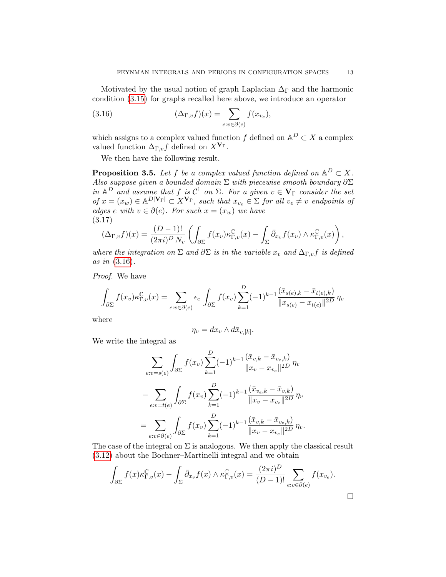Motivated by the usual notion of graph Laplacian  $\Delta_{\Gamma}$  and the harmonic condition [\(3.15\)](#page-11-2) for graphs recalled here above, we introduce an operator

<span id="page-12-0"></span>(3.16) 
$$
(\Delta_{\Gamma,v} f)(x) = \sum_{e:v \in \partial(e)} f(x_{v_e}),
$$

which assigns to a complex valued function f defined on  $\mathbb{A}^D \subset X$  a complex valued function  $\Delta_{\Gamma,v} f$  defined on  $X^{\mathbf{V}_{\Gamma}}$ .

We then have the following result.

**Proposition 3.5.** Let f be a complex valued function defined on  $\mathbb{A}^D \subset X$ . Also suppose given a bounded domain  $\Sigma$  with piecewise smooth boundary  $\partial \Sigma$ in  $\mathbb{A}^D$  and assume that f is  $\mathcal{C}^1$  on  $\overline{\Sigma}$ . For a given  $v \in V_{\Gamma}$  consider the set  $of x = (x_w) \in A^{D|\mathbf{V}_{\Gamma}|} \subset X^{\mathbf{V}_{\Gamma}}$ , such that  $x_{v_e} \in \Sigma$  for all  $v_e \neq v$  endpoints of edges e with  $v \in \partial(e)$ . For such  $x = (x_w)$  we have (3.17)

$$
(\Delta_{\Gamma,v}f)(x) = \frac{(D-1)!}{(2\pi i)^D N_v} \left( \int_{\partial \Sigma} f(x_v) \kappa_{\Gamma,v}^{\mathbb{C}}(x) - \int_{\Sigma} \bar{\partial}_{x_v} f(x_v) \wedge \kappa_{\Gamma,v}^{\mathbb{C}}(x) \right),
$$

where the integration on  $\Sigma$  and  $\partial \Sigma$  is in the variable  $x_v$  and  $\Delta_{\Gamma,v} f$  is defined as in [\(3.16\)](#page-12-0).

Proof. We have

$$
\int_{\partial \Sigma} f(x_v) \kappa_{\Gamma,v}^{\mathbb{C}}(x) dx = \sum_{e:v \in \partial(e)} \epsilon_e \int_{\partial \Sigma} f(x_v) \sum_{k=1}^D (-1)^{k-1} \frac{(\bar{x}_{s(e),k} - \bar{x}_{t(e),k})}{\|x_{s(e)} - x_{t(e)}\|^{2D}} \eta_v
$$

where

$$
\eta_v = dx_v \wedge d\bar{x}_{v,[k]}.
$$

We write the integral as

$$
\sum_{e:v=s(e)} \int_{\partial \Sigma} f(x_v) \sum_{k=1}^{D} (-1)^{k-1} \frac{(\bar{x}_{v,k} - \bar{x}_{v_e,k})}{\|x_v - x_{v_e}\|^{2D}} \eta_v
$$

$$
- \sum_{e:v=t(e)} \int_{\partial \Sigma} f(x_v) \sum_{k=1}^{D} (-1)^{k-1} \frac{(\bar{x}_{v_e,k} - \bar{x}_{v,k})}{\|x_v - x_{v_e}\|^{2D}} \eta_v
$$

$$
= \sum_{e:v \in \partial(e)} \int_{\partial \Sigma} f(x_v) \sum_{k=1}^{D} (-1)^{k-1} \frac{(\bar{x}_{v,k} - \bar{x}_{v_e,k})}{\|x_v - x_{v_e}\|^{2D}} \eta_v.
$$

The case of the integral on  $\Sigma$  is analogous. We then apply the classical result [\(3.12\)](#page-10-2) about the Bochner–Martinelli integral and we obtain

$$
\int_{\partial \Sigma} f(x) \kappa_{\Gamma,v}^{\mathbb{C}}(x) - \int_{\Sigma} \bar{\partial}_{x_v} f(x) \wedge \kappa_{\Gamma,v}^{\mathbb{C}}(x) = \frac{(2\pi i)^D}{(D-1)!} \sum_{e:v \in \partial(e)} f(x_{v_e}).
$$

 $\Box$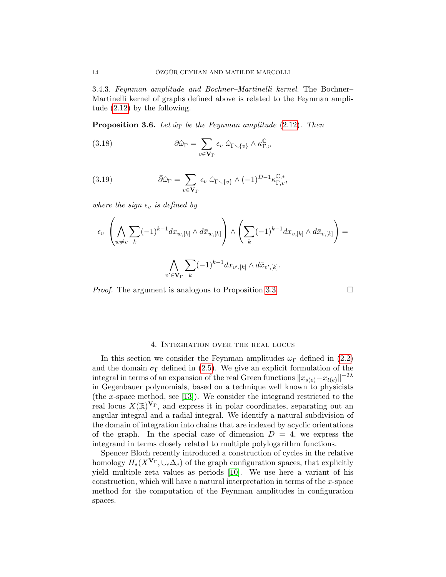3.4.3. Feynman amplitude and Bochner–Martinelli kernel. The Bochner– Martinelli kernel of graphs defined above is related to the Feynman amplitude [\(2.12\)](#page-6-1) by the following.

**Proposition 3.6.** Let  $\hat{\omega}_{\Gamma}$  be the Feynman amplitude [\(2.12\)](#page-6-1). Then

(3.18) 
$$
\partial \hat{\omega}_{\Gamma} = \sum_{v \in \mathbf{V}_{\Gamma}} \epsilon_v \hat{\omega}_{\Gamma \setminus \{v\}} \wedge \kappa_{\Gamma,v}^{\mathbb{C}}
$$

(3.19) 
$$
\bar{\partial}\hat{\omega}_{\Gamma} = \sum_{v \in \mathbf{V}_{\Gamma}} \epsilon_v \ \hat{\omega}_{\Gamma \setminus \{v\}} \wedge (-1)^{D-1} \kappa_{\Gamma,v}^{\mathbb{C},*},
$$

where the sign  $\epsilon_v$  is defined by

$$
\epsilon_v \left( \bigwedge_{w \neq v} \sum_k (-1)^{k-1} dx_{w,[k]} \wedge d\bar{x}_{w,[k]} \right) \wedge \left( \sum_k (-1)^{k-1} dx_{v,[k]} \wedge d\bar{x}_{v,[k]} \right) =
$$

$$
\bigwedge_{v' \in \mathbf{V}_{\Gamma}} \sum_k (-1)^{k-1} dx_{v',[k]} \wedge d\bar{x}_{v',[k]}.
$$

*Proof.* The argument is analogous to Proposition [3.3.](#page-8-4)

## 4. Integration over the real locus

<span id="page-13-0"></span>In this section we consider the Feynman amplitudes  $\omega_{\Gamma}$  defined in [\(2.2\)](#page-4-1) and the domain  $\sigma_{\Gamma}$  defined in [\(2.5\)](#page-5-2). We give an explicit formulation of the integral in terms of an expansion of the real Green functions  $\|x_{s(e)}-x_{t(e)}\|^{-2\lambda}$ in Gegenbauer polynomials, based on a technique well known to physicists (the x-space method, see [\[13\]](#page-52-4)). We consider the integrand restricted to the real locus  $X(\mathbb{R})^{\mathbf{V}_{\Gamma}}$ , and express it in polar coordinates, separating out an angular integral and a radial integral. We identify a natural subdivision of the domain of integration into chains that are indexed by acyclic orientations of the graph. In the special case of dimension  $D = 4$ , we express the integrand in terms closely related to multiple polylogarithm functions.

Spencer Bloch recently introduced a construction of cycles in the relative homology  $H_*(X^{\mathbf{V}_{\Gamma}}, \cup_e \Delta_e)$  of the graph configuration spaces, that explicitly yield multiple zeta values as periods [\[10\]](#page-52-13). We use here a variant of his construction, which will have a natural interpretation in terms of the  $x$ -space method for the computation of the Feynman amplitudes in configuration spaces.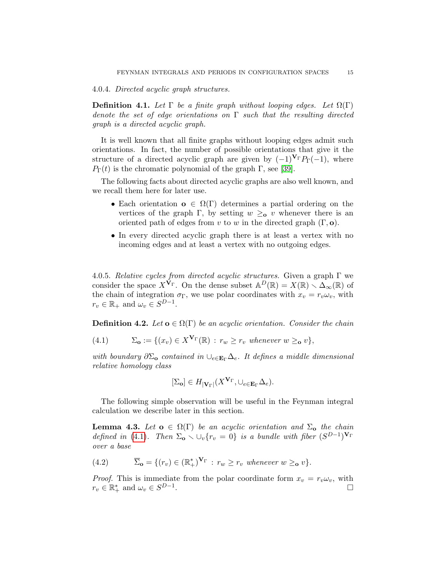4.0.4. Directed acyclic graph structures.

<span id="page-14-2"></span>**Definition 4.1.** Let  $\Gamma$  be a finite graph without looping edges. Let  $\Omega(\Gamma)$ denote the set of edge orientations on  $\Gamma$  such that the resulting directed graph is a directed acyclic graph.

It is well known that all finite graphs without looping edges admit such orientations. In fact, the number of possible orientations that give it the structure of a directed acyclic graph are given by  $(-1)^{V_{\Gamma}}P_{\Gamma}(-1)$ , where  $P_{\Gamma}(t)$  is the chromatic polynomial of the graph Γ, see [\[39\]](#page-53-4).

The following facts about directed acyclic graphs are also well known, and we recall them here for later use.

- Each orientation  $o \in \Omega(\Gamma)$  determines a partial ordering on the vertices of the graph Γ, by setting  $w \geq_0 v$  whenever there is an oriented path of edges from v to w in the directed graph  $(\Gamma, \mathbf{o})$ .
- In every directed acyclic graph there is at least a vertex with no incoming edges and at least a vertex with no outgoing edges.

4.0.5. Relative cycles from directed acyclic structures. Given a graph  $\Gamma$  we consider the space  $X^{\mathbf{V}_{\Gamma}}$ . On the dense subset  $\mathbb{A}^D(\mathbb{R}) = X(\mathbb{R}) \setminus \Delta_{\infty}(\mathbb{R})$  of the chain of integration  $\sigma_{\Gamma}$ , we use polar coordinates with  $x_v = r_v \omega_v$ , with  $r_v \in \mathbb{R}_+$  and  $\omega_v \in S^{D-1}$ .

<span id="page-14-1"></span>**Definition 4.2.** Let  $o \in \Omega(\Gamma)$  be an acyclic orientation. Consider the chain

<span id="page-14-0"></span>(4.1) 
$$
\Sigma_{\mathbf{o}} := \{ (x_v) \in X^{\mathbf{V}_{\Gamma}}(\mathbb{R}) : r_w \ge r_v \text{ whenever } w \ge \mathbf{o} \text{ } v \},
$$

with boundary  $\partial \Sigma_0$  contained in  $\cup_{e \in \mathbf{E}_{\Gamma}} \Delta_e$ . It defines a middle dimensional relative homology class

$$
[\Sigma_{\mathbf{o}}] \in H_{|\mathbf{V}_{\Gamma}|}(X^{\mathbf{V}_{\Gamma}}, \cup_{e \in \mathbf{E}_{\Gamma}} \Delta_e).
$$

The following simple observation will be useful in the Feynman integral calculation we describe later in this section.

**Lemma 4.3.** Let  $o \in \Omega(\Gamma)$  be an acyclic orientation and  $\Sigma_o$  the chain defined in [\(4.1\)](#page-14-0). Then  $\Sigma_0 \setminus \bigcup_v \{r_v = 0\}$  is a bundle with fiber  $(S^{D-1})^{\mathbf{V}_{\Gamma}}$ over a base

(4.2) 
$$
\overline{\Sigma}_{\mathbf{o}} = \{ (r_v) \in (\mathbb{R}_+^*)^{\mathbf{V}_{\Gamma}} : r_w \ge r_v \text{ whenever } w \ge \mathbf{o} \text{ } v \}.
$$

*Proof.* This is immediate from the polar coordinate form  $x_v = r_v \omega_v$ , with  $r_v \in \mathbb{R}_+^*$  and  $\omega_v \in S^{D-1}$ . В последните последните последните последните последните последните последните последните последните последн<br>В последните последните последните последните последните последните последните последните последните последнит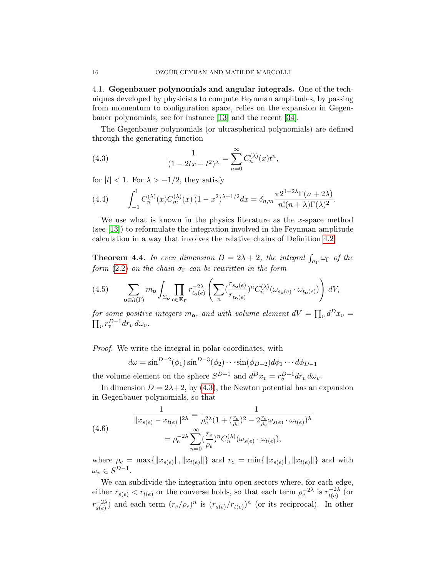<span id="page-15-0"></span>4.1. Gegenbauer polynomials and angular integrals. One of the techniques developed by physicists to compute Feynman amplitudes, by passing from momentum to configuration space, relies on the expansion in Gegenbauer polynomials, see for instance [\[13\]](#page-52-4) and the recent [\[34\]](#page-53-5).

The Gegenbauer polynomials (or ultraspherical polynomials) are defined through the generating function

<span id="page-15-1"></span>(4.3) 
$$
\frac{1}{(1 - 2tx + t^2)^{\lambda}} = \sum_{n=0}^{\infty} C_n^{(\lambda)}(x) t^n,
$$

for  $|t| < 1$ . For  $\lambda > -1/2$ , they satisfy

(4.4) 
$$
\int_{-1}^1 C_n^{(\lambda)}(x) C_m^{(\lambda)}(x) (1-x^2)^{\lambda-1/2} dx = \delta_{n,m} \frac{\pi 2^{1-2\lambda} \Gamma(n+2\lambda)}{n!(n+\lambda)\Gamma(\lambda)^2}.
$$

We use what is known in the physics literature as the  $x$ -space method (see [\[13\]](#page-52-4)) to reformulate the integration involved in the Feynman amplitude calculation in a way that involves the relative chains of Definition [4.2.](#page-14-1)

**Theorem 4.4.** In even dimension  $D = 2\lambda + 2$ , the integral  $\int_{\sigma_{\Gamma}} \omega_{\Gamma}$  of the form [\(2.2\)](#page-4-1) on the chain  $\sigma_{\Gamma}$  can be rewritten in the form

<span id="page-15-2"></span>
$$
(4.5) \qquad \sum_{\mathbf{o}\in\Omega(\Gamma)} m_{\mathbf{o}} \int_{\Sigma_{\mathbf{o}}} \prod_{e\in\mathbf{E}_{\Gamma}} r_{t_{\mathbf{o}}(e)}^{-2\lambda} \left( \sum_{n} \left( \frac{r_{s_{\mathbf{o}}(e)}}{r_{t_{\mathbf{o}}(e)}} \right)^{n} C_{n}^{(\lambda)}(\omega_{s_{\mathbf{o}}(e)} \cdot \omega_{t_{\mathbf{o}}(e)}) \right) dV,
$$

for some positive integers  $m_{\bf o}$ , and with volume element  $dV = \prod_v d^D x_v =$  $\prod_v r_v^{D-1} dr_v d\omega_v.$ 

Proof. We write the integral in polar coordinates, with

$$
d\omega = \sin^{D-2}(\phi_1)\sin^{D-3}(\phi_2)\cdots\sin(\phi_{D-2})d\phi_1\cdots d\phi_{D-1}
$$

the volume element on the sphere  $S^{D-1}$  and  $d^{D}x_{v} = r_{v}^{D-1}dr_{v} d\omega_{v}$ .

In dimension  $D = 2\lambda + 2$ , by [\(4.3\)](#page-15-1), the Newton potential has an expansion in Gegenbauer polynomials, so that

(4.6) 
$$
\frac{1}{\|x_{s(e)} - x_{t(e)}\|^{2\lambda}} = \frac{1}{\rho_e^{2\lambda} (1 + (\frac{r_e}{\rho_e})^2 - 2\frac{r_e}{\rho_e} \omega_{s(e)} \cdot \omega_{t(e)})^{\lambda}}
$$

$$
= \rho_e^{-2\lambda} \sum_{n=0}^{\infty} (\frac{r_e}{\rho_e})^n C_n^{(\lambda)}(\omega_{s(e)} \cdot \omega_{t(e)}),
$$

where  $\rho_e = \max{\{|x_{s(e)}\|, \|x_{t(e)}\|\}}$  and  $r_e = \min{\{|x_{s(e)}\|, \|x_{t(e)}\|\}}$  and with  $\omega_v \in S^{D-1}.$ 

We can subdivide the integration into open sectors where, for each edge, either  $r_{s(e)} < r_{t(e)}$  or the converse holds, so that each term  $\rho_e^{-2\lambda}$  is  $r_{t(e)}^{-2\lambda}$  $t(e)$ <sup>-2 $\lambda$ </sup> (or  $r_{s(e)}^{-2\lambda}$  $\binom{-2\lambda}{s(e)}$  and each term  $(r_e/\rho_e)^n$  is  $(r_{s(e)}/r_{t(e)})^n$  (or its reciprocal). In other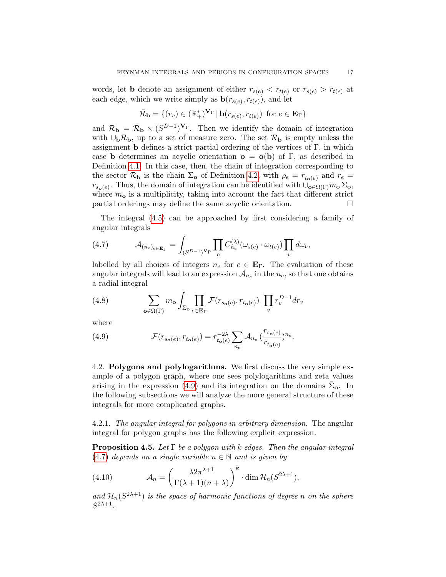words, let **b** denote an assignment of either  $r_{s(e)} < r_{t(e)}$  or  $r_{s(e)} > r_{t(e)}$  at each edge, which we write simply as  $\mathbf{b}(r_{s(e)}, r_{t(e)})$ , and let

$$
\bar{\mathcal{R}}_{\mathbf{b}} = \{ (r_v) \in (\mathbb{R}_+^*)^{\mathbf{V}_{\Gamma}} \mid \mathbf{b}(r_{s(e)}, r_{t(e)}) \text{ for } e \in \mathbf{E}_{\Gamma} \}
$$

and  $\mathcal{R}_{\bf b} = \bar{\mathcal{R}}_{\bf b} \times (S^{D-1})^{\mathbf{V}_{\Gamma}}$ . Then we identify the domain of integration with  $\cup_{\mathbf{b}}\mathcal{R}_{\mathbf{b}}$ , up to a set of measure zero. The set  $\mathcal{R}_{\mathbf{b}}$  is empty unless the assignment **b** defines a strict partial ordering of the vertices of  $\Gamma$ , in which case **b** determines an acyclic orientation  $\mathbf{o} = \mathbf{o}(\mathbf{b})$  of  $\Gamma$ , as described in Definition [4.1.](#page-14-2) In this case, then, the chain of integration corresponding to the sector  $\mathcal{R}_{\bf b}$  is the chain  $\Sigma_{\bf o}$  of Definition [4.2,](#page-14-1) with  $\rho_e = r_{t_{\bf o}(e)}$  and  $r_e =$  $r_{s_0(e)}$ . Thus, the domain of integration can be identified with  $\cup_{o\in\Omega(\Gamma)} m_o \Sigma_o$ , where  $m<sub>o</sub>$  is a multiplicity, taking into account the fact that different strict partial orderings may define the same acyclic orientation.

The integral [\(4.5\)](#page-15-2) can be approached by first considering a family of angular integrals

<span id="page-16-2"></span>(4.7) 
$$
\mathcal{A}_{(n_e)_{e \in \mathbf{E}_{\Gamma}}} = \int_{(S^{D-1})^{\mathbf{V}_{\Gamma}}} \prod_{e} C_{n_e}^{(\lambda)}(\omega_{s(e)} \cdot \omega_{t(e)}) \prod_{v} d\omega_v,
$$

labelled by all choices of integers  $n_e$  for  $e \in \mathbf{E}_\Gamma$ . The evaluation of these angular integrals will lead to an expression  $A_{n_e}$  in the  $n_e$ , so that one obtains a radial integral

<span id="page-16-5"></span>(4.8) 
$$
\sum_{\mathbf{o}\in\Omega(\Gamma)} m_{\mathbf{o}} \int_{\bar{\Sigma}_{\mathbf{o}}} \prod_{e\in \mathbf{E}_{\Gamma}} \mathcal{F}(r_{s_{\mathbf{o}}(e)}, r_{t_{\mathbf{o}}(e)}) \prod_{v} r_v^{D-1} dr_v
$$

where

<span id="page-16-1"></span>(4.9) 
$$
\mathcal{F}(r_{s_{\mathbf{o}}(e)}, r_{t_{\mathbf{o}}(e)}) = r_{t_{\mathbf{o}}(e)}^{-2\lambda} \sum_{n_e} \mathcal{A}_{n_e} \left(\frac{r_{s_{\mathbf{o}}(e)}}{r_{t_{\mathbf{o}}(e)}}\right)^{n_e}.
$$

<span id="page-16-0"></span>4.2. Polygons and polylogarithms. We first discuss the very simple example of a polygon graph, where one sees polylogarithms and zeta values arising in the expression [\(4.9\)](#page-16-1) and its integration on the domains  $\bar{\Sigma}_{o}$ . In the following subsections we will analyze the more general structure of these integrals for more complicated graphs.

4.2.1. The angular integral for polygons in arbitrary dimension. The angular integral for polygon graphs has the following explicit expression.

<span id="page-16-4"></span>**Proposition 4.5.** Let  $\Gamma$  be a polygon with k edges. Then the angular integral [\(4.7\)](#page-16-2) depends on a single variable  $n \in \mathbb{N}$  and is given by

<span id="page-16-3"></span>(4.10) 
$$
\mathcal{A}_n = \left(\frac{\lambda 2\pi^{\lambda+1}}{\Gamma(\lambda+1)(n+\lambda)}\right)^k \cdot \dim \mathcal{H}_n(S^{2\lambda+1}),
$$

and  $\mathcal{H}_n(S^{2\lambda+1})$  is the space of harmonic functions of degree n on the sphere  $S^{2\lambda+1}$ .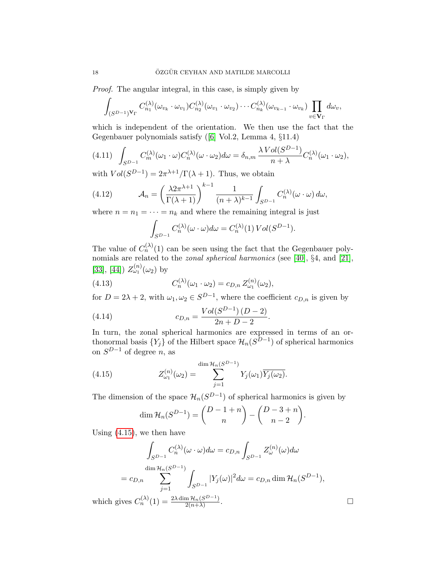Proof. The angular integral, in this case, is simply given by

$$
\int_{(S^{D-1})^{\mathbf{V}_{\Gamma}}} C_{n_1}^{(\lambda)}(\omega_{v_k} \cdot \omega_{v_1}) C_{n_2}^{(\lambda)}(\omega_{v_1} \cdot \omega_{v_2}) \cdots C_{n_k}^{(\lambda)}(\omega_{v_{k-1}} \cdot \omega_{v_k}) \prod_{v \in \mathbf{V}_{\Gamma}} d\omega_v,
$$

which is independent of the orientation. We then use the fact that the Gegenbauer polynomials satisfy([\[6\]](#page-52-14) Vol.2, Lemma 4, §11.4)

$$
(4.11)\quad \int_{S^{D-1}} C_m^{(\lambda)}(\omega_1 \cdot \omega) C_n^{(\lambda)}(\omega \cdot \omega_2) d\omega = \delta_{n,m} \frac{\lambda \operatorname{Vol}(S^{D-1})}{n + \lambda} C_n^{(\lambda)}(\omega_1 \cdot \omega_2),
$$

with  $Vol(S^{D-1}) = 2\pi^{\lambda+1}/\Gamma(\lambda+1)$ . Thus, we obtain

(4.12) 
$$
\mathcal{A}_n = \left(\frac{\lambda 2\pi^{\lambda+1}}{\Gamma(\lambda+1)}\right)^{k-1} \frac{1}{(n+\lambda)^{k-1}} \int_{S^{D-1}} C_n^{(\lambda)}(\omega \cdot \omega) d\omega,
$$

where  $n = n_1 = \cdots = n_k$  and where the remaining integral is just

<span id="page-17-2"></span>
$$
\int_{S^{D-1}} C_n^{(\lambda)}(\omega \cdot \omega) d\omega = C_n^{(\lambda)}(1) Vol(S^{D-1}).
$$

The value of  $C_n^{(\lambda)}(1)$  can be seen using the fact that the Gegenbauer polynomials are related to the *zonal spherical harmonics* (see [\[40\]](#page-53-6), §4, and [\[21\]](#page-52-15), [\[33\]](#page-53-7), [\[44\]](#page-53-8))  $Z_{\omega_1}^{(n)}(\omega_2)$  by

(4.13) 
$$
C_n^{(\lambda)}(\omega_1 \cdot \omega_2) = c_{D,n} Z_{\omega_1}^{(n)}(\omega_2),
$$

for  $D = 2\lambda + 2$ , with  $\omega_1, \omega_2 \in S^{D-1}$ , where the coefficient  $c_{D,n}$  is given by

<span id="page-17-1"></span>(4.14) 
$$
c_{D,n} = \frac{Vol(S^{D-1})(D-2)}{2n + D - 2}.
$$

In turn, the zonal spherical harmonics are expressed in terms of an orthonormal basis  $\{Y_j\}$  of the Hilbert space  $\mathcal{H}_n(S^{D-1})$  of spherical harmonics on  $S^{D-1}$  of degree n, as

(4.15) 
$$
Z_{\omega_1}^{(n)}(\omega_2) = \sum_{j=1}^{\dim \mathcal{H}_n(S^{D-1})} Y_j(\omega_1) \overline{Y_j(\omega_2)}.
$$

The dimension of the space  $\mathcal{H}_n(S^{D-1})$  of spherical harmonics is given by

<span id="page-17-0"></span>
$$
\dim \mathcal{H}_n(S^{D-1}) = \binom{D-1+n}{n} - \binom{D-3+n}{n-2}.
$$

Using [\(4.15\)](#page-17-0), we then have

$$
\int_{S^{D-1}} C_n^{(\lambda)}(\omega \cdot \omega) d\omega = c_{D,n} \int_{S^{D-1}} Z_{\omega}^{(n)}(\omega) d\omega
$$
  
\n
$$
= c_{D,n} \sum_{j=1}^{\dim \mathcal{H}_n(S^{D-1})} \int_{S^{D-1}} |Y_j(\omega)|^2 d\omega = c_{D,n} \dim \mathcal{H}_n(S^{D-1}),
$$
  
\n
$$
\text{ves } C_n^{(\lambda)}(1) = \frac{2\lambda \dim \mathcal{H}_n(S^{D-1})}{2(n+1)}.
$$

which gives  $C_n^{(\lambda)}(1) = \frac{2\lambda \dim \mathcal{H}_n(S^{D-1})}{2(n+\lambda)}$  $2(n+\lambda)$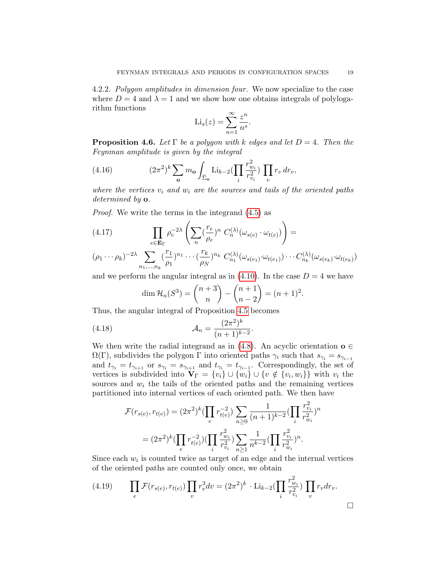4.2.2. Polygon amplitudes in dimension four. We now specialize to the case where  $D = 4$  and  $\lambda = 1$  and we show how one obtains integrals of polylogarithm functions

$$
\mathrm{Li}_s(z) = \sum_{n=1}^{\infty} \frac{z^n}{n^s}.
$$

**Proposition 4.6.** Let  $\Gamma$  be a polygon with k edges and let  $D = 4$ . Then the Feynman amplitude is given by the integral

(4.16) 
$$
(2\pi^2)^k \sum_{\mathbf{o}} m_{\mathbf{o}} \int_{\bar{\Sigma}_{\mathbf{o}}} \text{Li}_{k-2}(\prod_i \frac{r_{w_i}^2}{r_{v_i}^2}) \prod_v r_v dr_v,
$$

where the vertices  $v_i$  and  $w_i$  are the sources and tails of the oriented paths determined by **o**.

Proof. We write the terms in the integrand [\(4.5\)](#page-15-2) as

(4.17) 
$$
\prod_{e \in \mathbf{E}_{\Gamma}} \rho_e^{-2\lambda} \left( \sum_n (\frac{r_e}{\rho_e})^n C_n^{(\lambda)}(\omega_{s(e)} \cdot \omega_{t(e)}) \right) =
$$

$$
(\rho_1 \cdots \rho_k)^{-2\lambda} \sum_{n_1, \ldots, n_k} \left(\frac{r_1}{\rho_1}\right)^{n_1} \cdots \left(\frac{r_k}{\rho_N}\right)^{n_k} C_{n_1}^{(\lambda)}(\omega_{s(e_1)} \cdot \omega_{t(e_1)}) \cdots C_{n_k}^{(\lambda)}(\omega_{s(e_k)} \cdot \omega_{t(e_k)})
$$

and we perform the angular integral as in [\(4.10\)](#page-16-3). In the case  $D = 4$  we have

$$
\dim \mathcal{H}_n(S^3) = \binom{n+3}{n} - \binom{n+1}{n-2} = (n+1)^2.
$$

Thus, the angular integral of Proposition [4.5](#page-16-4) becomes

(4.18) 
$$
\mathcal{A}_n = \frac{(2\pi^2)^k}{(n+1)^{k-2}}.
$$

We then write the radial integrand as in [\(4.8\)](#page-16-5). An acyclic orientation  $o \in \mathbb{C}$  $\Omega(\Gamma)$ , subdivides the polygon  $\Gamma$  into oriented paths  $\gamma_i$  such that  $s_{\gamma_i} = s_{\gamma_{i-1}}$ and  $t_{\gamma_i} = t_{\gamma_{i+1}}$  or  $s_{\gamma_i} = s_{\gamma_{i+1}}$  and  $t_{\gamma_i} = t_{\gamma_{i-1}}$ . Correspondingly, the set of vertices is subdivided into  $\mathbf{V}_{\Gamma} = \{v_i\} \cup \{w_i\} \cup \{v \notin \{v_i, w_i\}\}\$  with  $v_i$  the sources and  $w<sub>i</sub>$  the tails of the oriented paths and the remaining vertices partitioned into internal vertices of each oriented path. We then have

$$
\mathcal{F}(r_{s(e)}, r_{t(e)}) = (2\pi^2)^k \left(\prod_e r_{t(e)}^{-2}\right) \sum_{n\geq 0} \frac{1}{(n+1)^{k-2}} \left(\prod_i \frac{r_{v_i}^2}{r_{w_i}^2}\right)^n
$$

$$
= (2\pi^2)^k \left(\prod_e r_{t(e)}^{-2}\right) \left(\prod_i \frac{r_{w_i}^2}{r_{v_i}^2}\right) \sum_{n\geq 1} \frac{1}{n^{k-2}} \left(\prod_i \frac{r_{v_i}^2}{r_{w_i}^2}\right)^n.
$$

Since each  $w_i$  is counted twice as target of an edge and the internal vertices of the oriented paths are counted only once, we obtain

(4.19) 
$$
\prod_{e} \mathcal{F}(r_{s(e)}, r_{t(e)}) \prod_{v} r_v^3 dv = (2\pi^2)^k \cdot \text{Li}_{k-2}(\prod_{i} \frac{r_{w_i}^2}{r_{v_i}^2}) \prod_{v} r_v dr_v.
$$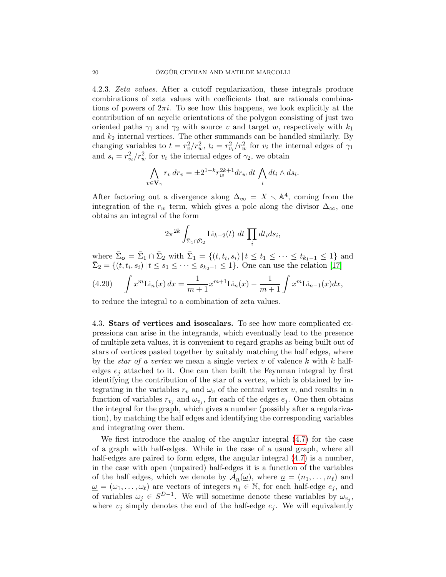4.2.3. Zeta values. After a cutoff regularization, these integrals produce combinations of zeta values with coefficients that are rationals combinations of powers of  $2\pi i$ . To see how this happens, we look explicitly at the contribution of an acyclic orientations of the polygon consisting of just two oriented paths  $\gamma_1$  and  $\gamma_2$  with source v and target w, respectively with  $k_1$ and  $k_2$  internal vertices. The other summands can be handled similarly. By changing variables to  $t = r_v^2/r_w^2$ ,  $t_i = r_{v_i}^2/r_w^2$  for  $v_i$  the internal edges of  $\gamma_1$ and  $s_i = r_{v_i}^2 / r_w^2$  for  $v_i$  the internal edges of  $\gamma_2$ , we obtain

$$
\bigwedge_{v \in \mathbf{V}_{\gamma}} r_v dr_v = \pm 2^{1-k} r_w^{2k+1} dr_w dt \bigwedge_i dt_i \wedge ds_i.
$$

After factoring out a divergence along  $\Delta_{\infty} = X \setminus \mathbb{A}^4$ , coming from the integration of the  $r_w$  term, which gives a pole along the divisor  $\Delta_{\infty}$ , one obtains an integral of the form

$$
2\pi^{2k} \int_{\bar{\Sigma}_1 \cap \bar{\Sigma}_2} \text{Li}_{k-2}(t) dt \prod_i dt_i ds_i,
$$

where  $\bar{\Sigma}_{\mathbf{o}} = \bar{\Sigma}_1 \cap \bar{\Sigma}_2$  with  $\bar{\Sigma}_1 = \{(t, t_i, s_i) | t \le t_1 \le \cdots \le t_{k_1-1} \le 1\}$  and  $\bar{\Sigma}_2 = \{(t, t_i, s_i) | t \leq s_1 \leq \cdots \leq s_{k_2-1} \leq 1\}.$  One can use the relation [\[17\]](#page-52-16)

<span id="page-19-1"></span>(4.20) 
$$
\int x^m \text{Li}_n(x) dx = \frac{1}{m+1} x^{m+1} \text{Li}_n(x) - \frac{1}{m+1} \int x^m \text{Li}_{n-1}(x) dx,
$$

to reduce the integral to a combination of zeta values.

<span id="page-19-0"></span>4.3. Stars of vertices and isoscalars. To see how more complicated expressions can arise in the integrands, which eventually lead to the presence of multiple zeta values, it is convenient to regard graphs as being built out of stars of vertices pasted together by suitably matching the half edges, where by the *star of a vertex* we mean a single vertex  $v$  of valence  $k$  with  $k$  halfedges  $e_i$  attached to it. One can then built the Feynman integral by first identifying the contribution of the star of a vertex, which is obtained by integrating in the variables  $r_v$  and  $\omega_v$  of the central vertex v, and results in a function of variables  $r_{v_j}$  and  $\omega_{v_j}$ , for each of the edges  $e_j$ . One then obtains the integral for the graph, which gives a number (possibly after a regularization), by matching the half edges and identifying the corresponding variables and integrating over them.

We first introduce the analog of the angular integral [\(4.7\)](#page-16-2) for the case of a graph with half-edges. While in the case of a usual graph, where all half-edges are paired to form edges, the angular integral  $(4.7)$  is a number, in the case with open (unpaired) half-edges it is a function of the variables of the half edges, which we denote by  $\mathcal{A}_n(\underline{\omega})$ , where  $\underline{n} = (n_1, \ldots, n_\ell)$  and  $\underline{\omega} = (\omega_1, \ldots, \omega_\ell)$  are vectors of integers  $n_j \in \mathbb{N}$ , for each half-edge  $e_j$ , and of variables  $\omega_j \in S^{D-1}$ . We will sometime denote these variables by  $\omega_{v_j}$ , where  $v_j$  simply denotes the end of the half-edge  $e_j$ . We will equivalently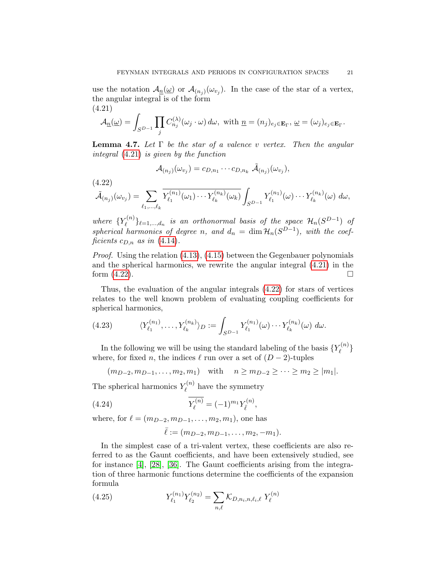use the notation  $\mathcal{A}_{\underline{n}}(\underline{\omega})$  or  $\mathcal{A}_{(n_j)}(\omega_{v_j})$ . In the case of the star of a vertex, the angular integral is of the form (4.21)

<span id="page-20-0"></span>
$$
\mathcal{A}_{\underline{n}}(\underline{\omega})=\int_{S^{D-1}}\prod_j C_{n_j}^{(\lambda)}(\omega_j\cdot\omega)\,d\omega,\,\,\text{with}\,\,\underline{n}=(n_j)_{e_j\in\mathbf{E}_\Gamma},\,\underline{\omega}=(\omega_j)_{e_j\in\mathbf{E}_\Gamma}.
$$

<span id="page-20-5"></span>**Lemma 4.7.** Let  $\Gamma$  be the star of a valence v vertex. Then the angular integral [\(4.21\)](#page-20-0) is given by the function

$$
\mathcal{A}_{(n_j)}(\omega_{v_j})=c_{D,n_1}\cdots c_{D,n_k}\ \tilde{\mathcal{A}}_{(n_j)}(\omega_{v_j}),
$$

(4.22)

<span id="page-20-1"></span>
$$
\tilde{\mathcal{A}}_{(n_j)}(\omega_{v_j}) = \sum_{\ell_1,\dots,\ell_k} \overline{Y_{\ell_1}^{(n_1)}(\omega_1)\cdots Y_{\ell_k}^{(n_k)}(\omega_k)} \int_{S^{D-1}} Y_{\ell_1}^{(n_1)}(\omega) \cdots Y_{\ell_k}^{(n_k)}(\omega) d\omega,
$$

where  $\{Y_{\ell}^{(n)}\}$  $\{\epsilon^{(n)}\}_{\ell=1,\dots,d_n}$  is an orthonormal basis of the space  $\mathcal{H}_n(S^{D-1})$  of spherical harmonics of degree n, and  $d_n = \dim \mathcal{H}_n(S^{D-1})$ , with the coefficients  $c_{D,n}$  as in [\(4.14\)](#page-17-1).

Proof. Using the relation  $(4.13)$ ,  $(4.15)$  between the Gegenbauer polynomials and the spherical harmonics, we rewrite the angular integral [\(4.21\)](#page-20-0) in the form  $(4.22)$ .

Thus, the evaluation of the angular integrals [\(4.22\)](#page-20-1) for stars of vertices relates to the well known problem of evaluating coupling coefficients for spherical harmonics,

<span id="page-20-3"></span>(4.23) 
$$
\langle Y_{\ell_1}^{(n_1)}, \dots, Y_{\ell_k}^{(n_k)} \rangle_D := \int_{S^{D-1}} Y_{\ell_1}^{(n_1)}(\omega) \cdots Y_{\ell_k}^{(n_k)}(\omega) d\omega.
$$

In the following we will be using the standard labeling of the basis  ${Y_{\ell}^{(n)}}$  $\left\{ \ell^{\left( n\right) }\right\}$ where, for fixed n, the indices  $\ell$  run over a set of  $(D - 2)$ -tuples

 $(m_{D-2}, m_{D-1}, \ldots, m_2, m_1)$  with  $n \ge m_{D-2} \ge \cdots \ge m_2 \ge |m_1|$ .

The spherical harmonics  $Y_{\ell}^{(n)}$  $\mathcal{L}^{(n)}$  have the symmetry

(4.24) 
$$
\overline{Y_{\ell}^{(n)}} = (-1)^{m_1} Y_{\overline{\ell}}^{(n)},
$$

where, for  $\ell = (m_{D-2}, m_{D-1}, \ldots, m_2, m_1)$ , one has

<span id="page-20-4"></span><span id="page-20-2"></span>
$$
\bar{\ell} := (m_{D-2}, m_{D-1}, \dots, m_2, -m_1).
$$

In the simplest case of a tri-valent vertex, these coefficients are also referred to as the Gaunt coefficients, and have been extensively studied, see for instance [\[4\]](#page-52-17), [\[28\]](#page-53-9), [\[36\]](#page-53-10). The Gaunt coefficients arising from the integration of three harmonic functions determine the coefficients of the expansion formula

(4.25) 
$$
Y_{\ell_1}^{(n_1)} Y_{\ell_2}^{(n_2)} = \sum_{n,\ell} \mathcal{K}_{D,n_i,n,\ell_i,\ell} Y_{\ell}^{(n)}
$$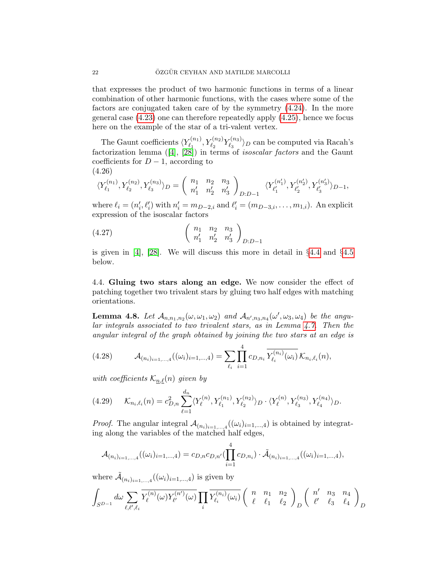that expresses the product of two harmonic functions in terms of a linear combination of other harmonic functions, with the cases where some of the factors are conjugated taken care of by the symmetry [\(4.24\)](#page-20-2). In the more general case [\(4.23\)](#page-20-3) one can therefore repeatedly apply [\(4.25\)](#page-20-4), hence we focus here on the example of the star of a tri-valent vertex.

The Gaunt coefficients  $\langle Y^{(n_1)}_{\ell_1} \rangle$  $Y_{\ell_1}^{(n_1)}, Y_{\ell_2}^{(n_2)} Y_{\ell_3}^{(n_3)}$  $\binom{n_3}{\ell_3}$  can be computed via Racah's factorizationlemma  $([4], [28])$  $([4], [28])$  $([4], [28])$  $([4], [28])$  $([4], [28])$  in terms of *isoscalar factors* and the Gaunt coefficients for  $D-1$ , according to (4.26)

<span id="page-21-4"></span>
$$
\langle Y_{\ell_1}^{(n_1)},Y_{\ell_2}^{(n_2)},Y_{\ell_3}^{(n_3)} \rangle_D = \left( \begin{array}{cc} n_1 & n_2 & n_3 \\ n'_1 & n'_2 & n'_3 \end{array} \right)_{D:D-1} \ \ \langle Y_{\ell_1'}^{(n'_1)},Y_{\ell_2'}^{(n'_2)},Y_{\ell_3'}^{(n'_3)} \rangle_{D-1},
$$

where  $\ell_i = (n'_i, \ell'_i)$  with  $n'_i = m_{D-2,i}$  and  $\ell'_i = (m_{D-3,i}, \ldots, m_{1,i})$ . An explicit expression of the isoscalar factors

<span id="page-21-3"></span>
$$
(4.27) \qquad \qquad \begin{pmatrix} n_1 & n_2 & n_3 \\ n'_1 & n'_2 & n'_3 \end{pmatrix}_{D:D-1}
$$

is given in [\[4\]](#page-52-17), [\[28\]](#page-53-9). We will discuss this more in detail in §[4.4](#page-21-0) and §[4.5](#page-23-0) below.

<span id="page-21-0"></span>4.4. Gluing two stars along an edge. We now consider the effect of patching together two trivalent stars by gluing two half edges with matching orientations.

**Lemma 4.8.** Let  $\mathcal{A}_{n,n_1,n_2}(\omega,\omega_1,\omega_2)$  and  $\mathcal{A}_{n',n_3,n_4}(\omega',\omega_3,\omega_4)$  be the angular integrals associated to two trivalent stars, as in Lemma [4.7.](#page-20-5) Then the angular integral of the graph obtained by joining the two stars at an edge is

<span id="page-21-2"></span>(4.28) 
$$
\mathcal{A}_{(n_i)_{i=1,\dots,4}}((\omega_i)_{i=1,\dots,4}) = \sum_{\ell_i} \prod_{i=1}^4 c_{D,n_i} \overline{Y_{\ell_i}^{(n_i)}(\omega_i)} \mathcal{K}_{n_i,\ell_i}(n),
$$

with coefficients  $\mathcal{K}_{n,\ell}(n)$  given by

<span id="page-21-1"></span>
$$
(4.29) \qquad \mathcal{K}_{n_i,\ell_i}(n) = c_{D,n}^2 \sum_{\ell=1}^{d_n} \langle Y_{\ell}^{(n)}, Y_{\ell_1}^{(n_1)}, Y_{\ell_2}^{(n_2)} \rangle_D \cdot \langle Y_{\ell}^{(n)}, Y_{\ell_3}^{(n_3)}, Y_{\ell_4}^{(n_4)} \rangle_D.
$$

*Proof.* The angular integral  $\mathcal{A}_{(n_i)_{i=1,\dots,4}}((\omega_i)_{i=1,\dots,4})$  is obtained by integrating along the variables of the matched half edges,

$$
\mathcal{A}_{(n_i)_{i=1,\dots,4}}((\omega_i)_{i=1,\dots,4})=c_{D,n}c_{D,n'}(\prod_{i=1}^4 c_{D,n_i})\cdot \tilde{\mathcal{A}}_{(n_i)_{i=1,\dots,4}}((\omega_i)_{i=1,\dots,4}),
$$

where  $\tilde{A}_{(n_i)_{i=1,\dots,4}}((\omega_i)_{i=1,\dots,4})$  is given by

$$
\int_{S^{D-1}} d\omega \sum_{\ell,\ell',\ell_i} \overline{Y_{\ell}^{(n)}(\omega) Y_{\ell'}^{(n')}(\omega)} \prod_i \overline{Y_{\ell_i}^{(n_i)}(\omega_i)} \left( \begin{array}{ccc} n & n_1 & n_2 \\ \ell & \ell_1 & \ell_2 \end{array} \right)_D \left( \begin{array}{ccc} n' & n_3 & n_4 \\ \ell' & \ell_3 & \ell_4 \end{array} \right)_D
$$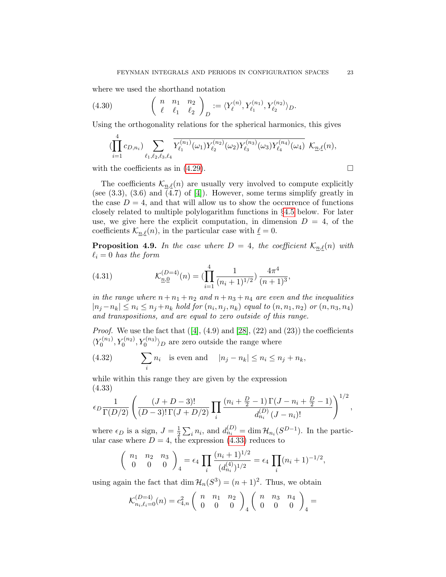where we used the shorthand notation

(4.30) 
$$
\begin{pmatrix} n & n_1 & n_2 \ \ell & \ell_1 & \ell_2 \end{pmatrix}_D := \langle Y^{(n)}_{\ell}, Y^{(n_1)}_{\ell_1}, Y^{(n_2)}_{\ell_2} \rangle_D.
$$

Using the orthogonality relations for the spherical harmonics, this gives

$$
(\prod_{i=1}^{4}c_{D,n_i})\sum_{\ell_1,\ell_2,\ell_3,\ell_4}\overline{Y^{(n_1)}_{\ell_1}(\omega_1)Y^{(n_2)}_{\ell_2}(\omega_2)Y^{(n_3)}_{\ell_3}(\omega_3)Y^{(n_4)}_{\ell_4}(\omega_4)}\ \ \mathcal{K}_{\underline{n},\underline{\ell}}(n),
$$

with the coefficients as in [\(4.29\)](#page-21-1).  $\Box$ 

The coefficients  $\mathcal{K}_{n,\ell}(n)$  are usually very involved to compute explicitly (see  $(3.3)$ ,  $(3.6)$  and  $(4.7)$  of  $[4]$ ). However, some terms simplify greatly in the case  $D = 4$ , and that will allow us to show the occurrence of functions closely related to multiple polylogarithm functions in §[4.5](#page-23-0) below. For later use, we give here the explicit computation, in dimension  $D = 4$ , of the coefficients  $\mathcal{K}_{n,\ell}(n)$ , in the particular case with  $\underline{\ell} = 0$ .

<span id="page-22-3"></span>**Proposition 4.9.** In the case where  $D = 4$ , the coefficient  $\mathcal{K}_{n,\ell}(n)$  with  $\ell_i = 0$  has the form

<span id="page-22-1"></span>(4.31) 
$$
\mathcal{K}_{\underline{n},\underline{0}}^{(D=4)}(n) = \left(\prod_{i=1}^{4} \frac{1}{(n_i+1)^{1/2}}\right) \frac{4\pi^4}{(n+1)^3},
$$

in the range where  $n+n_1+n_2$  and  $n+n_3+n_4$  are even and the inequalities  $|n_j - n_k| \leq n_i \leq n_j + n_k$  hold for  $(n_i, n_j, n_k)$  equal to  $(n, n_1, n_2)$  or  $(n, n_3, n_4)$ and transpositions, and are equal to zero outside of this range.

*Proof.* We use the fact that  $([4], (4.9)$  $([4], (4.9)$  $([4], (4.9)$  and  $[28], (22)$  and  $(23)$ ) the coefficients  $\langle Y_0^{(n_1)} \rangle$  $\langle Y_0^{(n_1)}, Y_0^{(n_2)}, Y_0^{(n_3)} \rangle_D$  are zero outside the range where

<span id="page-22-2"></span>(4.32) 
$$
\sum_{i} n_i \text{ is even and } |n_j - n_k| \le n_i \le n_j + n_k,
$$

while within this range they are given by the expression (4.33)

<span id="page-22-0"></span>
$$
\epsilon_D \frac{1}{\Gamma(D/2)} \left( \frac{(J+D-3)!}{(D-3)! \Gamma(J+D/2)} \prod_i \frac{(n_i + \frac{D}{2} - 1) \Gamma(J - n_i + \frac{D}{2} - 1)}{d_{n_i}^{(D)} (J - n_i)!} \right)^{1/2},
$$

where  $\epsilon_D$  is a sign,  $J = \frac{1}{2}$  $\frac{1}{2} \sum_i n_i$ , and  $d_{n_i}^{(D)} = \dim \mathcal{H}_{n_i}(S^{D-1})$ . In the particular case where  $D = 4$ , the expression [\(4.33\)](#page-22-0) reduces to

$$
\begin{pmatrix} n_1 & n_2 & n_3 \ 0 & 0 & 0 \end{pmatrix}_4 = \epsilon_4 \prod_i \frac{(n_i+1)^{1/2}}{(d_{n_i}^{(4)})^{1/2}} = \epsilon_4 \prod_i (n_i+1)^{-1/2},
$$

using again the fact that  $\dim \mathcal{H}_n(S^3) = (n+1)^2$ . Thus, we obtain

$$
\mathcal{K}_{n_i,\ell_i=0}^{(D=4)}(n) = c_{4,n}^2 \left( \begin{array}{cc} n & n_1 & n_2 \\ 0 & 0 & 0 \end{array} \right)_4 \left( \begin{array}{cc} n & n_3 & n_4 \\ 0 & 0 & 0 \end{array} \right)_4 =
$$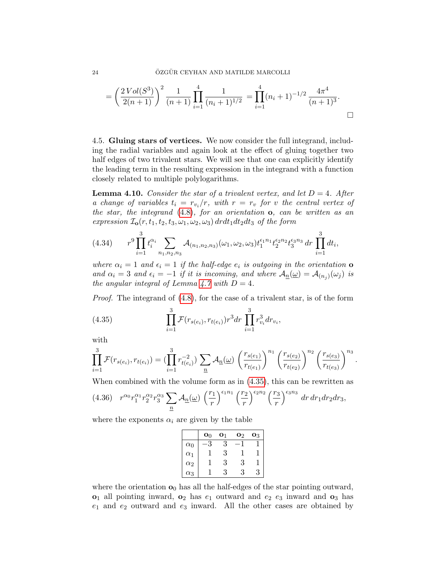$$
= \left(\frac{2\operatorname{Vol}(S^3)}{2(n+1)}\right)^2 \frac{1}{(n+1)} \prod_{i=1}^4 \frac{1}{(n_i+1)^{1/2}} = \prod_{i=1}^4 (n_i+1)^{-1/2} \frac{4\pi^4}{(n+1)^3}.
$$

<span id="page-23-0"></span>4.5. Gluing stars of vertices. We now consider the full integrand, including the radial variables and again look at the effect of gluing together two half edges of two trivalent stars. We will see that one can explicitly identify the leading term in the resulting expression in the integrand with a function closely related to multiple polylogarithms.

**Lemma 4.10.** Consider the star of a trivalent vertex, and let  $D = 4$ . After a change of variables  $t_i = r_{v_i}/r$ , with  $r = r_v$  for v the central vertex of the star, the integrand  $(4.8)$ , for an orientation  $\sigma$ , can be written as an expression  $\mathcal{I}_0(r, t_1, t_2, t_3, \omega_1, \omega_2, \omega_3) d\mathbf{r} dt_1 dt_2 dt_3$  of the form

<span id="page-23-3"></span>
$$
(4.34) \t r9 \prod_{i=1}^{3} t_i^{\alpha_i} \sum_{n_1, n_2, n_3} \mathcal{A}_{(n_1, n_2, n_3)}(\omega_1, \omega_2, \omega_3) t_1^{\epsilon_1 n_1} t_2^{\epsilon_2 n_2} t_3^{\epsilon_3 n_3} dr \prod_{i=1}^{3} dt_i,
$$

where  $\alpha_i = 1$  and  $\epsilon_i = 1$  if the half-edge  $e_i$  is outgoing in the orientation **o** and  $\alpha_i = 3$  and  $\epsilon_i = -1$  if it is incoming, and where  $\mathcal{A}_{\underline{n}}(\underline{\omega}) = \mathcal{A}_{(n_j)}(\omega_j)$  is the angular integral of Lemma [4.7](#page-20-5) with  $D = 4$ .

Proof. The integrand of [\(4.8\)](#page-16-5), for the case of a trivalent star, is of the form

<span id="page-23-1"></span>(4.35) 
$$
\prod_{i=1}^{3} \mathcal{F}(r_{s(e_i)}, r_{t(e_i)}) r^3 dr \prod_{i=1}^{3} r_{v_i}^3 dr_{v_i},
$$

with

$$
\prod_{i=1}^{3} \mathcal{F}(r_{s(e_i)}, r_{t(e_i)}) = (\prod_{i=1}^{3} r_{t(e_i)}^{-2}) \sum_{n} \mathcal{A}_{\underline{n}}(\underline{\omega}) \left(\frac{r_{s(e_1)}}{r_{t(e_1)}}\right)^{n_1} \left(\frac{r_{s(e_2)}}{r_{t(e_2)}}\right)^{n_2} \left(\frac{r_{s(e_3)}}{r_{t(e_3)}}\right)^{n_3}
$$

.

When combined with the volume form as in [\(4.35\)](#page-23-1), this can be rewritten as

<span id="page-23-2"></span>
$$
(4.36)\quad r^{\alpha_0}r_1^{\alpha_1}r_2^{\alpha_2}r_3^{\alpha_3}\sum_{n}\mathcal{A}_{n}(\underline{\omega})\left(\frac{r_1}{r}\right)^{\epsilon_1 n_1}\left(\frac{r_2}{r}\right)^{\epsilon_2 n_2}\left(\frac{r_3}{r}\right)^{\epsilon_3 n_3}dr\,dr_1dr_2dr_3,
$$

where the exponents  $\alpha_i$  are given by the table

|            | $\mathbf{o}_0$ | О1 | O <sub>2</sub> | O3 |
|------------|----------------|----|----------------|----|
| $\alpha_0$ |                | 3  |                |    |
| $\alpha_1$ |                | 3  |                |    |
| $\alpha_2$ |                | 3  | 3              |    |
| QЗ         |                | 3  | Х              | ર  |

where the orientation  $\mathbf{o}_0$  has all the half-edges of the star pointing outward,  $\mathbf{o}_1$  all pointing inward,  $\mathbf{o}_2$  has  $e_1$  outward and  $e_2$   $e_3$  inward and  $\mathbf{o}_3$  has  $e_1$  and  $e_2$  outward and  $e_3$  inward. All the other cases are obtained by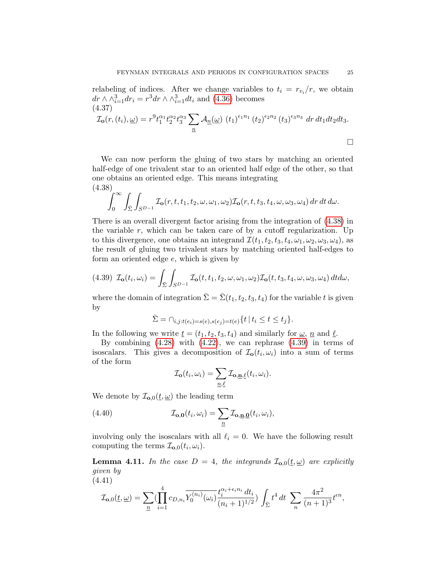relabeling of indices. After we change variables to  $t_i = r_{v_i}/r$ , we obtain  $dr \wedge \wedge_{i=1}^{3} dr_i = r^3 dr \wedge \wedge_{i=1}^{3} dt_i$  and [\(4.36\)](#page-23-2) becomes (4.37)

$$
\mathcal{I}_{\mathbf{O}}(r,(t_i),\underline{\omega}) = r^9 t_1^{\alpha_1} t_2^{\alpha_2} t_3^{\alpha_3} \sum_{\underline{n}} \mathcal{A}_{\underline{n}}(\underline{\omega}) (t_1)^{\epsilon_1 n_1} (t_2)^{\epsilon_2 n_2} (t_3)^{\epsilon_3 n_3} dr dt_1 dt_2 dt_3.
$$

We can now perform the gluing of two stars by matching an oriented half-edge of one trivalent star to an oriented half edge of the other, so that one obtains an oriented edge. This means integrating (4.38)

<span id="page-24-0"></span>
$$
\int_0^\infty \int_{\overline{\Sigma}} \int_{S^{D-1}} \mathcal{I}_o(r, t, t_1, t_2, \omega, \omega_1, \omega_2) \mathcal{I}_o(r, t, t_3, t_4, \omega, \omega_3, \omega_4) \, dr \, dt \, d\omega.
$$

There is an overall divergent factor arising from the integration of [\(4.38\)](#page-24-0) in the variable  $r$ , which can be taken care of by a cutoff regularization. Up to this divergence, one obtains an integrand  $\mathcal{I}(t_1, t_2, t_3, t_4, \omega_1, \omega_2, \omega_3, \omega_4)$ , as the result of gluing two trivalent stars by matching oriented half-edges to form an oriented edge e, which is given by

<span id="page-24-1"></span>
$$
(4.39) \mathcal{I}_{\mathbf{o}}(t_i,\omega_i) = \int_{\bar{\Sigma}} \int_{S^{D-1}} \mathcal{I}_{\mathbf{o}}(t,t_1,t_2,\omega,\omega_1,\omega_2) \mathcal{I}_{\mathbf{o}}(t,t_3,t_4,\omega,\omega_3,\omega_4) dt d\omega,
$$

where the domain of integration  $\bar{\Sigma} = \bar{\Sigma}(t_1, t_2, t_3, t_4)$  for the variable t is given by

$$
\bar{\Sigma} = \cap_{i,j:t(e_i) = s(e), s(e_j) = t(e)} \{ t \mid t_i \le t \le t_j \}.
$$

In the following we write  $\underline{t} = (t_1, t_2, t_3, t_4)$  and similarly for  $\underline{\omega}, \underline{n}$  and  $\underline{\ell}$ .

By combining  $(4.28)$  with  $(4.22)$ , we can rephrase  $(4.39)$  in terms of isoscalars. This gives a decomposition of  $\mathcal{I}_0(t_i, \omega_i)$  into a sum of terms of the form

$$
\mathcal{I}_{\mathbf{o}}(t_i, \omega_i) = \sum_{\underline{n}, \underline{\ell}} \mathcal{I}_{\mathbf{o}, \underline{\mathbf{n}}, \underline{\ell}}(t_i, \omega_i).
$$

We denote by  $\mathcal{I}_{\mathbf{0},0}(\underline{t},\underline{\omega})$  the leading term

(4.40) 
$$
\mathcal{I}_{\mathbf{o},\mathbf{0}}(t_i,\omega_i) = \sum_{\underline{n}} \mathcal{I}_{\mathbf{o},\underline{\mathbf{n}},\underline{\mathbf{0}}}(t_i,\omega_i),
$$

involving only the isoscalars with all  $\ell_i = 0$ . We have the following result computing the terms  $\mathcal{I}_{\mathbf{o},0}(t_i,\omega_i)$ .

<span id="page-24-3"></span>**Lemma 4.11.** In the case  $D = 4$ , the integrands  $\mathcal{I}_{\mathbf{o},0}(\underline{t},\underline{\omega})$  are explicitly given by (4.41)

<span id="page-24-2"></span>
$$
\mathcal{I}_{\mathbf{o},0}(\underline{t},\underline{\omega}) = \sum_{\underline{n}} (\prod_{i=1}^4 c_{D,n_i} \overline{Y_0^{(n_i)}(\omega_i)} \frac{t_i^{\alpha_i + \epsilon_i n_i} dt_i}{(n_i + 1)^{1/2}}) \int_{\bar{\Sigma}} t^4 dt \sum_{n} \frac{4\pi^2}{(n+1)^3} t^{\epsilon n},
$$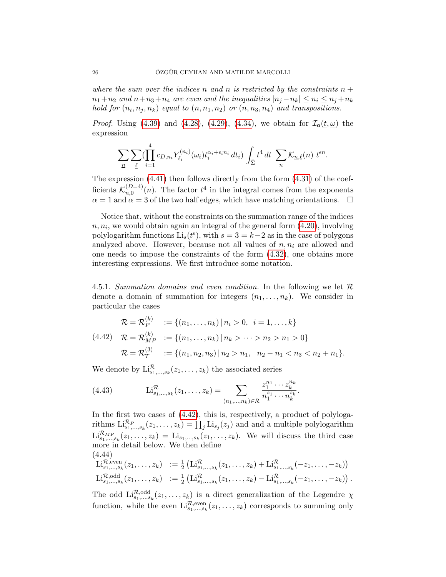where the sum over the indices n and  $\underline{n}$  is restricted by the constraints  $n +$  $n_1+n_2$  and  $n+n_3+n_4$  are even and the inequalities  $|n_j-n_k| \leq n_i \leq n_j+n_k$ hold for  $(n_i, n_j, n_k)$  equal to  $(n, n_1, n_2)$  or  $(n, n_3, n_4)$  and transpositions.

*Proof.* Using [\(4.39\)](#page-24-1) and [\(4.28\)](#page-21-2), [\(4.29\)](#page-21-1), [\(4.34\)](#page-23-3), we obtain for  $\mathcal{I}_{o}(t, \underline{\omega})$  the expression

$$
\sum_{\underline{n}}\sum_{\underline{\ell}}\left(\prod_{i=1}^{4}c_{D,n_{i}}\overline{Y_{\ell_{i}}^{(n_{i})}(\omega_{i})}t_{i}^{\alpha_{i}+\epsilon_{i}n_{i}}\,dt_{i}\right)\int_{\bar{\Sigma}}t^{4}\,dt\,\sum_{n}\mathcal{K}_{\underline{n},\underline{\ell}}(n)\,\,t^{\epsilon n}.
$$

The expression  $(4.41)$  then follows directly from the form  $(4.31)$  of the coefficients  $\mathcal{K}_{n,0}^{(D=4)}$  $\frac{(D=4)}{n,0}(n)$ . The factor  $t^4$  in the integral comes from the exponents  $\alpha = 1$  and  $\alpha = 3$  of the two half edges, which have matching orientations.  $\square$ 

Notice that, without the constraints on the summation range of the indices  $n, n_i$ , we would obtain again an integral of the general form  $(4.20)$ , involving polylogarithm functions  $\text{Li}_s(t^{\epsilon})$ , with  $s = 3 = k-2$  as in the case of polygons analyzed above. However, because not all values of  $n, n_i$  are allowed and one needs to impose the constraints of the form [\(4.32\)](#page-22-2), one obtains more interesting expressions. We first introduce some notation.

4.5.1. Summation domains and even condition. In the following we let  $\mathcal R$ denote a domain of summation for integers  $(n_1, \ldots, n_k)$ . We consider in particular the cases

<span id="page-25-0"></span>
$$
\mathcal{R} = \mathcal{R}_P^{(k)} := \{(n_1, \dots, n_k) | n_i > 0, i = 1, \dots, k\}
$$
  
(4.42) 
$$
\mathcal{R} = \mathcal{R}_{MP}^{(k)} := \{(n_1, \dots, n_k) | n_k > \dots > n_2 > n_1 > 0\}
$$
  

$$
\mathcal{R} = \mathcal{R}_T^{(3)} := \{(n_1, n_2, n_3) | n_2 > n_1, n_2 - n_1 < n_3 < n_2 + n_1\}.
$$

We denote by  $\mathrm{Li}_{s_1,\ldots,s_k}^{\mathcal{R}}(z_1,\ldots,z_k)$  the associated series

<span id="page-25-1"></span>(4.43) 
$$
\mathcal{L}_{s_1,\ldots,s_k}^{\mathcal{R}}(z_1,\ldots,z_k) = \sum_{(n_1,\ldots,n_k)\in\mathcal{R}} \frac{z_1^{n_1}\cdots z_k^{n_k}}{n_1^{s_1}\cdots n_k^{s_k}}.
$$

In the first two cases of  $(4.42)$ , this is, respectively, a product of polylogarithms  $\text{Li}_{s_1,\dots,s_k}^{R_P}(z_1,\dots,z_k) = \prod_j \text{Li}_{s_j}(z_j)$  and and a multiple polylogarithm  $\text{Li}_{s_1,\dots,s_k}^{\mathcal{R}_{MP}}(z_1,\dots,z_k) = \text{Li}_{s_1,\dots,s_k}(z_1,\dots,z_k)$ . We will discuss the third case more in detail below. We then define (4.44)

$$
\mathrm{Li}_{s_1,\ldots,s_k}^{\mathcal{R},\mathrm{even}}(z_1,\ldots,z_k) := \frac{1}{2} \left( \mathrm{Li}_{s_1,\ldots,s_k}^{\mathcal{R}}(z_1,\ldots,z_k) + \mathrm{Li}_{s_1,\ldots,s_k}^{\mathcal{R}}(-z_1,\ldots,-z_k) \right) \mathrm{Li}_{s_1,\ldots,s_k}^{\mathcal{R},\mathrm{odd}}(z_1,\ldots,z_k) := \frac{1}{2} \left( \mathrm{Li}_{s_1,\ldots,s_k}^{\mathcal{R}}(z_1,\ldots,z_k) - \mathrm{Li}_{s_1,\ldots,s_k}^{\mathcal{R}}(-z_1,\ldots,-z_k) \right).
$$

The odd  $\text{Li}_{s_1,...,s_k}^{\mathcal{R},\text{odd}}(z_1,...,z_k)$  is a direct generalization of the Legendre  $\chi$ function, while the even  $\text{Li}_{s_1,\dots,s_k}^{\mathcal{R},\text{even}}(z_1,\dots,z_k)$  corresponds to summing only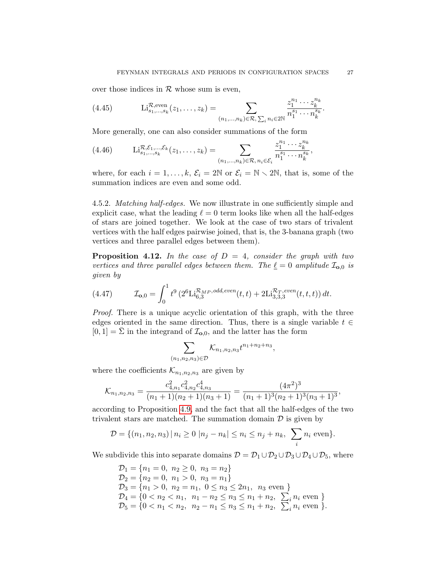over those indices in  $R$  whose sum is even,

<span id="page-26-1"></span>(4.45) 
$$
\text{Li}_{s_1,\dots,s_k}^{\mathcal{R},\text{even}}(z_1,\dots,z_k) = \sum_{(n_1,\dots,n_k)\in\mathcal{R},\,\sum_i n_i\in 2\mathbb{N}} \frac{z_1^{n_1}\cdots z_k^{n_k}}{n_1^{s_1}\cdots n_k^{s_k}}.
$$

More generally, one can also consider summations of the form

$$
(4.46) \qquad \mathrm{Li}_{s_1,\ldots,s_k}^{\mathcal{R},\mathcal{E}_1,\ldots,\mathcal{E}_k}(z_1,\ldots,z_k) = \sum_{(n_1,\ldots,n_k)\in\mathcal{R},\,n_i\in\mathcal{E}_i} \frac{z_1^{n_1}\cdots z_k^{n_k}}{n_1^{s_1}\cdots n_k^{s_k}},
$$

where, for each  $i = 1, ..., k$ ,  $\mathcal{E}_i = 2\mathbb{N}$  or  $\mathcal{E}_i = \mathbb{N} \setminus 2\mathbb{N}$ , that is, some of the summation indices are even and some odd.

4.5.2. Matching half-edges. We now illustrate in one sufficiently simple and explicit case, what the leading  $\ell = 0$  term looks like when all the half-edges of stars are joined together. We look at the case of two stars of trivalent vertices with the half edges pairwise joined, that is, the 3-banana graph (two vertices and three parallel edges between them).

**Proposition 4.12.** In the case of  $D = 4$ , consider the graph with two vertices and three parallel edges between them. The  $\underline{\ell} = 0$  amplitude  $\mathcal{I}_{\mathbf{o},0}$  is given by

<span id="page-26-0"></span>(4.47) 
$$
\mathcal{I}_{\mathbf{0},0} = \int_0^1 t^9 \left( 2^6 \text{Li}_{6,3}^{\mathcal{R}_{MP},odd,even}(t,t) + 2 \text{Li}_{3,3,3}^{\mathcal{R}_T,even}(t,t,t) \right) dt.
$$

Proof. There is a unique acyclic orientation of this graph, with the three edges oriented in the same direction. Thus, there is a single variable  $t \in$  $[0, 1] = \Sigma$  in the integrand of  $\mathcal{I}_{\mathbf{0},0}$ , and the latter has the form

$$
\sum_{(n_1,n_2,n_3)\in\mathcal{D}}\mathcal{K}_{n_1,n_2,n_3}t^{n_1+n_2+n_3},
$$

where the coefficients  $\mathcal{K}_{n_1,n_2,n_3}$  are given by

$$
\mathcal{K}_{n_1,n_2,n_3} = \frac{c_{4,n_1}^2 c_{4,n_2}^2 c_{4,n_3}^4}{(n_1+1)(n_2+1)(n_3+1)} = \frac{(4\pi^2)^3}{(n_1+1)^3(n_2+1)^3(n_3+1)^3},
$$

according to Proposition [4.9,](#page-22-3) and the fact that all the half-edges of the two trivalent stars are matched. The summation domain  $\mathcal D$  is given by

$$
\mathcal{D} = \{(n_1, n_2, n_3) | n_i \ge 0 | n_j - n_k| \le n_i \le n_j + n_k, \sum_i n_i \text{ even}\}.
$$

We subdivide this into separate domains  $\mathcal{D} = \mathcal{D}_1 \cup \mathcal{D}_2 \cup \mathcal{D}_3 \cup \mathcal{D}_4 \cup \mathcal{D}_5$ , where

$$
D_1 = \{n_1 = 0, n_2 \ge 0, n_3 = n_2\}
$$
  
\n
$$
D_2 = \{n_2 = 0, n_1 > 0, n_3 = n_1\}
$$
  
\n
$$
D_3 = \{n_1 > 0, n_2 = n_1, 0 \le n_3 \le 2n_1, n_3 \text{ even }\}
$$
  
\n
$$
D_4 = \{0 < n_2 < n_1, n_1 - n_2 \le n_3 \le n_1 + n_2, \sum_i n_i \text{ even }\}
$$
  
\n
$$
D_5 = \{0 < n_1 < n_2, n_2 - n_1 \le n_3 \le n_1 + n_2, \sum_i n_i \text{ even }\}.
$$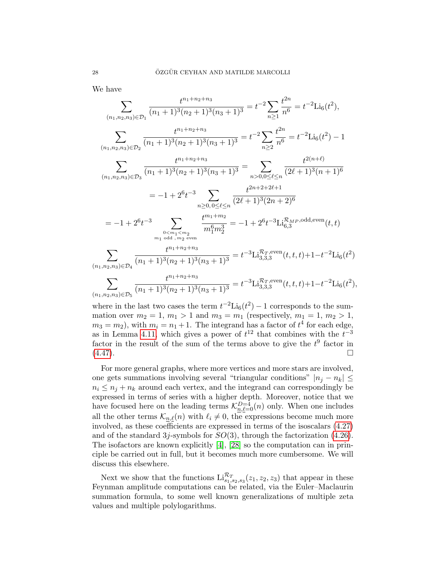We have

$$
\sum_{(n_1, n_2, n_3) \in \mathcal{D}_1} \frac{t^{n_1 + n_2 + n_3}}{(n_1 + 1)^3 (n_2 + 1)^3 (n_3 + 1)^3} = t^{-2} \sum_{n \ge 1} \frac{t^{2n}}{n^6} = t^{-2} \text{Li}_6(t^2),
$$
\n
$$
\sum_{(n_1, n_2, n_3) \in \mathcal{D}_2} \frac{t^{n_1 + n_2 + n_3}}{(n_1 + 1)^3 (n_2 + 1)^3 (n_3 + 1)^3} = t^{-2} \sum_{n \ge 2} \frac{t^{2n}}{n^6} = t^{-2} \text{Li}_6(t^2) - 1
$$
\n
$$
\sum_{(n_1, n_2, n_3) \in \mathcal{D}_3} \frac{t^{n_1 + n_2 + n_3}}{(n_1 + 1)^3 (n_2 + 1)^3 (n_3 + 1)^3} = \sum_{n > 0, 0 \le \ell \le n} \frac{t^{2(n + \ell)}}{(2\ell + 1)^3 (n + 1)^6}
$$
\n
$$
= -1 + 2^6 t^{-3} \sum_{\substack{n \ge 0, 0 \le \ell \le n \\ n_1 \le n_2 \text{ even}}} \frac{t^{n_1 + n_2}}{(2\ell + 1)^3 (2n + 2)^6}
$$
\n
$$
= -1 + 2^6 t^{-3} \sum_{\substack{n \ge n_1 < m_2 \\ m_1 \text{ odd}, m_2 \text{ even}}} \frac{t^{m_1 + m_2}}{m_1^6 m_2^3} = -1 + 2^6 t^{-3} \text{Li}_{6,3}^{\mathcal{R}_{MP}, \text{odd,even}}(t, t)
$$
\n
$$
\sum_{(n_1, n_2, n_3) \in \mathcal{D}_4} \frac{t^{n_1 + n_2 + n_3}}{(n_1 + 1)^3 (n_2 + 1)^3 (n_3 + 1)^3} = t^{-3} \text{Li}_{3,3,3}^{\mathcal{R}_{T}, \text{even}}(t, t, t) + 1 - t^{-2} \text{Li}_6(t^2)
$$
\n
$$
\sum_{(n_1, n_2, n_3) \in \mathcal{D}_5} \frac{t^{n_1 + n_2 + n_3}}
$$

where in the last two cases the term  $t^{-2}$ Li<sub>6</sub>( $t^2$ ) – 1 corresponds to the summation over  $m_2 = 1, m_1 > 1$  and  $m_3 = m_1$  (respectively,  $m_1 = 1, m_2 > 1$ ,  $m_3 = m_2$ , with  $m_i = n_1 + 1$ . The integrand has a factor of  $t^4$  for each edge, as in Lemma [4.11,](#page-24-3) which gives a power of  $t^{12}$  that combines with the  $t^{-3}$ factor in the result of the sum of the terms above to give the  $t^9$  factor in  $(4.47).$  $(4.47).$ 

For more general graphs, where more vertices and more stars are involved, one gets summations involving several "triangular conditions"  $|n_i - n_k| \leq$  $n_i \leq n_j + n_k$  around each vertex, and the integrand can correspondingly be expressed in terms of series with a higher depth. Moreover, notice that we have focused here on the leading terms  $\mathcal{K}_{n,\ell=0}^{D=4}(n)$  only. When one includes all the other terms  $\mathcal{K}_{n,\ell}(n)$  with  $\ell_i \neq 0$ , the expressions become much more involved, as these coefficients are expressed in terms of the isoscalars [\(4.27\)](#page-21-3) and of the standard 3*j*-symbols for  $SO(3)$ , through the factorization  $(4.26)$ . The isofactors are known explicitly [\[4\]](#page-52-17), [\[28\]](#page-53-9) so the computation can in principle be carried out in full, but it becomes much more cumbersome. We will discuss this elsewhere.

Next we show that the functions  $\text{Li}_{s_1,s_2,s_3}^{\mathcal{R}_T}(z_1,z_2,z_3)$  that appear in these Feynman amplitude computations can be related, via the Euler–Maclaurin summation formula, to some well known generalizations of multiple zeta values and multiple polylogarithms.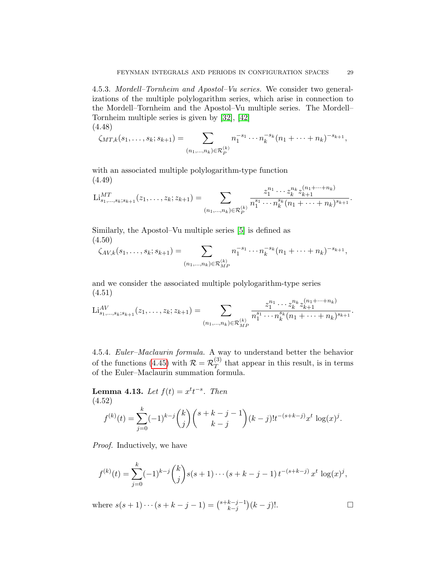4.5.3. Mordell–Tornheim and Apostol–Vu series. We consider two generalizations of the multiple polylogarithm series, which arise in connection to the Mordell–Tornheim and the Apostol–Vu multiple series. The Mordell– Tornheim multiple series is given by [\[32\]](#page-53-11), [\[42\]](#page-53-12) (4.48)

$$
\zeta_{MT,k}(s_1,\ldots,s_k;s_{k+1})=\sum_{(n_1,\ldots,n_k)\in\mathcal{R}_P^{(k)}}n_1^{-s_1}\cdots n_k^{-s_k}(n_1+\cdots+n_k)^{-s_{k+1}},
$$

with an associated multiple polylogarithm-type function (4.49)

<span id="page-28-1"></span>
$$
\mathrm{Li}_{s_1,\ldots,s_k;s_{k+1}}^{MT}(z_1,\ldots,z_k;z_{k+1})=\sum_{(n_1,\ldots,n_k)\in\mathcal{R}_P^{(k)}}\frac{z_1^{n_1}\cdots z_k^{n_k}z_{k+1}^{(n_1+\cdots+n_k)}}{n_1^{s_1}\cdots n_k^{s_k}(n_1+\cdots+n_k)^{s_{k+1}}}.
$$

Similarly, the Apostol–Vu multiple series [\[5\]](#page-52-18) is defined as (4.50)

$$
\zeta_{AV,k}(s_1,\ldots,s_k;s_{k+1})=\sum_{(n_1,\ldots,n_k)\in\mathcal{R}_{MP}^{(k)}}n_1^{-s_1}\cdots n_k^{-s_k}(n_1+\cdots+n_k)^{-s_{k+1}},
$$

and we consider the associated multiple polylogarithm-type series (4.51)  $(m+1+n)$ 

<span id="page-28-2"></span>
$$
\mathrm{Li}_{s_1,\ldots,s_k;s_{k+1}}^{AV}(z_1,\ldots,z_k;z_{k+1})=\sum_{(n_1,\ldots,n_k)\in\mathcal{R}_{MP}^{(k)}}\frac{z_1^{n_1}\cdots z_k^{n_k}z_{k+1}^{(n_1+\cdots+n_k)}}{n_1^{s_1}\cdots n_k^{s_k}(n_1+\cdots+n_k)^{s_{k+1}}}.
$$

4.5.4. Euler–Maclaurin formula. A way to understand better the behavior of the functions [\(4.45\)](#page-26-1) with  $\mathcal{R} = \mathcal{R}_T^{(3)}$  $T<sup>(3)</sup>$  that appear in this result, is in terms of the Euler–Maclaurin summation formula.

<span id="page-28-0"></span>**Lemma 4.13.** Let  $f(t) = x^t t^{-s}$ . Then (4.52)  $f^{(k)}(t) = \sum$ k  $j=0$  $(-1)^{k-j}\binom{k}{k}$ j  $\binom{s+k-j-1}{k}$  $k - j$  $\int (k-j)! t^{-(s+k-j)} x^t \log(x)^j$ .

Proof. Inductively, we have

$$
f^{(k)}(t) = \sum_{j=0}^{k} (-1)^{k-j} {k \choose j} s(s+1) \cdots (s+k-j-1) t^{-(s+k-j)} x^t \log(x)^j,
$$

where  $s(s+1)\cdots(s+k-j-1) = \binom{s+k-j-1}{k-j}$  ${k-j-1 \choose k-j}$  (k − j)!.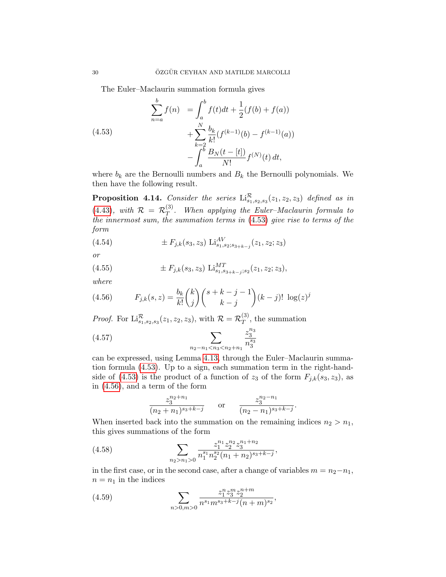<span id="page-29-0"></span>The Euler–Maclaurin summation formula gives

(4.53)  

$$
\sum_{n=a}^{b} f(n) = \int_{a}^{b} f(t)dt + \frac{1}{2}(f(b) + f(a)) + \sum_{k=2}^{N} \frac{b_k}{k!} (f^{(k-1)}(b) - f^{(k-1)}(a)) - \int_{a}^{b} \frac{B_N(t - [t])}{N!} f^{(N)}(t) dt,
$$

where  $b_k$  are the Bernoulli numbers and  $B_k$  the Bernoulli polynomials. We then have the following result.

**Proposition 4.14.** Consider the series  $\text{Li}_{s_1,s_2,s_3}^{\mathcal{R}}(z_1, z_2, z_3)$  defined as in  $(4.43)$ , with  $\mathcal{R} = \mathcal{R}_T^{(3)}$  $T$ . When applying the Euler–Maclaurin formula to the innermost sum, the summation terms in [\(4.53\)](#page-29-0) give rise to terms of the form

(4.54) 
$$
\pm F_{j,k}(s_3, z_3) \operatorname{Li}_{s_1,s_2;s_{3+k-j}}^{AV}(z_1, z_2; z_3)
$$

or

(4.55) 
$$
\pm F_{j,k}(s_3, z_3) \operatorname{Li}_{s_1, s_{3+k-j}; s_2}^{MT}(z_1, z_2; z_3),
$$

where

<span id="page-29-1"></span>(4.56) 
$$
F_{j,k}(s,z) = \frac{b_k}{k!} {k \choose j} {s+k-j-1 \choose k-j} (k-j)! \log(z)^j
$$

*Proof.* For  $\text{Li}_{s_1,s_2,s_3}^{\mathcal{R}}(z_1,z_2,z_3)$ , with  $\mathcal{R} = \mathcal{R}_T^{(3)}$  $T^{(3)}$ , the summation

(4.57) 
$$
\sum_{n_2 - n_1 < n_3 < n_2 + n_1} \frac{z_3^{n_3}}{n_3^{s_3}}
$$

can be expressed, using Lemma [4.13,](#page-28-0) through the Euler–Maclaurin summation formula [\(4.53\)](#page-29-0). Up to a sign, each summation term in the right-hand-side of [\(4.53\)](#page-29-0) is the product of a function of  $z_3$  of the form  $F_{j,k}(s_3, z_3)$ , as in [\(4.56\)](#page-29-1), and a term of the form

$$
\frac{z_3^{n_2+n_1}}{(n_2+n_1)^{s_3+k-j}} \qquad \text{or} \qquad \frac{z_3^{n_2-n_1}}{(n_2-n_1)^{s_3+k-j}}.
$$

When inserted back into the summation on the remaining indices  $n_2 > n_1$ , this gives summations of the form

(4.58) 
$$
\sum_{n_2 > n_1 > 0} \frac{z_1^{n_1} z_2^{n_2} z_3^{n_1 + n_2}}{n_1^{s_1} n_2^{s_2} (n_1 + n_2)^{s_3 + k - j}},
$$

in the first case, or in the second case, after a change of variables  $m = n_2 - n_1$ ,  $n = n_1$  in the indices

(4.59) 
$$
\sum_{n>0,m>0} \frac{z_1^n z_3^m z_2^{n+m}}{n^{s_1} m^{s_3+k-j} (n+m)^{s_2}},
$$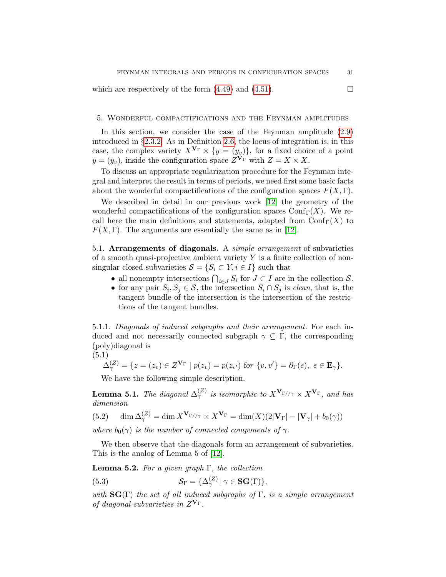which are respectively of the form  $(4.49)$  and  $(4.51)$ .

## <span id="page-30-0"></span>5. Wonderful compactifications and the Feynman amplitudes

In this section, we consider the case of the Feynman amplitude [\(2.9\)](#page-6-0) introduced in §[2.3.2.](#page-6-3) As in Definition [2.6,](#page-6-4) the locus of integration is, in this case, the complex variety  $X^{\mathbf{V}_{\Gamma}} \times \{y = (y_v)\}\)$ , for a fixed choice of a point  $y = (y_v)$ , inside the configuration space  $Z^{\mathbf{V}_{\Gamma}}$  with  $Z = X \times X$ .

To discuss an appropriate regularization procedure for the Feynman integral and interpret the result in terms of periods, we need first some basic facts about the wonderful compactifications of the configuration spaces  $F(X, \Gamma)$ .

We described in detail in our previous work [\[12\]](#page-52-1) the geometry of the wonderful compactifications of the configuration spaces  $\text{Conf}_{\Gamma}(X)$ . We recall here the main definitions and statements, adapted from  $\mathrm{Conf}_{\Gamma}(X)$  to  $F(X, \Gamma)$ . The arguments are essentially the same as in [\[12\]](#page-52-1).

<span id="page-30-1"></span>5.1. Arrangements of diagonals. A simple arrangement of subvarieties of a smooth quasi-projective ambient variety  $Y$  is a finite collection of nonsingular closed subvarieties  $S = \{S_i \subset Y, i \in I\}$  such that

- all nonempty intersections  $\bigcap_{i\in J} S_i$  for  $J\subset I$  are in the collection  $S$ .
- for any pair  $S_i, S_j \in \mathcal{S}$ , the intersection  $S_i \cap S_j$  is *clean*, that is, the tangent bundle of the intersection is the intersection of the restrictions of the tangent bundles.

5.1.1. Diagonals of induced subgraphs and their arrangement. For each induced and not necessarily connected subgraph  $\gamma \subseteq \Gamma$ , the corresponding (poly)diagonal is

$$
(5.1)
$$

$$
\Delta_{\gamma}^{(Z)} = \{ z = (z_v) \in Z^{\mathbf{V}_{\Gamma}} \mid p(z_v) = p(z_{v'}) \text{ for } \{v, v'\} = \partial_{\Gamma}(e), \ e \in \mathbf{E}_{\gamma} \}.
$$

We have the following simple description.

<span id="page-30-3"></span>**Lemma 5.1.** The diagonal  $\Delta_{\gamma}^{(Z)}$  is isomorphic to  $X^{\mathbf{V}_{\Gamma//\gamma}} \times X^{\mathbf{V}_{\Gamma}}$ , and has dimension

(5.2) 
$$
\dim \Delta_{\gamma}^{(Z)} = \dim X^{\mathbf{V}_{\Gamma//\gamma}} \times X^{\mathbf{V}_{\Gamma}} = \dim(X)(2|\mathbf{V}_{\Gamma}| - |\mathbf{V}_{\gamma}| + b_0(\gamma))
$$

where  $b_0(\gamma)$  is the number of connected components of  $\gamma$ .

We then observe that the diagonals form an arrangement of subvarieties. This is the analog of Lemma 5 of [\[12\]](#page-52-1).

**Lemma 5.2.** For a given graph  $\Gamma$ , the collection

<span id="page-30-2"></span>(5.3) 
$$
\mathcal{S}_{\Gamma} = {\Delta_{\gamma}^{(Z)} | \gamma \in \mathbf{SG}(\Gamma) },
$$

with  $\text{SG}(\Gamma)$  the set of all induced subgraphs of  $\Gamma$ , is a simple arrangement of diagonal subvarieties in  $Z^{\mathbf{V}_{\Gamma}}$ .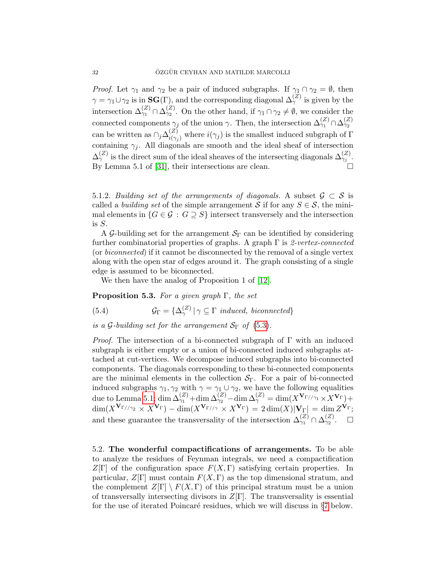*Proof.* Let  $\gamma_1$  and  $\gamma_2$  be a pair of induced subgraphs. If  $\gamma_1 \cap \gamma_2 = \emptyset$ , then  $\gamma = \gamma_1 \cup \gamma_2$  is in  $\textbf{SG}(\Gamma)$ , and the corresponding diagonal  $\Delta_{\gamma}^{(Z)}$  is given by the intersection  $\Delta_{\gamma_1}^{(Z)} \cap \Delta_{\gamma_2}^{(Z)}$ . On the other hand, if  $\gamma_1 \cap \gamma_2 \neq \emptyset$ , we consider the connected components  $\gamma_j$  of the union  $\gamma$ . Then, the intersection  $\Delta_{\gamma_1}^{(Z)} \cap \Delta_{\gamma_2}^{(Z)}$ can be written as  $\cap_j \Delta_{i(\gamma)}^{(Z)}$  $i^{(2)}_{i(\gamma_j)}$  where  $i(\gamma_j)$  is the smallest induced subgraph of  $\Gamma$ containing  $\gamma_j$ . All diagonals are smooth and the ideal sheaf of intersection  $\Delta_{\gamma}^{(Z)}$  is the direct sum of the ideal sheaves of the intersecting diagonals  $\Delta_{\gamma_j}^{(Z)}$ . By Lemma 5.1 of [\[31\]](#page-53-1), their intersections are clean.

5.1.2. Building set of the arrangements of diagonals. A subset  $\mathcal{G} \subset \mathcal{S}$  is called a *building set* of the simple arrangement S if for any  $S \in \mathcal{S}$ , the minimal elements in  $\{G \in \mathcal{G} : G \supseteq S\}$  intersect transversely and the intersection is S.

A G-building set for the arrangement  $S_{\Gamma}$  can be identified by considering further combinatorial properties of graphs. A graph  $\Gamma$  is 2-vertex-connected (or biconnected) if it cannot be disconnected by the removal of a single vertex along with the open star of edges around it. The graph consisting of a single edge is assumed to be biconnected.

We then have the analog of Proposition 1 of [\[12\]](#page-52-1).

**Proposition 5.3.** For a given graph  $\Gamma$ , the set

(5.4) 
$$
\mathcal{G}_{\Gamma} = {\{\Delta_{\gamma}^{(Z)} | \gamma \subseteq \Gamma \; induced, \; biconnected\}}
$$

is a G-building set for the arrangement  $S_{\Gamma}$  of [\(5.3\)](#page-30-2).

*Proof.* The intersection of a bi-connected subgraph of  $\Gamma$  with an induced subgraph is either empty or a union of bi-connected induced subgraphs attached at cut-vertices. We decompose induced subgraphs into bi-connected components. The diagonals corresponding to these bi-connected components are the minimal elements in the collection  $S_{\Gamma}$ . For a pair of bi-connected induced subgraphs  $\gamma_1, \gamma_2$  with  $\gamma = \gamma_1 \cup \gamma_2$ , we have the following equalities due to Lemma [5.1;](#page-30-3) dim  $\Delta_{\gamma_1}^{(Z)} + \dim \Delta_{\gamma_2}^{(Z)} - \dim \Delta_{\gamma}^{(Z)} = \dim (X^{\mathbf{V}_{\Gamma//\gamma_1}} \times X^{\mathbf{V}_{\Gamma}}) +$  $\dim (X^{\mathbf{V}_{\Gamma//\gamma_2}} \times X^{\mathbf{V}_{\Gamma}})-\dim (X^{\mathbf{V}_{\Gamma//\gamma}} \times X^{\mathbf{V}_{\Gamma}}) = 2 \dim (X)|\mathbf{V}_{\Gamma}| \, = \, \dim Z^{\mathbf{V}_{\Gamma}};$ and these guarantee the transversality of the intersection  $\Delta_{\gamma_1}^{(Z)} \cap \Delta_{\gamma_2}^{(Z)}$ .  $\Box$ 

<span id="page-31-0"></span>5.2. The wonderful compactifications of arrangements. To be able to analyze the residues of Feynman integrals, we need a compactification  $Z[\Gamma]$  of the configuration space  $F(X,\Gamma)$  satisfying certain properties. In particular,  $Z[\Gamma]$  must contain  $F(X,\Gamma)$  as the top dimensional stratum, and the complement  $Z[\Gamma] \setminus F(X,\Gamma)$  of this principal stratum must be a union of transversally intersecting divisors in  $Z[\Gamma]$ . The transversality is essential for the use of iterated Poincaré residues, which we will discuss in  $\S7$  $\S7$  below.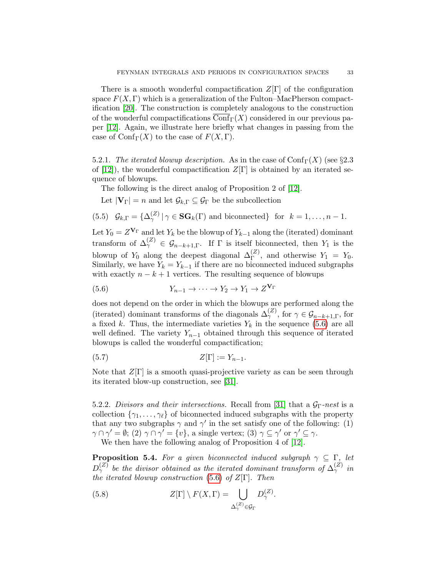There is a smooth wonderful compactification  $Z[\Gamma]$  of the configuration space  $F(X, \Gamma)$  which is a generalization of the Fulton–MacPherson compactification [\[20\]](#page-52-19). The construction is completely analogous to the construction of the wonderful compactifications  $\text{Conf}_{\Gamma}(X)$  considered in our previous paper [\[12\]](#page-52-1). Again, we illustrate here briefly what changes in passing from the case of  $\text{Conf}_{\Gamma}(X)$  to the case of  $F(X, \Gamma)$ .

<span id="page-32-1"></span>5.2.1. The iterated blowup description. As in the case of  $\text{Conf}_{\Gamma}(X)$  (see §2.3 of [\[12\]](#page-52-1)), the wonderful compactification  $Z[\Gamma]$  is obtained by an iterated sequence of blowups.

The following is the direct analog of Proposition 2 of [\[12\]](#page-52-1).

Let  $|\mathbf{V}_{\Gamma}| = n$  and let  $\mathcal{G}_{k,\Gamma} \subseteq \mathcal{G}_{\Gamma}$  be the subcollection

(5.5) 
$$
\mathcal{G}_{k,\Gamma} = \{ \Delta_{\gamma}^{(Z)} \mid \gamma \in \mathbf{SG}_k(\Gamma) \text{ and biconnected} \}
$$
 for  $k = 1, \ldots, n-1$ .

Let  $Y_0 = Z^{\mathbf{V}_{\Gamma}}$  and let  $Y_k$  be the blowup of  $Y_{k-1}$  along the (iterated) dominant transform of  $\Delta_{\gamma}^{(Z)} \in \mathcal{G}_{n-k+1,\Gamma}$ . If  $\Gamma$  is itself biconnected, then  $Y_1$  is the blowup of  $Y_0$  along the deepest diagonal  $\Delta_{\Gamma}^{(Z)}$ , and otherwise  $Y_1 = Y_0$ . Similarly, we have  $Y_k = Y_{k-1}$  if there are no biconnected induced subgraphs with exactly  $n - k + 1$  vertices. The resulting sequence of blowups

<span id="page-32-0"></span>(5.6) 
$$
Y_{n-1} \to \cdots \to Y_2 \to Y_1 \to Z^{\mathbf{V}_{\Gamma}}
$$

does not depend on the order in which the blowups are performed along the (iterated) dominant transforms of the diagonals  $\Delta_{\gamma}^{(Z)}$ , for  $\gamma \in \mathcal{G}_{n-k+1,\Gamma}$ , for a fixed k. Thus, the intermediate varieties  $Y_k$  in the sequence [\(5.6\)](#page-32-0) are all well defined. The variety  $Y_{n-1}$  obtained through this sequence of iterated blowups is called the wonderful compactification;

$$
(5.7) \tZ[\Gamma] := Y_{n-1}.
$$

Note that  $Z[\Gamma]$  is a smooth quasi-projective variety as can be seen through its iterated blow-up construction, see [\[31\]](#page-53-1).

5.2.2. Divisors and their intersections. Recall from [\[31\]](#page-53-1) that a  $\mathcal{G}_{\Gamma}$ -nest is a collection  $\{\gamma_1, \ldots, \gamma_\ell\}$  of biconnected induced subgraphs with the property that any two subgraphs  $\gamma$  and  $\gamma'$  in the set satisfy one of the following: (1)  $\gamma \cap \gamma' = \emptyset$ ; (2)  $\gamma \cap \gamma' = \{v\}$ , a single vertex; (3)  $\gamma \subseteq \gamma'$  or  $\gamma' \subseteq \gamma$ . We then have the following analog of Proposition 4 of [\[12\]](#page-52-1).

<span id="page-32-2"></span>**Proposition 5.4.** For a given biconnected induced subgraph  $\gamma \subseteq \Gamma$ , let  $D_{\gamma}^{(Z)}$  be the divisor obtained as the iterated dominant transform of  $\Delta_{\gamma}^{(Z)}$  in the iterated blowup construction [\(5.6\)](#page-32-0) of  $Z[\Gamma]$ . Then

(5.8) 
$$
Z[\Gamma] \setminus F(X,\Gamma) = \bigcup_{\Delta_{\gamma}^{(Z)} \in \mathcal{G}_{\Gamma}} D_{\gamma}^{(Z)}.
$$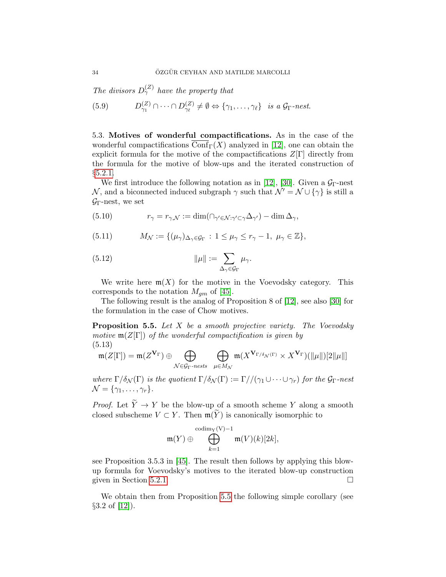The divisors  $D_{\gamma}^{(Z)}$  have the property that

(5.9)  $D_{\gamma_1}^{(Z)} \cap \cdots \cap D_{\gamma_\ell}^{(Z)} \neq \emptyset \Leftrightarrow \{\gamma_1, \ldots, \gamma_\ell\}$  is a  $\mathcal{G}_{\Gamma}$ -nest.

<span id="page-33-0"></span>5.3. Motives of wonderful compactifications. As in the case of the wonderful compactifications  $\text{Conf}_{\Gamma}(X)$  analyzed in [\[12\]](#page-52-1), one can obtain the explicit formula for the motive of the compactifications  $Z[\Gamma]$  directly from the formula for the motive of blow-ups and the iterated construction of §[5.2.1.](#page-32-1)

We first introduce the following notation as in [\[12\]](#page-52-1), [\[30\]](#page-53-0). Given a  $\mathcal{G}_{\Gamma}$ -nest N, and a biconnected induced subgraph  $\gamma$  such that  $\mathcal{N}' = \mathcal{N} \cup {\gamma}$  is still a  $\mathcal{G}_{\Gamma}$ -nest, we set

(5.10) 
$$
r_{\gamma} = r_{\gamma,\mathcal{N}} := \dim(\bigcap_{\gamma' \in \mathcal{N} : \gamma' \subset \gamma} \Delta_{\gamma'}) - \dim \Delta_{\gamma},
$$

(5.11) 
$$
M_{\mathcal{N}} := \{ (\mu_{\gamma})_{\Delta_{\gamma} \in \mathcal{G}_{\Gamma}} : 1 \leq \mu_{\gamma} \leq r_{\gamma} - 1, \ \mu_{\gamma} \in \mathbb{Z} \},
$$

(5.12) 
$$
\|\mu\| := \sum_{\Delta_{\gamma} \in \mathcal{G}_{\Gamma}} \mu_{\gamma}.
$$

We write here  $m(X)$  for the motive in the Voevodsky category. This corresponds to the notation  $M_{gm}$  of [\[45\]](#page-53-13).

The following result is the analog of Proposition 8 of [\[12\]](#page-52-1), see also [\[30\]](#page-53-0) for the formulation in the case of Chow motives.

<span id="page-33-1"></span>**Proposition 5.5.** Let  $X$  be a smooth projective variety. The Voevodsky motive  $\mathfrak{m}(Z[\Gamma])$  of the wonderful compactification is given by (5.13)

$$
0.13)
$$

$$
\mathfrak{m}(Z[\Gamma]) = \mathfrak{m}(Z^{\mathbf{V}_{\Gamma}}) \oplus \bigoplus_{\mathcal{N} \in \mathcal{G}_{\Gamma} \text{-}\nness} \bigoplus_{\mu \in M_{\mathcal{N}}} \mathfrak{m}(X^{\mathbf{V}_{\Gamma/\delta_{\mathcal{N}}(\Gamma)}} \times X^{\mathbf{V}_{\Gamma}})(\|\mu\|)[2\|\mu\|]
$$

where  $\Gamma/\delta_{\mathcal{N}}(\Gamma)$  is the quotient  $\Gamma/\delta_{\mathcal{N}}(\Gamma) := \Gamma//(\gamma_1 \cup \cdots \cup \gamma_r)$  for the  $\mathcal{G}_{\Gamma}$ -nest  $\mathcal{N} = \{\gamma_1, \ldots, \gamma_r\}.$ 

*Proof.* Let  $\widetilde{Y} \to Y$  be the blow-up of a smooth scheme Y along a smooth closed subscheme  $V \subset Y$ . Then  $\mathfrak{m}(\widetilde{Y})$  is canonically isomorphic to

$$
\mathfrak{m}(Y) \oplus \bigoplus_{k=1}^{\mathrm{codim}_Y(V)-1} \mathfrak{m}(V)(k)[2k],
$$

see Proposition 3.5.3 in [\[45\]](#page-53-13). The result then follows by applying this blowup formula for Voevodsky's motives to the iterated blow-up construction given in Section [5.2.1.](#page-32-1)

We obtain then from Proposition [5.5](#page-33-1) the following simple corollary (see  $§3.2$  of [\[12\]](#page-52-1)).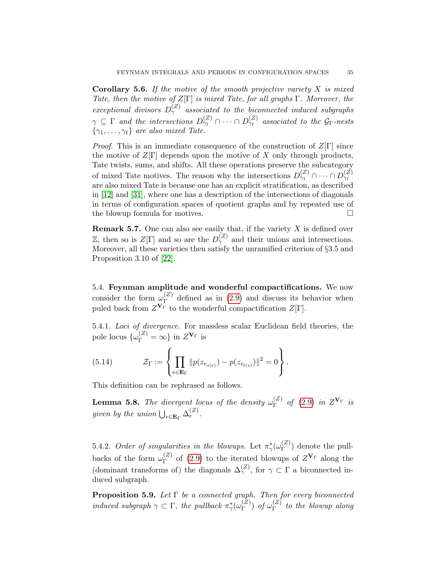**Corollary 5.6.** If the motive of the smooth projective variety  $X$  is mixed Tate, then the motive of  $Z[\Gamma]$  is mixed Tate, for all graphs  $\Gamma$ . Moreover, the exceptional divisors  $D_{\gamma}^{(Z)}$  associated to the biconnected induced subgraphs  $\gamma \subseteq \Gamma$  and the intersections  $D_{\gamma_1}^{(Z)} \cap \cdots \cap D_{\gamma_\ell}^{(Z)}$  associated to the  $\mathcal{G}_{\Gamma}$ -nests  $\{\gamma_1, \ldots, \gamma_\ell\}$  are also mixed Tate.

*Proof.* This is an immediate consequence of the construction of  $Z[\Gamma]$  since the motive of  $Z[\Gamma]$  depends upon the motive of X only through products, Tate twists, sums, and shifts. All these operations preserve the subcategory of mixed Tate motives. The reason why the intersections  $D_{\gamma_1}^{(Z)} \cap \cdots \cap D_{\gamma_\ell}^{(Z)}$ are also mixed Tate is because one has an explicit stratification, as described in [\[12\]](#page-52-1) and [\[31\]](#page-53-1), where one has a description of the intersections of diagonals in terms of configuration spaces of quotient graphs and by repeated use of the blowup formula for motives.

<span id="page-34-3"></span>**Remark 5.7.** One can also see easily that, if the variety  $X$  is defined over Z, then so is  $Z[\Gamma]$  and so are the  $D_{\gamma}^{(Z)}$  and their unions and intersections. Moreover, all these varieties then satisfy the unramified criterion of §3.5 and Proposition 3.10 of [\[22\]](#page-52-20).

<span id="page-34-0"></span>5.4. Feynman amplitude and wonderful compactifications. We now consider the form  $\omega_{\Gamma}^{(Z)}$  $\Gamma$ <sup>(2)</sup> defined as in [\(2.9\)](#page-6-0) and discuss its behavior when puled back from  $Z^{\mathbf{V}_{\Gamma}}$  to the wonderful compactification  $Z[\Gamma].$ 

5.4.1. Loci of divergence. For massless scalar Euclidean field theories, the pole locus  $\{\omega_{\Gamma}^{(Z)} = \infty\}$  in  $Z^{\mathbf{V}_{\Gamma}}$  is

(5.14) 
$$
\mathcal{Z}_{\Gamma} := \left\{ \prod_{e \in \mathbf{E}_{\Gamma}} \| p(z_{v_{s(e)}}) - p(z_{v_{t(e)}}) \|^2 = 0 \right\}.
$$

This definition can be rephrased as follows.

<span id="page-34-1"></span>**Lemma 5.8.** The divergent locus of the density  $\omega_{\Gamma}^{(Z)}$  $\Gamma\qquad(2.9)$  $\Gamma\qquad(2.9)$  in  $Z^{\mathbf{V}_{\Gamma}}$  is given by the union  $\bigcup_{e \in \mathbf{E}_{\Gamma}} \Delta_e^{(Z)}$ .

5.4.2. Order of singularities in the blowups. Let  $\pi_{\gamma}^{\ast}(\omega_{\Gamma}^{(Z)})$  $\binom{2}{\Gamma}$  denote the pullbacks of the form  $\omega_{\Gamma}^{(Z)}$  $\Gamma$ <sup>(2)</sup> of [\(2.9\)](#page-6-0) to the iterated blowups of  $Z^{\mathbf{V}_{\Gamma}}$  along the (dominant transforms of) the diagonals  $\Delta_{\gamma}^{(Z)}$ , for  $\gamma \subset \Gamma$  a biconnected induced subgraph.

<span id="page-34-2"></span>**Proposition 5.9.** Let  $\Gamma$  be a connected graph. Then for every biconnected induced subgraph  $\gamma \subset \Gamma$ , the pullback  $\pi_{\gamma}^{\ast}(\omega_{\Gamma}^{(Z)})$  $\binom{Z}{\Gamma}$  of  $\omega_{\Gamma}^{(Z)}$  $\int_{\Gamma}^{(2)}$  to the blowup along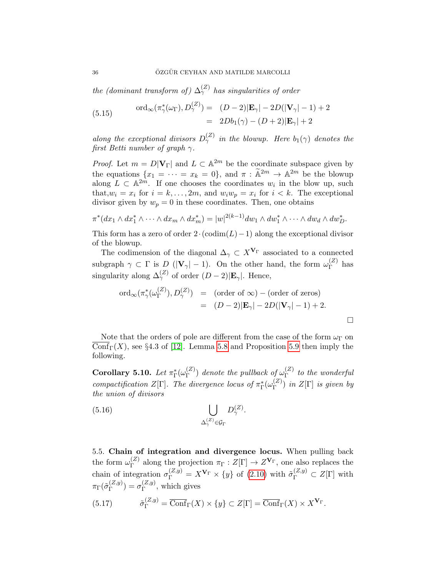the (dominant transform of)  $\Delta_{\gamma}^{(Z)}$  has singularities of order

(5.15) 
$$
\text{ord}_{\infty}(\pi_{\gamma}^*(\omega_{\Gamma}), D_{\gamma}^{(Z)}) = (D-2)|\mathbf{E}_{\gamma}| - 2D(|\mathbf{V}_{\gamma}|-1) + 2
$$

$$
= 2Db_1(\gamma) - (D+2)|\mathbf{E}_{\gamma}| + 2
$$

along the exceptional divisors  $D_{\gamma}^{(Z)}$  in the blowup. Here  $b_1(\gamma)$  denotes the first Betti number of graph  $\gamma$ .

*Proof.* Let  $m = D|\mathbf{V}_{\Gamma}|$  and  $L \subset \mathbb{A}^{2m}$  be the coordinate subspace given by the equations  $\{x_1 = \cdots = x_k = 0\}$ , and  $\pi : \widetilde{\mathbb{A}}^{2m} \to \mathbb{A}^{2m}$  be the blowup along  $L \subset \mathbb{A}^{2m}$ . If one chooses the coordinates  $w_i$  in the blow up, such that,  $w_i = x_i$  for  $i = k, ..., 2m$ , and  $w_i w_p = x_i$  for  $i < k$ . The exceptional divisor given by  $w_p = 0$  in these coordinates. Then, one obtains

$$
\pi^*(dx_1 \wedge dx_1^* \wedge \cdots \wedge dx_m \wedge dx_m^*) = |w|^{2(k-1)} dw_1 \wedge dw_1^* \wedge \cdots \wedge dw_d \wedge dw_D^*.
$$

This form has a zero of order  $2 \cdot (codim(L)-1)$  along the exceptional divisor of the blowup.

The codimension of the diagonal  $\Delta_{\gamma} \subset X^{\mathbf{V}_{\Gamma}}$  associated to a connected subgraph  $\gamma \subset \Gamma$  is  $D(|V_{\gamma}|-1)$ . On the other hand, the form  $\omega_{\Gamma}^{(Z)}$  $\Gamma^{(2)}$  has singularity along  $\Delta_{\gamma}^{(Z)}$  of order  $(D-2)|\mathbf{E}_{\gamma}|$ . Hence,

<span id="page-35-2"></span>
$$
\begin{array}{rcl}\n\text{ord}_{\infty}(\pi_{\gamma}^{*}(\omega_{\Gamma}^{(Z)}), D_{\gamma}^{(Z)}) & = & (\text{order of } \infty) - (\text{order of zeros}) \\
& = & (D-2)|\mathbf{E}_{\gamma}| - 2D(|\mathbf{V}_{\gamma}| - 1) + 2.\n\end{array}
$$

Note that the orders of pole are different from the case of the form  $\omega_{\Gamma}$  on Conf<sub>Γ</sub>(X), see §4.3 of [\[12\]](#page-52-1). Lemma [5.8](#page-34-1) and Proposition [5.9](#page-34-2) then imply the following.

<span id="page-35-3"></span>Corollary 5.10. Let  $\pi_{\Gamma}^{\ast}(\omega_{\Gamma}^{(Z)}$  $\binom{Z}{\Gamma}$  denote the pullback of  $\omega_{\Gamma}^{(Z)}$  $\int_{\Gamma}^{(2)}$  to the wonderful compactification  $Z[\Gamma]$ . The divergence locus of  $\pi_{\Gamma}^*(\omega_{\Gamma}^{(Z)})$  $T^{(2)}$ ) in  $Z[\Gamma]$  is given by the union of divisors

(5.16) 
$$
\bigcup_{\Delta_{\gamma}^{(Z)} \in \mathcal{G}_{\Gamma}} D_{\gamma}^{(Z)}.
$$

<span id="page-35-0"></span>5.5. Chain of integration and divergence locus. When pulling back the form  $\omega_{\Gamma}^{(Z)}$ <sup>(2)</sup> along the projection  $\pi_{\Gamma}: Z[\Gamma] \to Z^{\mathbf{V}_{\Gamma}}$ , one also replaces the chain of integration  $\sigma_{\Gamma}^{(Z,y)} = X^{\mathbf{V}_{\Gamma}} \times \{y\}$  of [\(2.10\)](#page-6-5) with  $\tilde{\sigma}_{\Gamma}^{(Z,y)} \subset Z[\Gamma]$  with  $\pi_\Gamma(\tilde{\sigma}_{\Gamma}^{(Z,y)}$  $\binom{(Z,y)}{\Gamma} = \sigma_{\Gamma}^{(Z,y)}$  $\int_{\Gamma}^{(Z,y)}$ , which gives

<span id="page-35-1"></span>(5.17) 
$$
\tilde{\sigma}_{\Gamma}^{(Z,y)} = \overline{\text{Conf}}_{\Gamma}(X) \times \{y\} \subset Z[\Gamma] = \overline{\text{Conf}}_{\Gamma}(X) \times X^{\mathbf{V}_{\Gamma}}.
$$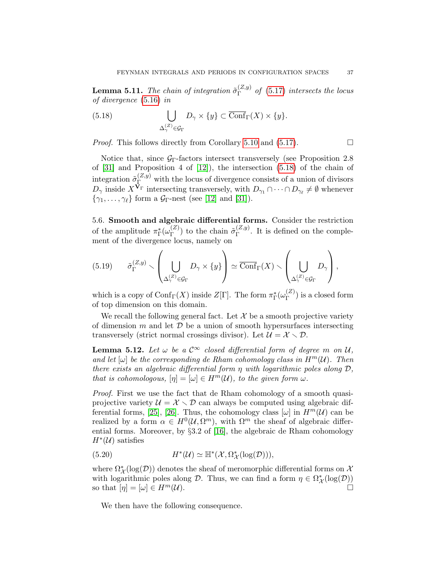**Lemma 5.11.** The chain of integration  $\tilde{\sigma}_{\Gamma}^{(Z,y)}$  $\Gamma^{(2, y)}$  of [\(5.17\)](#page-35-1) intersects the locus of divergence [\(5.16\)](#page-35-2) in

<span id="page-36-1"></span>(5.18) 
$$
\bigcup_{\Delta_{\gamma}^{(Z)} \in \mathcal{G}_{\Gamma}} D_{\gamma} \times \{y\} \subset \overline{\text{Conf}}_{\Gamma}(X) \times \{y\}.
$$

*Proof.* This follows directly from Corollary [5.10](#page-35-3) and  $(5.17)$ .

Notice that, since  $G_{\Gamma}$ -factors intersect transversely (see Proposition 2.8) of [\[31\]](#page-53-1) and Proposition 4 of [\[12\]](#page-52-1)), the intersection [\(5.18\)](#page-36-1) of the chain of integration  $\tilde{\sigma}_{\Gamma}^{(Z,y)}$  with the locus of divergence consists of a union of divisors  $D_{\gamma}$  inside  $X^{\mathbf{V}_{\Gamma}}$  intersecting transversely, with  $D_{\gamma_1} \cap \cdots \cap D_{\gamma_{\ell}} \neq \emptyset$  whenever  $\{\gamma_1, \ldots, \gamma_\ell\}$  form a  $\mathcal{G}_{\Gamma}$ -nest (see [\[12\]](#page-52-1) and [\[31\]](#page-53-1)).

<span id="page-36-0"></span>5.6. Smooth and algebraic differential forms. Consider the restriction of the amplitude  $\pi_{\Gamma}^*(\omega_{\Gamma}^{(Z)}$  $\binom{Z}{\Gamma}$  to the chain  $\tilde{\sigma}_{\Gamma}^{(Z,y)}$  $\Gamma$ <sup>( $\angle$ ,y)</sup>. It is defined on the complement of the divergence locus, namely on

$$
(5.19) \qquad \tilde{\sigma}_{\Gamma}^{(Z,y)} \smallsetminus \left(\bigcup_{\Delta_{\gamma}^{(Z)} \in \mathcal{G}_{\Gamma}} D_{\gamma} \times \{y\}\right) \simeq \overline{\mathrm{Conf}}_{\Gamma}(X) \smallsetminus \left(\bigcup_{\Delta_{\gamma}^{(Z)} \in \mathcal{G}_{\Gamma}} D_{\gamma}\right),
$$

which is a copy of  $\mathrm{Conf}_{\Gamma}(X)$  inside  $Z[\Gamma]$ . The form  $\pi_{\Gamma}^*(\omega_{\Gamma}^{(Z)})$  $\binom{2}{\Gamma}$  is a closed form of top dimension on this domain.

We recall the following general fact. Let  $\mathcal X$  be a smooth projective variety of dimension m and let  $\mathcal D$  be a union of smooth hypersurfaces intersecting transversely (strict normal crossings divisor). Let  $\mathcal{U} = \mathcal{X} \setminus \mathcal{D}$ .

<span id="page-36-2"></span>**Lemma 5.12.** Let  $\omega$  be a  $\mathcal{C}^{\infty}$  closed differential form of degree m on U, and let  $[\omega]$  be the corresponding de Rham cohomology class in  $H^m(\mathcal{U})$ . Then there exists an algebraic differential form  $\eta$  with logarithmic poles along  $\mathcal{D}$ , that is cohomologous,  $[\eta] = [\omega] \in H^m(\mathcal{U})$ , to the given form  $\omega$ .

Proof. First we use the fact that de Rham cohomology of a smooth quasiprojective variety  $\mathcal{U} = \mathcal{X} \setminus \mathcal{D}$  can always be computed using algebraic dif-ferential forms, [\[25\]](#page-52-21), [\[26\]](#page-52-22). Thus, the cohomology class  $[\omega]$  in  $H^m(\mathcal{U})$  can be realized by a form  $\alpha \in H^0(\mathcal{U}, \Omega^m)$ , with  $\Omega^m$  the sheaf of algebraic differential forms. Moreover, by §3.2 of [\[16\]](#page-52-23), the algebraic de Rham cohomology  $H^*(\mathcal{U})$  satisfies

(5.20) 
$$
H^*(\mathcal{U}) \simeq \mathbb{H}^*(\mathcal{X}, \Omega^*_{\mathcal{X}}(\log(\mathcal{D}))),
$$

where  $\Omega^*_{\mathcal{X}}(\log(\mathcal{D}))$  denotes the sheaf of meromorphic differential forms on  $\mathcal{X}$ with logarithmic poles along  $\mathcal{D}$ . Thus, we can find a form  $\eta \in \Omega^*_{\mathcal{X}}(\log(\mathcal{D}))$ so that  $[\eta] = [\omega] \in H^m(\mathcal{U}).$ 

We then have the following consequence.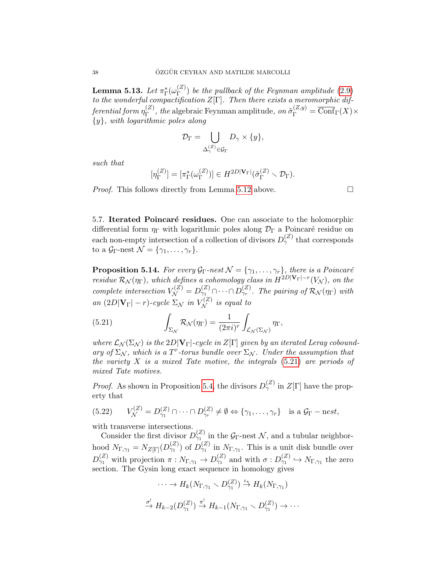${\rm Lemma~5.13.}$   $Let\, \pi_\Gamma^*(\omega_\Gamma^{(Z)}$  $\binom{2}{\Gamma}$  be the pullback of the Feynman amplitude [\(2.9\)](#page-6-0) to the wonderful compactification  $Z[\Gamma]$ . Then there exists a meromorphic differential form  $\eta_{\Gamma}^{(Z)}$  $\mathcal{L}_{\Gamma}^{(Z)}$ , the algebraic Feynman amplitude, on  $\tilde{\sigma}_{\Gamma}^{(Z,y)} = \overline{\text{Conf}}_{\Gamma}(X) \times$  $\{y\}$ , with logarithmic poles along

$$
\mathcal{D}_{\Gamma} = \bigcup_{\Delta_{\gamma}^{(Z)} \in \mathcal{G}_{\Gamma}} D_{\gamma} \times \{y\},\
$$

such that

$$
[\eta_{\Gamma}^{(Z)}] = [\pi_{\Gamma}^*(\omega_{\Gamma}^{(Z)})] \in H^{2D|\mathbf{V}_{\Gamma}|}(\tilde{\sigma}_{\Gamma}^{(Z)} \setminus \mathcal{D}_{\Gamma}).
$$

*Proof.* This follows directly from Lemma [5.12](#page-36-2) above.  $\Box$ 

<span id="page-37-0"></span>5.7. Iterated Poincaré residues. One can associate to the holomorphic differential form  $\eta_{\Gamma}$  with logarithmic poles along  $\mathcal{D}_{\Gamma}$  a Poincaré residue on each non-empty intersection of a collection of divisors  $D_{\gamma}^{(Z)}$  that corresponds to a  $\mathcal{G}_{\Gamma}$ -nest  $\mathcal{N} = {\gamma_1, \ldots, \gamma_r}.$ 

<span id="page-37-2"></span>**Proposition 5.14.** For every  $\mathcal{G}_{\Gamma}$ -nest  $\mathcal{N} = {\gamma_1, \dots, \gamma_r}$ , there is a Poincaré residue  $\mathcal{R}_{\mathcal{N}}(\eta_{\Gamma}),$  which defines a cohomology class in  $H^{2D|\mathbf{V}_{\Gamma}|-r}(V_{\mathcal{N}})$ , on the complete intersection  $V_{\mathcal{N}}^{(Z)} = D_{\gamma_1}^{(Z)} \cap \cdots \cap D_{\gamma_r}^{(Z)}$ . The pairing of  $\mathcal{R}_{\mathcal{N}}(\eta_{\Gamma})$  with an  $(2D|\mathbf{V}_{\Gamma}|-r)$ -cycle  $\Sigma_{\mathcal{N}}$  in  $V_{\mathcal{N}}^{(Z)}$  is equal to

<span id="page-37-1"></span>(5.21) 
$$
\int_{\Sigma_{\mathcal{N}}} \mathcal{R}_{\mathcal{N}}(\eta_{\Gamma}) = \frac{1}{(2\pi i)^r} \int_{\mathcal{L}_{\mathcal{N}}(\Sigma_{\mathcal{N}})} \eta_{\Gamma},
$$

where  $\mathcal{L}_{\mathcal{N}}(\Sigma_{\mathcal{N}})$  is the  $2D|\mathbf{V}_{\Gamma}|$ -cycle in  $Z[\Gamma]$  given by an iterated Leray coboundary of  $\Sigma_{\mathcal{N}}$ , which is a T<sup>r</sup>-torus bundle over  $\Sigma_{\mathcal{N}}$ . Under the assumption that the variety  $X$  is a mixed Tate motive, the integrals  $(5.21)$  are periods of mixed Tate motives.

*Proof.* As shown in Proposition [5.4,](#page-32-2) the divisors  $D_{\gamma}^{(Z)}$  in  $Z[\Gamma]$  have the property that

(5.22) 
$$
V_{\mathcal{N}}^{(Z)} = D_{\gamma_1}^{(Z)} \cap \cdots \cap D_{\gamma_r}^{(Z)} \neq \emptyset \Leftrightarrow \{\gamma_1, \ldots, \gamma_r\} \text{ is a } \mathcal{G}_{\Gamma} - \text{nest},
$$

with transverse intersections.

Consider the first divisor  $D_{\gamma_1}^{(Z)}$  in the  $\mathcal{G}_{\Gamma}$ -nest N, and a tubular neighborhood  $N_{\Gamma,\gamma_1} = N_{Z[\Gamma]}(D_{\gamma_1}^{(Z)})$  of  $D_{\gamma_1}^{(Z)}$  in  $N_{\Gamma,\gamma_1}$ . This is a unit disk bundle over  $D_{\gamma_1}^{(Z)}$  with projection  $\pi: N_{\Gamma,\gamma_1} \to D_{\gamma_1}^{(Z)}$  and with  $\sigma: D_{\gamma_1}^{(Z)} \to N_{\Gamma,\gamma_1}$  the zero section. The Gysin long exact sequence in homology gives

$$
\cdots \to H_k(N_{\Gamma,\gamma_1} \smallsetminus D_{\gamma_1}^{(Z)}) \stackrel{\iota_*}{\to} H_k(N_{\Gamma,\gamma_1})
$$
  

$$
\stackrel{\sigma^!}{\to} H_{k-2}(D_{\gamma_1}^{(Z)}) \stackrel{\pi^!}{\to} H_{k-1}(N_{\Gamma,\gamma_1} \smallsetminus D_{\gamma_1}^{(Z)}) \to \cdots
$$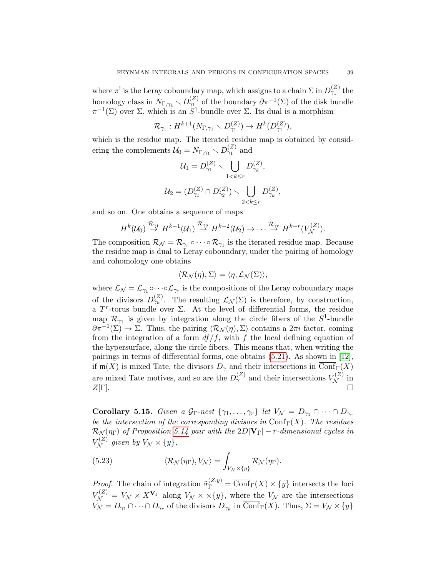where  $\pi^!$  is the Leray coboundary map, which assigns to a chain  $\Sigma$  in  $D_{\gamma_1}^{(Z)}$  the homology class in  $N_{\Gamma,\gamma_1} \setminus D_{\gamma_1}^{(Z)}$  of the boundary  $\partial \pi^{-1}(\Sigma)$  of the disk bundle  $\pi^{-1}(\Sigma)$  over  $\Sigma$ , which is an  $S^1$ -bundle over  $\Sigma$ . Its dual is a morphism

$$
\mathcal{R}_{\gamma_1}: H^{k+1}(N_{\Gamma,\gamma_1} \setminus D_{\gamma_1}^{(Z)}) \to H^k(D_{\gamma_1}^{(Z)}),
$$

which is the residue map. The iterated residue map is obtained by considering the complements  $\mathcal{U}_0 = N_{\Gamma,\gamma_1} \setminus D_{\gamma_1}^{(Z)}$  and

$$
\mathcal{U}_1 = D_{\gamma_1}^{(Z)} \setminus \bigcup_{1 < k \le r} D_{\gamma_k}^{(Z)},
$$
\n
$$
\mathcal{U}_2 = (D_{\gamma_1}^{(Z)} \cap D_{\gamma_2}^{(Z)}) \setminus \bigcup_{2 < k \le r} D_{\gamma_k}^{(Z)}
$$

,

and so on. One obtains a sequence of maps

$$
H^k(\mathcal{U}_0) \stackrel{\mathcal{R}_{\gamma_1}}{\rightarrow} H^{k-1}(\mathcal{U}_1) \stackrel{\mathcal{R}_{\gamma_2}}{\rightarrow} H^{k-2}(\mathcal{U}_2) \rightarrow \cdots \stackrel{\mathcal{R}_{\gamma_r}}{\rightarrow} H^{k-r}(V^{(Z)}_{\mathcal{N}}).
$$

The composition  $\mathcal{R}_{\mathcal{N}} = \mathcal{R}_{\gamma_r} \circ \cdots \circ \mathcal{R}_{\gamma_1}$  is the iterated residue map. Because the residue map is dual to Leray coboundary, under the pairing of homology and cohomology one obtains

$$
\langle \mathcal{R}_{\mathcal{N}}(\eta), \Sigma \rangle = \langle \eta, \mathcal{L}_{\mathcal{N}}(\Sigma) \rangle,
$$

where  $\mathcal{L}_{\mathcal{N}} = \mathcal{L}_{\gamma_1} \circ \cdots \circ \mathcal{L}_{\gamma_r}$  is the compositions of the Leray coboundary maps of the divisors  $D_{\gamma_k}^{(Z)}$ . The resulting  $\mathcal{L}_{\mathcal{N}}(\Sigma)$  is therefore, by construction, a  $T^r$ -torus bundle over  $\Sigma$ . At the level of differential forms, the residue map  $\mathcal{R}_{\gamma_1}$  is given by integration along the circle fibers of the  $S^1$ -bundle  $\partial \pi^{-1}(\Sigma) \to \Sigma$ . Thus, the pairing  $\langle \mathcal{R}_{\mathcal{N}}(\eta), \Sigma \rangle$  contains a  $2\pi i$  factor, coming from the integration of a form  $df/f$ , with f the local defining equation of the hypersurface, along the circle fibers. This means that, when writing the pairings in terms of differential forms, one obtains [\(5.21\)](#page-37-1). As shown in [\[12\]](#page-52-1), if  $m(X)$  is mixed Tate, the divisors  $D_{\gamma}$  and their intersections in  $\overline{\text{Conf}}_{\Gamma}(X)$ are mixed Tate motives, and so are the  $D_{\gamma}^{(Z)}$  and their intersections  $V_{\mathcal{N}}^{(Z)}$  in  $Z[\Gamma]$ .

Corollary 5.15. Given a  $\mathcal{G}_{\Gamma}$ -nest  $\{\gamma_1,\ldots,\gamma_r\}$  let  $V_{\mathcal{N}} = D_{\gamma_1} \cap \cdots \cap D_{\gamma_r}$ be the intersection of the corresponding divisors in  $\overline{\text{Conf}}_{\Gamma}(X)$ . The residues  $\mathcal{R}_{\mathcal{N}}(\eta_{\Gamma})$  of Proposition [5.14](#page-37-2) pair with the  $2D|\mathbf{V}_{\Gamma}|$  – r-dimensional cycles in  $V_{\mathcal{N}}^{(Z)}$  given by  $V_{\mathcal{N}} \times \{y\},$ 

(5.23) 
$$
\langle \mathcal{R}_{\mathcal{N}}(\eta_{\Gamma}), V_{\mathcal{N}} \rangle = \int_{V_{\mathcal{N}} \times \{y\}} \mathcal{R}_{\mathcal{N}}(\eta_{\Gamma}).
$$

*Proof.* The chain of integration  $\tilde{\sigma}_{\Gamma}^{(Z,y)} = \overline{\text{Conf}}_{\Gamma}(X) \times \{y\}$  intersects the loci  $V_{\mathcal{N}}^{(Z)} = V_{\mathcal{N}} \times X^{\mathbf{V}_{\Gamma}}$  along  $V_{\mathcal{N}} \times \times \{y\}$ , where the  $V_{\mathcal{N}}$  are the intersections  $V_{\mathcal{N}} = D_{\gamma_1} \cap \cdots \cap D_{\gamma_r}$  of the divisors  $D_{\gamma_k}$  in  $\overline{\text{Conf}}_{\Gamma}(X)$ . Thus,  $\Sigma = V_{\mathcal{N}} \times \{y\}$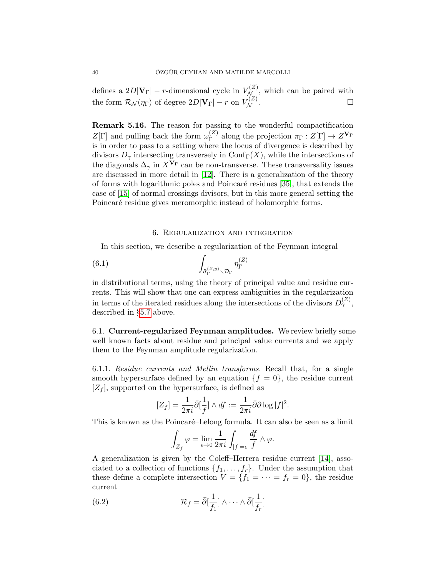defines a  $2D|\mathbf{V}_{\Gamma}|$  – *r*-dimensional cycle in  $V_{\mathcal{N}_{\perp}}^{(Z)}$ , which can be paired with the form  $\mathcal{R}_{\mathcal{N}}(\eta_{\Gamma})$  of degree  $2D|\mathbf{V}_{\Gamma}| - r$  on  $V_{\mathcal{N}}^{(Z)}$ .

Remark 5.16. The reason for passing to the wonderful compactification  $Z[\Gamma]$  and pulling back the form  $\omega_{\Gamma}^{(Z)}$  $\Gamma_{\Gamma}^{(Z)}$  along the projection  $\pi_{\Gamma}:Z[\Gamma]\to Z^{\mathbf{V}_{\Gamma}}$ is in order to pass to a setting where the locus of divergence is described by divisors  $D_{\gamma}$  intersecting transversely in  $\overline{\text{Conf}}_{\Gamma}(X)$ , while the intersections of the diagonals  $\Delta_{\gamma}$  in  $X^{\bar{\mathbf{V}}_{\Gamma}}$  can be non-transverse. These transversality issues are discussed in more detail in [\[12\]](#page-52-1). There is a generalization of the theory of forms with logarithmic poles and Poincar´e residues [\[35\]](#page-53-14), that extends the case of [\[15\]](#page-52-7) of normal crossings divisors, but in this more general setting the Poincaré residue gives meromorphic instead of holomorphic forms.

## <span id="page-39-3"></span>6. Regularization and integration

<span id="page-39-0"></span>In this section, we describe a regularization of the Feynman integral

(6.1) 
$$
\int_{\tilde{\sigma}_{\Gamma}^{(Z,y)} \backslash \mathcal{D}_{\Gamma}} \eta_{\Gamma}^{(Z)}
$$

in distributional terms, using the theory of principal value and residue currents. This will show that one can express ambiguities in the regularization in terms of the iterated residues along the intersections of the divisors  $D_{\gamma}^{(Z)}$ , described in §[5.7](#page-37-0) above.

<span id="page-39-1"></span>6.1. Current-regularized Feynman amplitudes. We review briefly some well known facts about residue and principal value currents and we apply them to the Feynman amplitude regularization.

6.1.1. Residue currents and Mellin transforms. Recall that, for a single smooth hypersurface defined by an equation  $\{f = 0\}$ , the residue current  $[Z_f]$ , supported on the hypersurface, is defined as

$$
[Z_f] = \frac{1}{2\pi i} \bar{\partial} \left[\frac{1}{f}\right] \wedge df := \frac{1}{2\pi i} \bar{\partial} \partial \log |f|^2.
$$

This is known as the Poincaré–Lelong formula. It can also be seen as a limit

<span id="page-39-2"></span>
$$
\int_{Z_f} \varphi = \lim_{\epsilon \to 0} \frac{1}{2\pi i} \int_{|f|=\epsilon} \frac{df}{f} \wedge \varphi.
$$

A generalization is given by the Coleff–Herrera residue current [\[14\]](#page-52-10), associated to a collection of functions  $\{f_1, \ldots, f_r\}$ . Under the assumption that these define a complete intersection  $V = \{f_1 = \cdots = f_r = 0\}$ , the residue current

(6.2) 
$$
\mathcal{R}_f = \bar{\partial} \left[\frac{1}{f_1}\right] \wedge \cdots \wedge \bar{\partial} \left[\frac{1}{f_r}\right]
$$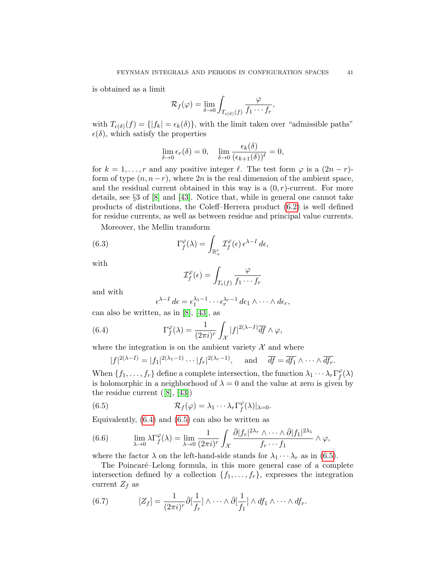is obtained as a limit

$$
\mathcal{R}_f(\varphi) = \lim_{\delta \to 0} \int_{T_{\epsilon(\delta)}(f)} \frac{\varphi}{f_1 \cdots f_r},
$$

with  $T_{\epsilon(\delta)}(f) = \{ |f_k| = \epsilon_k(\delta) \},\$  with the limit taken over "admissible paths"  $\epsilon(\delta)$ , which satisfy the properties

$$
\lim_{\delta \to 0} \epsilon_r(\delta) = 0, \quad \lim_{\delta \to 0} \frac{\epsilon_k(\delta)}{(\epsilon_{k+1}(\delta))^\ell} = 0,
$$

for  $k = 1, \ldots, r$  and any positive integer  $\ell$ . The test form  $\varphi$  is a  $(2n - r)$ form of type  $(n, n-r)$ , where 2n is the real dimension of the ambient space, and the residual current obtained in this way is a  $(0, r)$ -current. For more details, see §3 of [\[8\]](#page-52-9) and [\[43\]](#page-53-15). Notice that, while in general one cannot take products of distributions, the Coleff–Herrera product [\(6.2\)](#page-39-2) is well defined for residue currents, as well as between residue and principal value currents.

Moreover, the Mellin transform

(6.3) 
$$
\Gamma_f^{\varphi}(\lambda) = \int_{\mathbb{R}_+^r} \mathcal{I}_f^{\varphi}(\epsilon) \, \epsilon^{\lambda - 1} \, d\epsilon,
$$

with

$$
\mathcal{I}_f^{\varphi}(\epsilon) = \int_{T_{\epsilon}(f)} \frac{\varphi}{f_1 \cdots f_r}
$$

and with

<span id="page-40-0"></span>
$$
\epsilon^{\lambda-1} d\epsilon = \epsilon_1^{\lambda_1-1} \cdots \epsilon_r^{\lambda_r-1} d\epsilon_1 \wedge \cdots \wedge d\epsilon_r,
$$

can also be written, as in [\[8\]](#page-52-9), [\[43\]](#page-53-15), as

(6.4) 
$$
\Gamma_f^{\varphi}(\lambda) = \frac{1}{(2\pi i)^r} \int_{\mathcal{X}} |f|^{2(\lambda - 1)} \overline{df} \wedge \varphi,
$$

where the integration is on the ambient variety  $\mathcal{X}$  and where

<span id="page-40-1"></span>
$$
|f|^{2(\lambda-I)} = |f_1|^{2(\lambda_1-1)} \cdots |f_r|^{2(\lambda_r-1)}, \quad \text{and} \quad \overline{df} = \overline{df_1} \wedge \cdots \wedge \overline{df_r}.
$$

When  $\{f_1, \ldots, f_r\}$  define a complete intersection, the function  $\lambda_1 \cdots \lambda_r \Gamma_f^{\varphi}$  $^{\varphi}_{f}(\lambda)$ is holomorphic in a neighborhood of  $\lambda = 0$  and the value at zero is given by the residue current([\[8\]](#page-52-9), [\[43\]](#page-53-15))

(6.5) 
$$
\mathcal{R}_f(\varphi) = \lambda_1 \cdots \lambda_r \Gamma_f^{\varphi}(\lambda)|_{\lambda=0}.
$$

Equivalently,  $(6.4)$  and  $(6.5)$  can also be written as

(6.6) 
$$
\lim_{\lambda \to 0} \lambda \Gamma_f^{\varphi}(\lambda) = \lim_{\lambda \to 0} \frac{1}{(2\pi i)^r} \int_{\mathcal{X}} \frac{\bar{\partial} |f_r|^{2\lambda_r} \wedge \dots \wedge \bar{\partial} |f_1|^{2\lambda_1}}{f_r \cdots f_1} \wedge \varphi,
$$

where the factor  $\lambda$  on the left-hand-side stands for  $\lambda_1 \cdots \lambda_r$  as in [\(6.5\)](#page-40-1).

The Poincaré–Lelong formula, in this more general case of a complete intersection defined by a collection  $\{f_1, \ldots, f_r\}$ , expresses the integration current  $Z_f$  as

(6.7) 
$$
[Z_f] = \frac{1}{(2\pi i)^r} \bar{\partial}[\frac{1}{f_r}] \wedge \cdots \wedge \bar{\partial}[\frac{1}{f_1}] \wedge df_1 \wedge \cdots \wedge df_r.
$$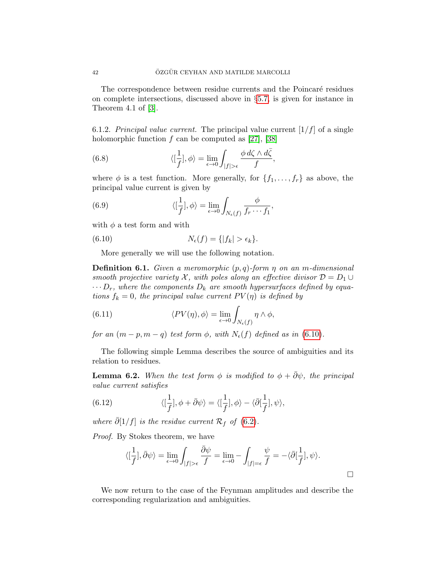The correspondence between residue currents and the Poincaré residues on complete intersections, discussed above in §[5.7,](#page-37-0) is given for instance in Theorem 4.1 of [\[3\]](#page-52-24).

6.1.2. Principal value current. The principal value current  $[1/f]$  of a single holomorphic function  $f$  can be computed as [\[27\]](#page-52-25), [\[38\]](#page-53-16)

(6.8) 
$$
\langle [\frac{1}{f}], \phi \rangle = \lim_{\epsilon \to 0} \int_{|f| > \epsilon} \frac{\phi \, d\zeta \wedge d\bar{\zeta}}{f},
$$

where  $\phi$  is a test function. More generally, for  $\{f_1, \ldots, f_r\}$  as above, the principal value current is given by

(6.9) 
$$
\langle \left[\frac{1}{f}\right], \phi \rangle = \lim_{\epsilon \to 0} \int_{N_{\epsilon}(f)} \frac{\phi}{f_r \cdots f_1},
$$

with  $\phi$  a test form and with

(6.10) 
$$
N_{\epsilon}(f) = \{ |f_k| > \epsilon_k \}.
$$

<span id="page-41-0"></span>More generally we will use the following notation.

**Definition 6.1.** Given a meromorphic  $(p, q)$ -form  $\eta$  on an m-dimensional smooth projective variety X, with poles along an effective divisor  $\mathcal{D} = D_1 \cup$  $\cdots D_r$ , where the components  $D_k$  are smooth hypersurfaces defined by equations  $f_k = 0$ , the principal value current  $PV(\eta)$  is defined by

<span id="page-41-1"></span>(6.11) 
$$
\langle PV(\eta), \phi \rangle = \lim_{\epsilon \to 0} \int_{N_{\epsilon}(f)} \eta \wedge \phi,
$$

for an  $(m - p, m - q)$  test form  $\phi$ , with  $N_{\epsilon}(f)$  defined as in [\(6.10\)](#page-41-0).

The following simple Lemma describes the source of ambiguities and its relation to residues.

**Lemma 6.2.** When the test form  $\phi$  is modified to  $\phi + \overline{\partial}\psi$ , the principal value current satisfies

(6.12) 
$$
\langle [\frac{1}{f}], \phi + \bar{\partial}\psi \rangle = \langle [\frac{1}{f}], \phi \rangle - \langle \bar{\partial}[\frac{1}{f}], \psi \rangle,
$$

where  $\bar{\partial}[1/f]$  is the residue current  $\mathcal{R}_f$  of [\(6.2\)](#page-39-2).

Proof. By Stokes theorem, we have

$$
\langle [\frac{1}{f}], \bar{\partial}\psi\rangle = \lim_{\epsilon \to 0} \int_{|f| > \epsilon} \frac{\bar{\partial}\psi}{f} = \lim_{\epsilon \to 0} - \int_{|f| = \epsilon} \frac{\psi}{f} = -\langle \bar{\partial}[\frac{1}{f}], \psi \rangle.
$$

We now return to the case of the Feynman amplitudes and describe the corresponding regularization and ambiguities.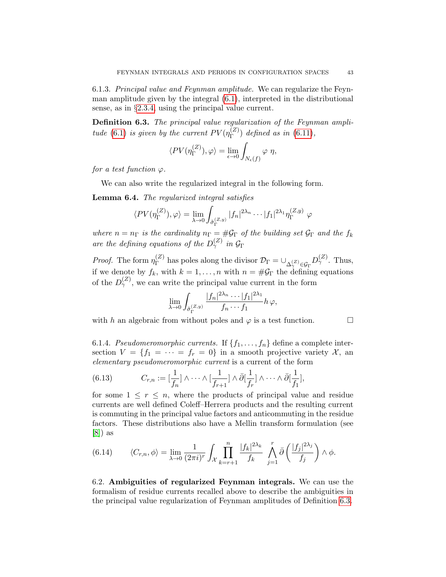6.1.3. Principal value and Feynman amplitude. We can regularize the Feynman amplitude given by the integral [\(6.1\)](#page-39-3), interpreted in the distributional sense, as in §[2.3.4,](#page-7-2) using the principal value current.

<span id="page-42-1"></span>Definition 6.3. The principal value regularization of the Feynman ampli-tude [\(6.1\)](#page-39-3) is given by the current  $PV(\eta_{\Gamma}^{(Z)})$  $\binom{2}{\Gamma}$  defined as in [\(6.11\)](#page-41-1),

$$
\langle PV(\eta_{\Gamma}^{(Z)}), \varphi \rangle = \lim_{\epsilon \to 0} \int_{N_{\epsilon}(f)} \varphi \eta,
$$

for a test function  $\varphi$ .

We can also write the regularized integral in the following form.

Lemma 6.4. The regularized integral satisfies

$$
\langle PV(\eta_{\Gamma}^{(Z)}), \varphi \rangle = \lim_{\lambda \to 0} \int_{\tilde{\sigma}_{\Gamma}^{(Z,y)}} |f_n|^{2\lambda_n} \cdots |f_1|^{2\lambda_1} \eta_{\Gamma}^{(Z,y)} \varphi
$$

where  $n = n_{\Gamma}$  is the cardinality  $n_{\Gamma} = \#\mathcal{G}_{\Gamma}$  of the building set  $\mathcal{G}_{\Gamma}$  and the  $f_k$ are the defining equations of the  $D_{\gamma}^{(Z)}$  in  $\mathcal{G}_{\Gamma}$ 

*Proof.* The form  $\eta_{\Gamma}^{(Z)}$  $\mathcal{D}_{\Gamma}^{(Z)}$  has poles along the divisor  $\mathcal{D}_{\Gamma} = \cup_{\Delta_{\gamma}^{(Z)} \in \mathcal{G}_{\Gamma}} D_{\gamma}^{(Z)}$ . Thus, if we denote by  $f_k$ , with  $k = 1, ..., n$  with  $n = #\mathcal{G}_\Gamma$  the defining equations of the  $D_{\gamma}^{(Z)}$ , we can write the principal value current in the form

$$
\lim_{\lambda \to 0} \int_{\tilde{\sigma}_{\Gamma}^{(Z,y)}} \frac{|f_n|^{2\lambda_n} \cdots |f_1|^{2\lambda_1}}{f_n \cdots f_1} h \varphi,
$$

with h an algebraic from without poles and  $\varphi$  is a test function.

6.1.4. Pseudomeromorphic currents. If  $\{f_1, \ldots, f_n\}$  define a complete intersection  $V = \{f_1 = \cdots = f_r = 0\}$  in a smooth projective variety X, an elementary pseudomeromorphic current is a current of the form

<span id="page-42-2"></span>(6.13) 
$$
C_{r,n} := \left[\frac{1}{f_n}\right] \wedge \cdots \wedge \left[\frac{1}{f_{r+1}}\right] \wedge \bar{\partial} \left[\frac{1}{f_r}\right] \wedge \cdots \wedge \bar{\partial} \left[\frac{1}{f_1}\right],
$$

for some  $1 \leq r \leq n$ , where the products of principal value and residue currents are well defined Coleff–Herrera products and the resulting current is commuting in the principal value factors and anticommuting in the residue factors. These distributions also have a Mellin transform formulation (see [\[8\]](#page-52-9)) as

(6.14) 
$$
\langle C_{r,n}, \phi \rangle = \lim_{\lambda \to 0} \frac{1}{(2\pi i)^r} \int_{\mathcal{X}} \prod_{k=r+1}^n \frac{|f_k|^{2\lambda_k}}{f_k} \int_{j=1}^r \bar{\partial} \left( \frac{|f_j|^{2\lambda_j}}{f_j} \right) \wedge \phi.
$$

<span id="page-42-0"></span>6.2. Ambiguities of regularized Feynman integrals. We can use the formalism of residue currents recalled above to describe the ambiguities in the principal value regularization of Feynman amplitudes of Definition [6.3.](#page-42-1)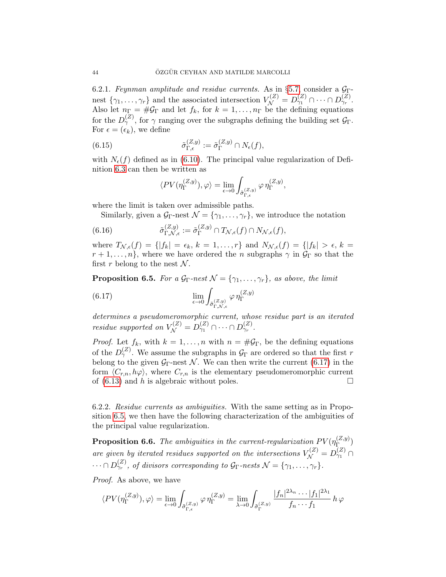6.2.1. Feynman amplitude and residue currents. As in §[5.7,](#page-37-0) consider a  $\mathcal{G}_{\Gamma}$ nest  $\{\gamma_1,\ldots,\gamma_r\}$  and the associated intersection  $V_{\mathcal{N}}^{(Z)} = D_{\gamma_1}^{(Z)} \cap \cdots \cap D_{\gamma_r}^{(Z)}$ . Also let  $n_{\Gamma} = \#\mathcal{G}_{\Gamma}$  and let  $f_k$ , for  $k = 1, \ldots, n_{\Gamma}$  be the defining equations for the  $D_{\gamma}^{(Z)}$ , for  $\gamma$  ranging over the subgraphs defining the building set  $\mathcal{G}_{\Gamma}$ . For  $\epsilon = (\epsilon_k)$ , we define

(6.15) 
$$
\tilde{\sigma}_{\Gamma,\epsilon}^{(Z,y)} := \tilde{\sigma}_{\Gamma}^{(Z,y)} \cap N_{\epsilon}(f),
$$

with  $N_{\epsilon}(f)$  defined as in [\(6.10\)](#page-41-0). The principal value regularization of Definition [6.3](#page-42-1) can then be written as

$$
\langle PV(\eta_{\Gamma}^{(Z,y)}),\varphi \rangle = \lim_{\epsilon \to 0} \int_{\tilde{\sigma}_{\Gamma,\epsilon}^{(Z,y)}} \varphi \, \eta_{\Gamma}^{(Z,y)},
$$

where the limit is taken over admissible paths.

Similarly, given a  $\mathcal{G}_{\Gamma}$ -nest  $\mathcal{N} = {\gamma_1, \ldots, \gamma_r}$ , we introduce the notation

(6.16) 
$$
\tilde{\sigma}_{\Gamma,\mathcal{N},\epsilon}^{(Z,y)} := \tilde{\sigma}_{\Gamma}^{(Z,y)} \cap T_{\mathcal{N},\epsilon}(f) \cap N_{\mathcal{N},\epsilon}(f),
$$

where  $T_{\mathcal{N},\epsilon}(f) = \{ |f_k| = \epsilon_k, k = 1,\ldots,r \}$  and  $N_{\mathcal{N},\epsilon}(f) = \{ |f_k| > \epsilon, k = 1,\ldots,r \}$  $r+1,\ldots,n$ , where we have ordered the n subgraphs  $\gamma$  in  $\mathcal{G}_{\Gamma}$  so that the first r belong to the nest  $\mathcal N$ .

<span id="page-43-1"></span>**Proposition 6.5.** For a  $\mathcal{G}_{\Gamma}$ -nest  $\mathcal{N} = {\gamma_1, \dots, \gamma_r}$ , as above, the limit

<span id="page-43-0"></span>(6.17) 
$$
\lim_{\epsilon \to 0} \int_{\tilde{\sigma}_{\Gamma,\mathcal{N},\epsilon}^{(Z,y)}} \varphi \,\eta_{\Gamma}^{(Z,y)}
$$

determines a pseudomeromorphic current, whose residue part is an iterated residue supported on  $V_{\mathcal{N}}^{(Z)} = D_{\gamma_1}^{(Z)} \cap \cdots \cap D_{\gamma_r}^{(Z)}$ .

*Proof.* Let  $f_k$ , with  $k = 1, ..., n$  with  $n = #\mathcal{G}_\Gamma$ , be the defining equations of the  $D_{\gamma}^{(Z)}$ . We assume the subgraphs in  $\mathcal{G}_{\Gamma}$  are ordered so that the first r belong to the given  $G_{\Gamma}$ -nest N. We can then write the current [\(6.17\)](#page-43-0) in the form  $\langle C_{r,n}, h\varphi \rangle$ , where  $C_{r,n}$  is the elementary pseudomeromorphic current of  $(6.13)$  and h is algebraic without poles.

6.2.2. Residue currents as ambiguities. With the same setting as in Proposition [6.5,](#page-43-1) we then have the following characterization of the ambiguities of the principal value regularization.

**Proposition 6.6.** The ambiguities in the current-regularization  $PV(\eta_{\Gamma}^{(Z,y)})$  $\Gamma^{(2,y)}_{\Gamma_{\text{max}}}$ are given by iterated residues supported on the intersections  $V_{\mathcal{N}}^{(Z)} = D_{\gamma_1}^{(Z)} \cap$  $\cdots \cap D_{\gamma_r}^{(Z)}$ , of divisors corresponding to  $\mathcal{G}_{\Gamma}$ -nests  $\mathcal{N} = {\gamma_1, \ldots, \gamma_r}.$ 

Proof. As above, we have

$$
\langle PV(\eta_{\Gamma}^{(Z,y)}),\varphi \rangle = \lim_{\epsilon \to 0} \int_{\tilde{\sigma}_{\Gamma,\epsilon}^{(Z,y)}} \varphi \, \eta_{\Gamma}^{(Z,y)} = \lim_{\lambda \to 0} \int_{\tilde{\sigma}_{\Gamma}^{(Z,y)}} \frac{|f_n|^{2\lambda_n} \cdots |f_1|^{2\lambda_1}}{f_n \cdots f_1} \, h \, \varphi
$$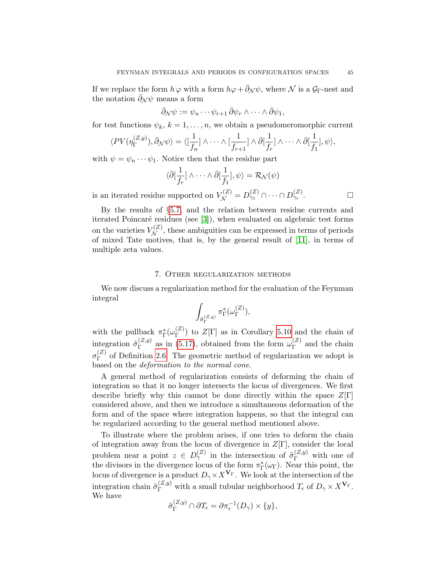If we replace the form  $h\varphi$  with a form  $h\varphi + \bar{\partial}_N \psi$ , where N is a  $\mathcal{G}_{\Gamma}$ -nest and the notation  $\bar{\partial}_{\mathcal{N}}\psi$  means a form

$$
\bar{\partial}_{\mathcal{N}}\psi:=\psi_n\cdots\psi_{r+1}\,\bar{\partial}\psi_r\wedge\cdots\wedge\bar{\partial}\psi_1,
$$

for test functions  $\psi_k, k = 1, \ldots, n$ , we obtain a pseudomeromorphic current

$$
\langle PV(\eta_{\Gamma}^{(Z,y)}), \bar{\partial}_{\mathcal{N}} \psi \rangle = \langle [\frac{1}{f_n}] \wedge \cdots \wedge [\frac{1}{f_{r+1}}] \wedge \bar{\partial}[\frac{1}{f_r}] \wedge \cdots \wedge \bar{\partial}[\frac{1}{f_1}], \psi \rangle,
$$

with  $\psi = \psi_n \cdots \psi_1$ . Notice then that the residue part

$$
\langle \bar{\partial}[\frac{1}{f_r}] \wedge \cdots \wedge \bar{\partial}[\frac{1}{f_1}], \psi \rangle = \mathcal{R}_{\mathcal{N}}(\psi)
$$
\nsumerted on  $V^{(Z)} = D^{(Z)} \cap \dots \cap D^{(Z)}$ 

is an iterated residue supported on  $V_{\mathcal{N}}^{(Z)} = D_{\gamma_1}^{(Z)} \cap \cdots \cap D_{\gamma_r}^{(Z)}$ . — П

By the results of §[5.7,](#page-37-0) and the relation between residue currents and iterated Poincaré residues (see [\[3\]](#page-52-24)), when evaluated on algebraic test forms on the varieties  $V_N^{(Z)}$ , these ambiguities can be expressed in terms of periods of mixed Tate motives, that is, by the general result of [\[11\]](#page-52-2), in terms of multiple zeta values.

### 7. Other regularization methods

<span id="page-44-0"></span>We now discuss a regularization method for the evaluation of the Feynman integral

$$
\int_{\tilde{\sigma}_{\Gamma}^{(Z,y)}} \pi_{\Gamma}^*(\omega_{\Gamma}^{(Z)}),
$$

with the pullback  $\pi_{\Gamma}^*(\omega_{\Gamma}^{(Z)})$  $\binom{2}{\Gamma}$  to  $Z[\Gamma]$  as in Corollary [5.10](#page-35-3) and the chain of integration  $\tilde{\sigma}_{\Gamma}^{(Z,y)}$  $_{\Gamma}^{(Z,y)}$  as in [\(5.17\)](#page-35-1), obtained from the form  $\omega_{\Gamma}^{(Z)}$  $\Gamma^{(2)}$  and the chain  $\sigma^{(Z)}_\Gamma$  $\Gamma$ <sup>(2)</sup> of Definition [2.6.](#page-6-4) The geometric method of regularization we adopt is based on the deformation to the normal cone.

A general method of regularization consists of deforming the chain of integration so that it no longer intersects the locus of divergences. We first describe briefly why this cannot be done directly within the space  $Z[\Gamma]$ considered above, and then we introduce a simultaneous deformation of the form and of the space where integration happens, so that the integral can be regularized according to the general method mentioned above.

To illustrate where the problem arises, if one tries to deform the chain of integration away from the locus of divergence in  $Z[\Gamma]$ , consider the local problem near a point  $z \in D_{\gamma}^{(Z)}$  in the intersection of  $\tilde{\sigma}_{\Gamma}^{(Z,y)}$  with one of the divisors in the divergence locus of the form  $\pi_{\Gamma}^*(\omega_{\Gamma})$ . Near this point, the locus of divergence is a product  $D_{\gamma} \times X^{\mathbf{V}_{\Gamma}}$ . We look at the intersection of the integration chain  $\tilde{\sigma}_{\Gamma}^{(Z,y)}$  with a small tubular neighborhood  $T_{\epsilon}$  of  $D_{\gamma} \times X^{\mathbf{V}_{\Gamma}}$ . We have

$$
\tilde{\sigma}_{\Gamma}^{(Z,y)} \cap \partial T_{\epsilon} = \partial \pi_{\epsilon}^{-1}(D_{\gamma}) \times \{y\},\
$$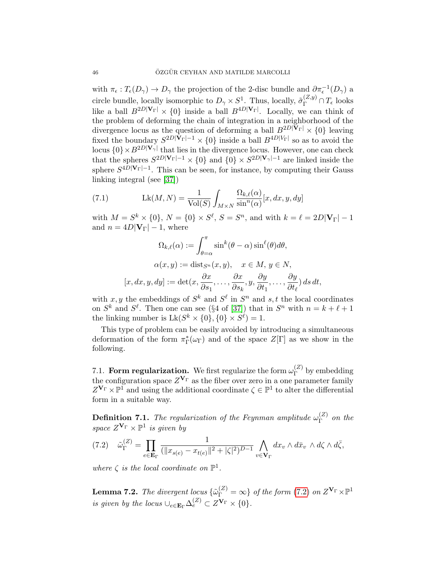with  $\pi_{\epsilon}: T_{\epsilon}(D_{\gamma}) \to D_{\gamma}$  the projection of the 2-disc bundle and  $\partial \pi_{\epsilon}^{-1}(D_{\gamma})$  a circle bundle, locally isomorphic to  $D_\gamma \times S^1$ . Thus, locally,  $\tilde{\sigma}_{\Gamma}^{(Z,y)} \cap T_{\epsilon}$  looks like a ball  $B^{2D|\mathbf{V}_{\Gamma}|} \times \{0\}$  inside a ball  $B^{4D|\mathbf{V}_{\Gamma}|}$ . Locally, we can think of the problem of deforming the chain of integration in a neighborhood of the divergence locus as the question of deforming a ball  $B^{2D|\mathbf{V}_{\Gamma}|} \times \{0\}$  leaving fixed the boundary  $S^{2D|\mathbf{V}_{\Gamma}|-1} \times \{0\}$  inside a ball  $B^{4D|V_{\Gamma}|}$  so as to avoid the locus  $\{0\} \times B^{2D|\mathbf{V}_{\gamma}|}$  that lies in the divergence locus. However, one can check that the spheres  $S^{2D|\mathbf{V}_{\Gamma}|-1} \times \{0\}$  and  $\{0\} \times S^{2D|\mathbf{V}_{\gamma}|-1}$  are linked inside the sphere  $S^{4D|\mathbf{V}_{\Gamma}|-1}$ . This can be seen, for instance, by computing their Gauss linking integral (see [\[37\]](#page-53-17))

(7.1) 
$$
\operatorname{Lk}(M, N) = \frac{1}{\operatorname{Vol}(S)} \int_{M \times N} \frac{\Omega_{k,\ell}(\alpha)}{\sin^n(\alpha)} [x, dx, y, dy]
$$

with  $M = S^k \times \{0\}, N = \{0\} \times S^{\ell}, S = S^n$ , and with  $k = \ell = 2D|\mathbf{V}_{\Gamma}| - 1$ and  $n = 4D|\mathbf{V}_{\Gamma}| - 1$ , where

$$
\Omega_{k,\ell}(\alpha) := \int_{\theta=\alpha}^{\pi} \sin^k(\theta-\alpha) \sin^{\ell}(\theta) d\theta,
$$
  

$$
\alpha(x,y) := \text{dist}_{S^n}(x,y), \quad x \in M, y \in N,
$$
  

$$
[x, dx, y, dy] := \det(x, \frac{\partial x}{\partial s_1}, \dots, \frac{\partial x}{\partial s_k}, y, \frac{\partial y}{\partial t_1}, \dots, \frac{\partial y}{\partial t_\ell}) ds dt,
$$

with x, y the embeddings of  $S^k$  and  $S^{\ell}$  in  $S^n$  and s, t the local coordinates on  $S^k$  and  $S^{\ell}$ . Then one can see (§4 of [\[37\]](#page-53-17)) that in  $S^n$  with  $n = k + \ell + 1$ the linking number is  $Lk(S^k \times \{0\}, \{0\} \times S^{\ell}) = 1$ .

This type of problem can be easily avoided by introducing a simultaneous deformation of the form  $\pi_{\Gamma}^*(\omega_{\Gamma})$  and of the space  $Z[\Gamma]$  as we show in the following.

<span id="page-45-0"></span>7.1. Form regularization. We first regularize the form  $\omega_{\Gamma}^{(Z)}$  $\int_{\Gamma}^{(2)}$  by embedding the configuration space  $Z^{\mathbf{V}_{\Gamma}}$  as the fiber over zero in a one parameter family  $Z^{\mathbf{V}_{\Gamma}} \times \mathbb{P}^{\mathbf{I}}$  and using the additional coordinate  $\zeta \in \mathbb{P}^{\mathbf{I}}$  to alter the differential form in a suitable way.

**Definition 7.1.** The regularization of the Feynman amplitude  $\omega_{\Gamma}^{(Z)}$  $\Gamma$  on the space  $Z^{\mathbf{V}_{\Gamma}} \times \mathbb{P}^1$  is given by

<span id="page-45-1"></span>
$$
(7.2) \quad \tilde{\omega}_{\Gamma}^{(Z)} = \prod_{e \in \mathbf{E}_{\Gamma}} \frac{1}{(\|x_{s(e)} - x_{t(e)}\|^2 + |\zeta|^2)^{D-1}} \bigwedge_{v \in \mathbf{V}_{\Gamma}} dx_v \wedge d\bar{x}_v \wedge d\zeta \wedge d\bar{\zeta},
$$

where  $\zeta$  is the local coordinate on  $\mathbb{P}^1$ .

**Lemma 7.2.** The divergent locus  $\{\tilde{\omega}_{\Gamma}^{(Z)} = \infty\}$  of the form [\(7.2\)](#page-45-1) on  $Z^{\mathbf{V}_{\Gamma}} \times \mathbb{P}^1$ is given by the locus  $\bigcup_{e \in \mathbf{E}_{\Gamma}} \Delta_e^{(Z)} \subset Z^{\mathbf{V}_{\Gamma}} \times \{0\}.$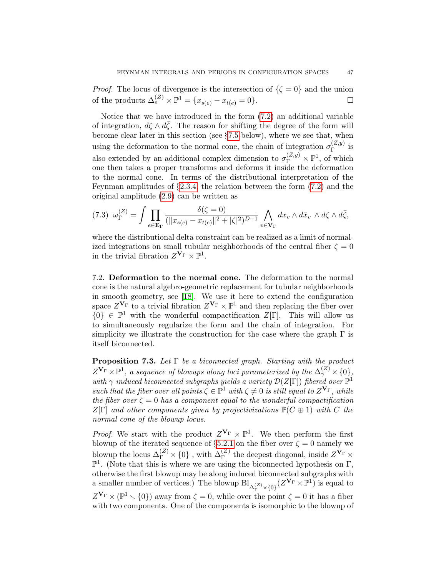*Proof.* The locus of divergence is the intersection of  $\{\zeta = 0\}$  and the union of the products  $\Delta_e^{(Z)} \times \mathbb{P}^1 = \{x_{s(e)} - x_{t(e)} = 0\}.$ 

Notice that we have introduced in the form [\(7.2\)](#page-45-1) an additional variable of integration,  $d\zeta \wedge d\bar{\zeta}$ . The reason for shifting the degree of the form will become clear later in this section (see §[7.5](#page-50-0) below), where we see that, when using the deformation to the normal cone, the chain of integration  $\sigma_{\Gamma}^{(Z,y)}$  $\int_{\Gamma}^{(\mathcal{L},y)}$  is also extended by an additional complex dimension to  $\sigma_{\Gamma}^{(Z,y)} \times \mathbb{P}^1$ , of which one then takes a proper transforms and deforms it inside the deformation to the normal cone. In terms of the distributional interpretation of the Feynman amplitudes of §[2.3.4,](#page-7-2) the relation between the form [\(7.2\)](#page-45-1) and the original amplitude [\(2.9\)](#page-6-0) can be written as

<span id="page-46-2"></span>
$$
(7.3) \quad \omega_{\Gamma}^{(Z)} = \int \prod_{e \in \mathbf{E}_{\Gamma}} \frac{\delta(\zeta = 0)}{(\|x_{s(e)} - x_{t(e)}\|^2 + |\zeta|^2)^{D-1}} \bigwedge_{v \in \mathbf{V}_{\Gamma}} dx_v \wedge d\bar{x}_v \wedge d\zeta \wedge d\bar{\zeta},
$$

where the distributional delta constraint can be realized as a limit of normalized integrations on small tubular neighborhoods of the central fiber  $\zeta = 0$ in the trivial fibration  $Z^{\mathbf{V}_{\Gamma}} \times \mathbb{P}^1$ .

<span id="page-46-0"></span>7.2. Deformation to the normal cone. The deformation to the normal cone is the natural algebro-geometric replacement for tubular neighborhoods in smooth geometry, see [\[18\]](#page-52-11). We use it here to extend the configuration space  $Z^{\mathbf{V}_{\Gamma}}$  to a trivial fibration  $Z^{\mathbf{V}_{\Gamma}} \times \mathbb{P}^{1}$  and then replacing the fiber over  $\{0\} \in \mathbb{P}^1$  with the wonderful compactification  $Z[\Gamma]$ . This will allow us to simultaneously regularize the form and the chain of integration. For simplicity we illustrate the construction for the case where the graph  $\Gamma$  is itself biconnected.

<span id="page-46-1"></span>**Proposition 7.3.** Let  $\Gamma$  be a biconnected graph. Starting with the product  $Z^{\mathbf{V}_\Gamma}\times\mathbb{P}^1$ , a sequence of blowups along loci parameterized by the  $\Delta_\gamma^{(Z)}\times\{0\},$ with  $\gamma$  induced biconnected subgraphs yields a variety  $\mathcal{D}(Z[\Gamma])$  fibered over  $\mathbb{P}^1$ such that the fiber over all points  $\zeta \in \mathbb{P}^1$  with  $\zeta \neq 0$  is still equal to  $Z^{\mathbf{V}_{\Gamma}}$ , while the fiber over  $\zeta = 0$  has a component equal to the wonderful compactification  $Z[\Gamma]$  and other components given by projectivizations  $\mathbb{P}(C \oplus 1)$  with C the normal cone of the blowup locus.

*Proof.* We start with the product  $Z^{\mathbf{V}_{\Gamma}} \times \mathbb{P}^{1}$ . We then perform the first blowup of the iterated sequence of  $\S 5.2.1$  $\S 5.2.1$  on the fiber over  $\zeta = 0$  namely we blowup the locus  $\Delta_{\Gamma}^{(Z)} \times \{0\}$ , with  $\Delta_{\Gamma}^{(Z)}$  the deepest diagonal, inside  $Z^{\mathbf{V}_{\Gamma}} \times$  $\mathbb{P}^1$ . (Note that this is where we are using the biconnected hypothesis on  $\Gamma$ , otherwise the first blowup may be along induced biconnected subgraphs with a smaller number of vertices.) The blowup  $\text{Bl}_{\Delta_{\Gamma}^{(Z)}\times\{0\}}(Z^{\mathbf{V}_{\Gamma}}\times\mathbb{P}^1)$  is equal to  $Z^{\mathbf{V}_{\Gamma}} \times (\mathbb{P}^1 \setminus \{0\})$  away from  $\zeta = 0$ , while over the point  $\zeta = 0$  it has a fiber with two components. One of the components is isomorphic to the blowup of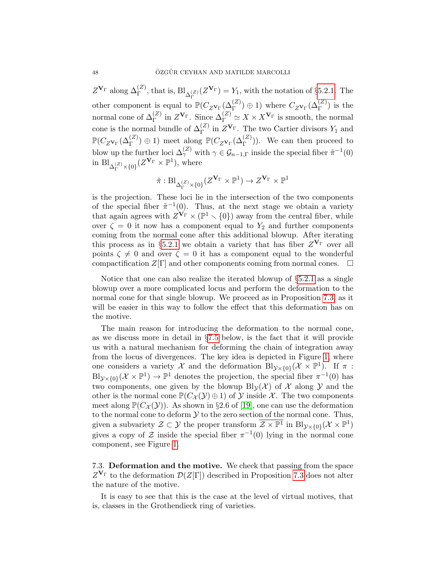$Z^{\mathbf{V}_{\Gamma}}$  along  $\Delta_{\Gamma}^{(Z)}$ , that is,  $\text{Bl}_{\Delta_{\Gamma}^{(Z)}}(Z^{\mathbf{V}_{\Gamma}}) = Y_1$ , with the notation of §[5.2.1.](#page-32-1) The other component is equal to  $\mathbb{P}(C_{Z}v_{\Gamma}(\Delta_{\Gamma}^{(Z)})\oplus 1)$  where  $C_{Z}v_{\Gamma}(\Delta_{\Gamma}^{(Z)})$  is the normal cone of  $\Delta_{\Gamma}^{(Z)}$  in  $Z^{\mathbf{V}_{\Gamma}}$ . Since  $\Delta_{\Gamma}^{(Z)} \simeq X \times X^{\mathbf{V}_{\Gamma}}$  is smooth, the normal cone is the normal bundle of  $\Delta_{\Gamma}^{(Z)}$  in  $Z^{\mathbf{V}_{\Gamma}}$ . The two Cartier divisors  $Y_1$  and  $\mathbb{P}(C_{Z_{\mathbf{V}_{\Gamma}}}(\Delta_{\Gamma}^{(Z)})\oplus 1)$  meet along  $\mathbb{P}(C_{Z_{\mathbf{V}_{\Gamma}}}(\Delta_{\Gamma}^{(Z)}))$ . We can then proceed to blow up the further loci  $\Delta_{\gamma}^{(Z)}$  with  $\gamma \in \mathcal{G}_{n-1,\Gamma}$  inside the special fiber  $\tilde{\pi}^{-1}(0)$ in  $\mathrm{Bl}_{\Delta_{\Gamma}^{(Z)}\times\{0\}}(Z^{\mathbf{V}_{\Gamma}}\times\mathbb{P}^{1}),$  where

$$
\tilde{\pi}: \mathrm{Bl}_{\Delta_{\Gamma}^{(Z)}\times\{0\}}(Z^{\mathbf{V}_{\Gamma}}\times \mathbb{P}^1)\rightarrow Z^{\mathbf{V}_{\Gamma}}\times \mathbb{P}^1
$$

is the projection. These loci lie in the intersection of the two components of the special fiber  $\tilde{\pi}^{-1}(0)$ . Thus, at the next stage we obtain a variety that again agrees with  $Z^{\mathbf{V}_{\Gamma}} \times (\mathbb{P}^1 \setminus \{0\})$  away from the central fiber, while over  $\zeta = 0$  it now has a component equal to  $Y_2$  and further components coming from the normal cone after this additional blowup. After iterating this process as in §[5.2.1](#page-32-1) we obtain a variety that has fiber  $Z^{\mathbf{V}_{\Gamma}}$  over all points  $\zeta \neq 0$  and over  $\zeta = 0$  it has a component equal to the wonderful compactification  $Z[\Gamma]$  and other components coming from normal cones.  $\Box$ 

Notice that one can also realize the iterated blowup of  $\S 5.2.1$  $\S 5.2.1$  as a single blowup over a more complicated locus and perform the deformation to the normal cone for that single blowup. We proceed as in Proposition [7.3,](#page-46-1) as it will be easier in this way to follow the effect that this deformation has on the motive.

The main reason for introducing the deformation to the normal cone, as we discuss more in detail in  $\S 7.5$  $\S 7.5$  below, is the fact that it will provide us with a natural mechanism for deforming the chain of integration away from the locus of divergences. The key idea is depicted in Figure [1,](#page-48-0) where one considers a variety X and the deformation  $\text{Bl}_{\mathcal{Y}\times\{0\}}(\mathcal{X}\times\mathbb{P}^1)$ . If  $\pi$ :  $\text{Bl}_{\mathcal{Y}\times\{0\}}(\mathcal{X}\times\mathbb{P}^1)\to\mathbb{P}^1$  denotes the projection, the special fiber  $\pi^{-1}(0)$  has two components, one given by the blowup  $\text{Bl}_{\mathcal{V}}(\mathcal{X})$  of X along Y and the other is the normal cone  $\mathbb{P}(C_{\mathcal{X}}(\mathcal{Y})\oplus 1)$  of  $\mathcal{Y}$  inside X. The two components meet along  $\mathbb{P}(C_{\mathcal{X}}(\mathcal{Y}))$ . As shown in §2.6 of [\[19\]](#page-52-26), one can use the deformation to the normal cone to deform  $\mathcal Y$  to the zero section of the normal cone. Thus, given a subvariety  $\mathcal{Z} \subset \mathcal{Y}$  the proper transform  $\overline{\mathcal{Z} \times \mathbb{P}^1}$  in  $\text{Bl}_{\mathcal{Y} \times \{0\}}(\mathcal{X} \times \mathbb{P}^1)$ gives a copy of Z inside the special fiber  $\pi^{-1}(0)$  lying in the normal cone component, see Figure [1.](#page-48-0)

<span id="page-47-0"></span>7.3. Deformation and the motive. We check that passing from the space  $Z^{\mathbf{V}_{\Gamma}}$  to the deformation  $\mathcal{D}(Z[\Gamma])$  described in Proposition [7.3](#page-46-1) does not alter the nature of the motive.

It is easy to see that this is the case at the level of virtual motives, that is, classes in the Grothendieck ring of varieties.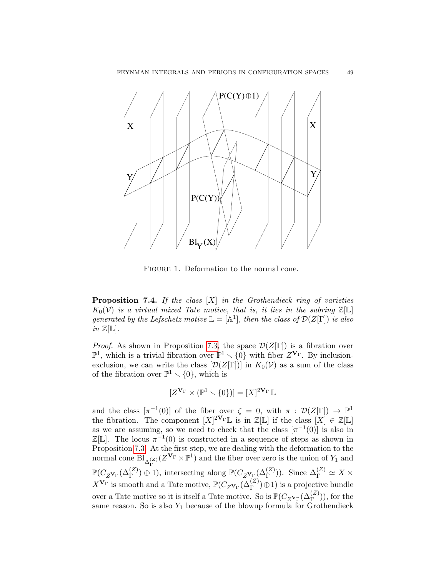

<span id="page-48-0"></span>FIGURE 1. Deformation to the normal cone.

**Proposition 7.4.** If the class  $[X]$  in the Grothendieck ring of varieties  $K_0(\mathcal{V})$  is a virtual mixed Tate motive, that is, it lies in the subring  $\mathbb{Z}[\mathbb{L}]$ generated by the Lefschetz motive  $\mathbb{L} = [\mathbb{A}^1]$ , then the class of  $\mathcal{D}(Z[\Gamma])$  is also in  $\mathbb{Z}[\mathbb{L}]$ .

*Proof.* As shown in Proposition [7.3,](#page-46-1) the space  $\mathcal{D}(Z[\Gamma])$  is a fibration over  $\mathbb{P}^1$ , which is a trivial fibration over  $\mathbb{P}^1 \setminus \{0\}$  with fiber  $Z^{\mathbf{V}_{\Gamma}}$ . By inclusionexclusion, we can write the class  $[\mathcal{D}(Z[\Gamma])]$  in  $K_0(\mathcal{V})$  as a sum of the class of the fibration over  $\mathbb{P}^1 \setminus \{0\}$ , which is

$$
[Z^{\mathbf{V}_{\Gamma}} \times (\mathbb{P}^1 \setminus \{0\})] = [X]^{2\mathbf{V}_{\Gamma}} \mathbb{L}
$$

and the class  $[\pi^{-1}(0)]$  of the fiber over  $\zeta = 0$ , with  $\pi : \mathcal{D}(Z[\Gamma]) \to \mathbb{P}^1$ the fibration. The component  $[X]^{\mathbf{2V_{\Gamma}}}\mathbb{L}$  is in  $\mathbb{Z}[\mathbb{L}]$  if the class  $[X] \in \mathbb{Z}[\mathbb{L}]$ as we are assuming, so we need to check that the class  $[\pi^{-1}(0)]$  is also in  $\mathbb{Z}[\mathbb{L}]$ . The locus  $\pi^{-1}(0)$  is constructed in a sequence of steps as shown in Proposition [7.3.](#page-46-1) At the first step, we are dealing with the deformation to the normal cone  $\text{Bl}_{\Delta_{\Gamma}^{(Z)}}(Z^{\mathbf{V}_{\Gamma}} \times \mathbb{P}^1)$  and the fiber over zero is the union of  $Y_1$  and  $\mathbb{P}(C_{Z_{\mathbf{V}_{\Gamma}}}(\Delta_{\Gamma}^{(Z)})\oplus 1)$ , intersecting along  $\mathbb{P}(C_{Z_{\mathbf{V}_{\Gamma}}}(\Delta_{\Gamma}^{(Z)}))$ . Since  $\Delta_{\Gamma}^{(Z)} \simeq X \times$  $X^{\mathbf{V}_{\Gamma}}$  is smooth and a Tate motive,  $\mathbb{P}(C_{Z^{\mathbf{V}_{\Gamma}}}(\Delta_{\Gamma}^{(Z)})\oplus 1)$  is a projective bundle over a Tate motive so it is itself a Tate motive. So is  $\mathbb{P}(C_{Z_{\text{V}_\Gamma}}(\Delta_{\Gamma}^{(Z)}))$ , for the same reason. So is also  $Y_1$  because of the blowup formula for Grothendieck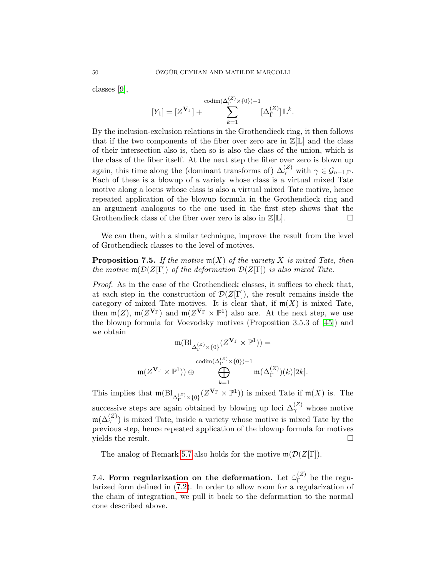classes [\[9\]](#page-52-27),

$$
[Y_1] = [Z^{\mathbf{V}_{\Gamma}}] + \sum_{k=1}^{\text{codim}(\Delta_{\Gamma}^{(Z)} \times \{0\})-1} [\Delta_{\Gamma}^{(Z)}] \mathbb{L}^k.
$$

By the inclusion-exclusion relations in the Grothendieck ring, it then follows that if the two components of the fiber over zero are in  $\mathbb{Z}[\mathbb{L}]$  and the class of their intersection also is, then so is also the class of the union, which is the class of the fiber itself. At the next step the fiber over zero is blown up again, this time along the (dominant transforms of)  $\Delta_{\gamma}^{(Z)}$  with  $\gamma \in \mathcal{G}_{n-1,\Gamma}$ . Each of these is a blowup of a variety whose class is a virtual mixed Tate motive along a locus whose class is also a virtual mixed Tate motive, hence repeated application of the blowup formula in the Grothendieck ring and an argument analogous to the one used in the first step shows that the Grothendieck class of the fiber over zero is also in  $\mathbb{Z}[\mathbb{L}]$ .

We can then, with a similar technique, improve the result from the level of Grothendieck classes to the level of motives.

## **Proposition 7.5.** If the motive  $\mathfrak{m}(X)$  of the variety X is mixed Tate, then the motive  $\mathfrak{m}(\mathcal{D}(Z[\Gamma])$  of the deformation  $\mathcal{D}(Z[\Gamma])$  is also mixed Tate.

Proof. As in the case of the Grothendieck classes, it suffices to check that, at each step in the construction of  $\mathcal{D}(Z[\Gamma])$ , the result remains inside the category of mixed Tate motives. It is clear that, if  $m(X)$  is mixed Tate, then  $\mathfrak{m}(Z)$ ,  $\mathfrak{m}(Z^{\mathbf{V}_{\Gamma}})$  and  $\mathfrak{m}(Z^{\mathbf{V}_{\Gamma}} \times \mathbb{P}^{1})$  also are. At the next step, we use the blowup formula for Voevodsky motives (Proposition 3.5.3 of [\[45\]](#page-53-13)) and we obtain

$$
\mathfrak{m}(\mathrm{Bl}_{\Delta_{\Gamma}^{(Z)} \times \{0\}} (Z^{\mathbf{V}_{\Gamma}} \times \mathbb{P}^{1})) =
$$

$$
\mathrm{codim}(\Delta_{\Gamma}^{(Z)} \times \{0\}) - 1
$$

$$
\bigoplus_{k=1}^{\mathrm{codim}}(\Delta_{\Gamma}^{(Z)})(k)[2k].
$$

This implies that  $\mathfrak{m}(\mathrm{Bl}_{\Delta_{\Gamma}^{(Z)}\times\{0\}}(Z^{\mathbf{V}_{\Gamma}}\times\mathbb{P}^{1}))$  is mixed Tate if  $\mathfrak{m}(X)$  is. The successive steps are again obtained by blowing up loci  $\Delta_{\gamma}^{(Z)}$  whose motive  $m(\Delta_{\gamma}^{(Z)})$  is mixed Tate, inside a variety whose motive is mixed Tate by the previous step, hence repeated application of the blowup formula for motives  $yields the result.$ 

The analog of Remark [5.7](#page-34-3) also holds for the motive  $\mathfrak{m}(\mathcal{D}(Z[\Gamma]).$ 

<span id="page-49-0"></span>7.4. Form regularization on the deformation. Let  $\tilde{\omega}_{\Gamma}^{(Z)}$  $\Gamma^{(2)}$  be the regularized form defined in [\(7.2\)](#page-45-1). In order to allow room for a regularization of the chain of integration, we pull it back to the deformation to the normal cone described above.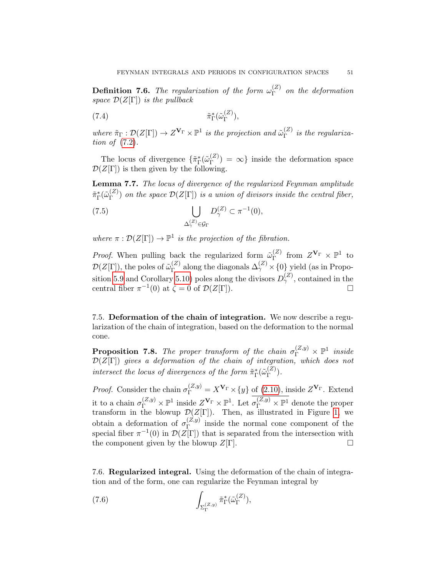**Definition 7.6.** The regularization of the form  $\omega_{\Gamma}^{(Z)}$  $\int_{\Gamma}^{(2)}$  on the deformation space  $\mathcal{D}(Z[\Gamma])$  is the pullback

(7.4) 
$$
\tilde{\pi}_{\Gamma}^*(\tilde{\omega}_{\Gamma}^{(Z)}),
$$

where  $\tilde{\pi}_{\Gamma} : \mathcal{D}(Z[\Gamma]) \to Z^{\mathbf{V}_{\Gamma}} \times \mathbb{P}^1$  is the projection and  $\tilde{\omega}_{\Gamma}^{(Z)}$  $\int_{\Gamma}^{(2)}$  is the regularization of [\(7.2\)](#page-45-1).

The locus of divergence  $\{\tilde{\pi}_{\Gamma}^{\ast}(\tilde{\omega}_{\Gamma}^{(Z)}\)$  $\binom{2}{\Gamma}$  =  $\infty$ } inside the deformation space  $\mathcal{D}(Z[\Gamma])$  is then given by the following.

Lemma 7.7. The locus of divergence of the regularized Feynman amplitude  $\tilde \pi_\Gamma^*(\tilde \omega_\Gamma^{(Z)}$  $\binom{[2]}{\Gamma}$  on the space  $\mathcal{D}(Z[\Gamma])$  is a union of divisors inside the central fiber,

(7.5) 
$$
\bigcup_{\Delta_{\gamma}^{(Z)} \in \mathcal{G}_{\Gamma}} D_{\gamma}^{(Z)} \subset \pi^{-1}(0),
$$

where  $\pi : \mathcal{D}(Z[\Gamma]) \to \mathbb{P}^1$  is the projection of the fibration.

*Proof.* When pulling back the regularized form  $\tilde{\omega}_{\Gamma}^{(Z)}$  $\Gamma^{(Z)}$  from  $Z^{\mathbf{V}_{\Gamma}} \times \mathbb{P}^1$  to  $\mathcal{D}(Z[\Gamma]),$  the poles of  $\tilde{\omega}_{\Gamma}^{(Z)}$  $\chi_{\Gamma}^{(Z)}$  along the diagonals  $\Delta_{\gamma}^{(Z)} \times \{0\}$  yield (as in Propo-sition [5.9](#page-34-2) and Corollary [5.10\)](#page-35-3) poles along the divisors  $D_{\gamma}^{(Z)}$ , contained in the central fiber  $\pi^{-1}(0)$  at  $\zeta = 0$  of  $\mathcal{D}(Z[\Gamma]).$ 

<span id="page-50-0"></span>7.5. Deformation of the chain of integration. We now describe a regularization of the chain of integration, based on the deformation to the normal cone.

<span id="page-50-2"></span>**Proposition 7.8.** The proper transform of the chain  $\sigma_{\Gamma}^{(Z,y)} \times \mathbb{P}^1$  inside  $\mathcal{D}(Z[\Gamma])$  gives a deformation of the chain of integration, which does not intersect the locus of divergences of the form  $\tilde{\pi}_{\Gamma}^{\ast}(\tilde{\omega}_{\Gamma}^{(Z)})$  $\binom{(\mathcal{Z})}{\Gamma}$ .

*Proof.* Consider the chain  $\sigma_{\Gamma}^{(Z,y)} = X^{\mathbf{V}_{\Gamma}} \times \{y\}$  of [\(2.10\)](#page-6-5), inside  $Z^{\mathbf{V}_{\Gamma}}$ . Extend it to a chain  $\sigma_{\Gamma}^{(Z,y)} \times \mathbb{P}^1$  inside  $Z^{\mathbf{V}_{\Gamma}} \times \mathbb{P}^1$ . Let  $\sigma_{\Gamma}^{(Z,y)} \times \mathbb{P}^1$  denote the proper transform in the blowup  $\mathcal{D}(Z[\Gamma]).$  Then, as illustrated in Figure [1,](#page-48-0) we obtain a deformation of  $\sigma_{\Gamma}^{(Z,y)}$  $\Gamma$ <sup>(2,g)</sup> inside the normal cone component of the special fiber  $\pi^{-1}(0)$  in  $\mathcal{D}(Z[\Gamma])$  that is separated from the intersection with the component given by the blowup  $Z[\Gamma]$ .

<span id="page-50-1"></span>7.6. Regularized integral. Using the deformation of the chain of integration and of the form, one can regularize the Feynman integral by

<span id="page-50-3"></span>(7.6) 
$$
\int_{\Sigma_{\Gamma}^{(Z,y)}} \tilde{\pi}_{\Gamma}^*(\tilde{\omega}_{\Gamma}^{(Z)}),
$$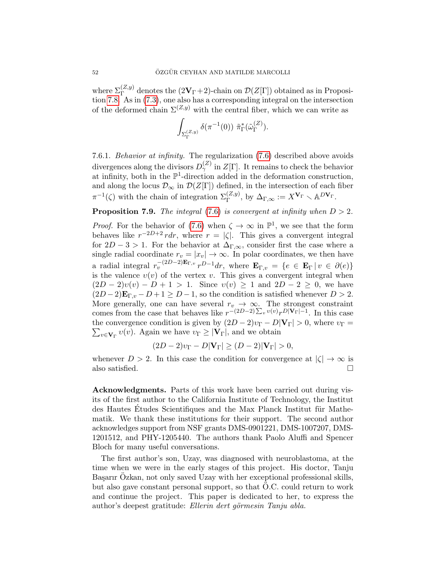where  $\Sigma_{\Gamma}^{(Z,y)}$  denotes the  $(2{\bf V}_{\Gamma}+2)$ -chain on  $\mathcal{D}(Z[\Gamma])$  obtained as in Proposition [7.8.](#page-50-2) As in [\(7.3\)](#page-46-2), one also has a corresponding integral on the intersection of the deformed chain  $\Sigma^{(Z,y)}$  with the central fiber, which we can write as

$$
\int_{\Sigma_{\Gamma}^{(Z,y)}} \delta(\pi^{-1}(0)) \,\, \tilde{\pi}_{\Gamma}^{\ast}(\tilde{\omega}_{\Gamma}^{(Z)}).
$$

7.6.1. Behavior at infinity. The regularization [\(7.6\)](#page-50-3) described above avoids divergences along the divisors  $D_{\gamma}^{(Z)}$  in  $Z[\Gamma]$ . It remains to check the behavior at infinity, both in the  $\mathbb{P}^1$ -direction added in the deformation construction, and along the locus  $\mathcal{D}_{\infty}$  in  $\mathcal{D}(Z[\Gamma])$  defined, in the intersection of each fiber  $\pi^{-1}(\zeta)$  with the chain of integration  $\Sigma_{\Gamma}^{(Z,y)}$ , by  $\Delta_{\Gamma,\infty} := X^{\mathbf{V}_{\Gamma}} \setminus \mathbb{A}^{D\mathbf{V}_{\Gamma}}$ .

## **Proposition 7.9.** The integral [\(7.6\)](#page-50-3) is convergent at infinity when  $D > 2$ .

*Proof.* For the behavior of [\(7.6\)](#page-50-3) when  $\zeta \to \infty$  in  $\mathbb{P}^1$ , we see that the form behaves like  $r^{-2D+2}$  rdr, where  $r = |\zeta|$ . This gives a convergent integral for  $2D-3>1$ . For the behavior at  $\Delta_{\Gamma,\infty}$ , consider first the case where a single radial coordinate  $r_v = |x_v| \to \infty$ . In polar coordinates, we then have a radial integral  $r_v^{-(2D-2)\mathbf{E}_{\Gamma,v}} r^{D-1} dr$ , where  $\mathbf{E}_{\Gamma,v} = \{e \in \mathbf{E}_{\Gamma} | v \in \partial(e)\}\$ is the valence  $v(v)$  of the vertex v. This gives a convergent integral when  $(2D-2)v(v) - D + 1 > 1$ . Since  $v(v) \ge 1$  and  $2D-2 \ge 0$ , we have  $(2D-2)\mathbf{E}_{\Gamma,v} - D + 1 \geq D-1$ , so the condition is satisfied whenever  $D > 2$ . More generally, one can have several  $r_v \to \infty$ . The strongest constraint comes from the case that behaves like  $r^{-(2D-2)\sum_v v(v)} r^{D|\mathbf{V}_{\Gamma}|-1}$ . In this case the convergence condition is given by  $(2D-2)v_{\Gamma}-D|\mathbf{V}_{\Gamma}|>0$ , where  $v_{\Gamma}=$  $\sum_{v \in \mathbf{V}_{\Gamma}} v(v)$ . Again we have  $v_{\Gamma} \geq |\mathbf{V}_{\Gamma}|$ , and we obtain

$$
(2D-2)v_{\Gamma} - D|\mathbf{V}_{\Gamma}| \ge (D-2)|\mathbf{V}_{\Gamma}| > 0,
$$

whenever  $D > 2$ . In this case the condition for convergence at  $|\zeta| \to \infty$  is also satisfied.  $\square$ 

Acknowledgments. Parts of this work have been carried out during visits of the first author to the California Institute of Technology, the Institut des Hautes Etudes Scientifiques and the Max Planck Institut für Mathematik. We thank these institutions for their support. The second author acknowledges support from NSF grants DMS-0901221, DMS-1007207, DMS-1201512, and PHY-1205440. The authors thank Paolo Aluffi and Spencer Bloch for many useful conversations.

The first author's son, Uzay, was diagnosed with neuroblastoma, at the time when we were in the early stages of this project. His doctor, Tanju Başarır Ozkan, not only saved Uzay with her exceptional professional skills, but also gave constant personal support, so that O.C. could return to work and continue the project. This paper is dedicated to her, to express the author's deepest gratitude: Ellerin dert görmesin Tanju abla.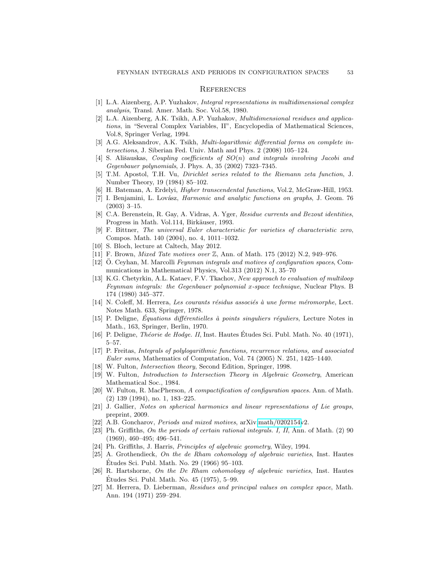#### <span id="page-52-0"></span>**REFERENCES**

- <span id="page-52-5"></span>[1] L.A. Aizenberg, A.P. Yuzhakov, Integral representations in multidimensional complex analysis, Transl. Amer. Math. Soc. Vol.58, 1980.
- <span id="page-52-6"></span>[2] L.A. Aizenberg, A.K. Tsikh, A.P. Yuzhakov, Multidimensional residues and applications, in "Several Complex Variables, II", Encyclopedia of Mathematical Sciences, Vol.8, Springer Verlag, 1994.
- <span id="page-52-24"></span>[3] A.G. Aleksandrov, A.K. Tsikh, Multi-logarithmic differential forms on complete intersections, J. Siberian Fed. Univ. Math and Phys. 2 (2008) 105–124.
- <span id="page-52-17"></span>[4] S. Ališauskas, Coupling coefficients of  $SO(n)$  and integrals involving Jacobi and Gegenbauer polynomials, J. Phys. A, 35 (2002) 7323–7345.
- <span id="page-52-18"></span>[5] T.M. Apostol, T.H. Vu, Dirichlet series related to the Riemann zeta function, J. Number Theory, 19 (1984) 85–102.
- <span id="page-52-14"></span>[6] H. Bateman, A. Erdelyi, Higher transcendental functions, Vol.2, McGraw-Hill, 1953.
- <span id="page-52-12"></span>[7] I. Benjamini, L. Lovász, *Harmonic and analytic functions on graphs*, J. Geom. 76 (2003) 3–15.
- <span id="page-52-9"></span>[8] C.A. Berenstein, R. Gay, A. Vidras, A. Yger, Residue currents and Bezout identities, Progress in Math. Vol.114, Birkäuser, 1993.
- <span id="page-52-27"></span>[9] F. Bittner, The universal Euler characteristic for varieties of characteristic zero, Compos. Math. 140 (2004), no. 4, 1011–1032.
- <span id="page-52-13"></span>[10] S. Bloch, lecture at Caltech, May 2012.
- <span id="page-52-2"></span>[11] F. Brown, Mixed Tate motives over Z, Ann. of Math. 175 (2012) N.2, 949–976.
- <span id="page-52-1"></span>[12] Ö. Ceyhan, M. Marcolli Feynman integrals and motives of configuration spaces, Communications in Mathematical Physics, Vol.313 (2012) N.1, 35–70
- <span id="page-52-4"></span>[13] K.G. Chetyrkin, A.L. Kataev, F.V. Tkachov, New approach to evaluation of multiloop Feynman integrals: the Gegenbauer polynomial x-space technique, Nuclear Phys. B 174 (1980) 345–377.
- <span id="page-52-10"></span> $[14]$  N. Coleff, M. Herrera, Les courants résidus associés à une forme méromorphe, Lect. Notes Math. 633, Springer, 1978.
- <span id="page-52-7"></span>[15] P. Deligne, Équations différentielles à points singuliers réguliers, Lecture Notes in Math., 163, Springer, Berlin, 1970.
- <span id="page-52-23"></span>[16] P. Deligne, *Théorie de Hodge. II*, Inst. Hautes Études Sci. Publ. Math. No. 40 (1971), 5–57.
- <span id="page-52-16"></span>[17] P. Freitas, Integrals of polylogarithmic functions, recurrence relations, and associated Euler sums, Mathematics of Computation, Vol. 74 (2005) N. 251, 1425–1440.
- <span id="page-52-11"></span>[18] W. Fulton, *Intersection theory*, Second Edition, Springer, 1998.
- <span id="page-52-26"></span>[19] W. Fulton, Introduction to Intersection Theory in Algebraic Geometry, American Mathematical Soc., 1984.
- <span id="page-52-19"></span>[20] W. Fulton, R. MacPherson, A compactification of configuration spaces. Ann. of Math. (2) 139 (1994), no. 1, 183–225.
- <span id="page-52-15"></span>[21] J. Gallier, Notes on spherical harmonics and linear representations of Lie groups, preprint, 2009.
- <span id="page-52-20"></span>[22] A.B. Goncharov, *Periods and mixed motives*, arXiv[.math/0202154v](http://arxiv.org/abs/math/0202154)2.
- <span id="page-52-8"></span>[23] Ph. Griffiths, On the periods of certain rational integrals. I, II, Ann. of Math. (2) 90 (1969), 460–495; 496–541.
- <span id="page-52-3"></span>[24] Ph. Griffiths, J. Harris, Principles of algebraic geometry, Wiley, 1994.
- <span id="page-52-21"></span>[25] A. Grothendieck, On the de Rham cohomology of algebraic varieties, Inst. Hautes Etudes Sci. Publ. Math. No. 29 (1966) 95–103. ´
- <span id="page-52-22"></span>[26] R. Hartshorne, On the De Rham cohomology of algebraic varieties, Inst. Hautes Etudes Sci. Publ. Math. No. 45 (1975), 5–99. ´
- <span id="page-52-25"></span>[27] M. Herrera, D. Lieberman, Residues and principal values on complex space, Math. Ann. 194 (1971) 259–294.